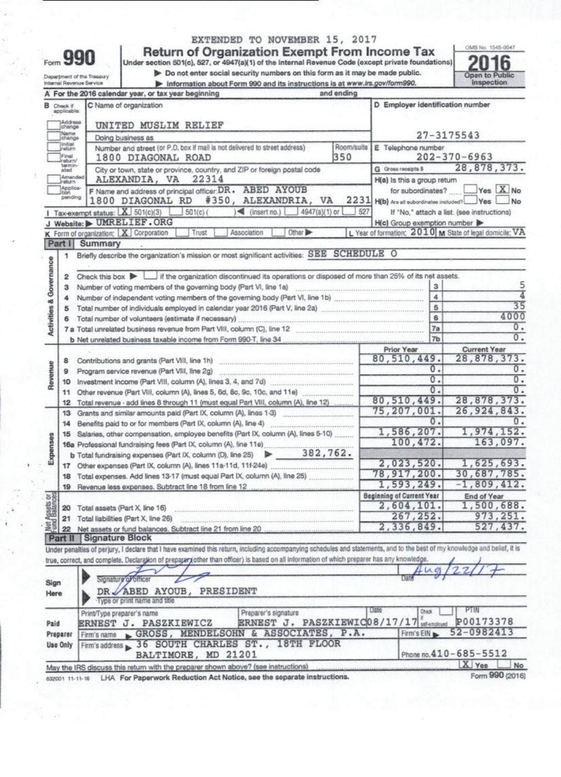| n |  |  |
|---|--|--|

### EXTENDED TO NOVEMBER 15, 2017

Form 9900<br>Department of the Treasury<br>Department of the Treasury<br>Department of the Treasury<br>Department of the Treasury<br>Department of the Treasury<br>Depertment of the Treasury<br>Depertment of the Treasury<br>Depertment of the Treas

OMB No. 1545-0047

|                                    | Internal Revenue Service   |                         | Information about Form 990 and its instructions is at www.irs.gov/form990.                                                                                                 |            |                                                | Inspection                                                      |
|------------------------------------|----------------------------|-------------------------|----------------------------------------------------------------------------------------------------------------------------------------------------------------------------|------------|------------------------------------------------|-----------------------------------------------------------------|
|                                    |                            |                         | A For the 2016 calendar year, or tax year beginning                                                                                                                        | and ending |                                                |                                                                 |
| <b>B</b> Check if                  | applicable:                |                         | C Name of organization                                                                                                                                                     |            | D Employer identification number               |                                                                 |
|                                    | 1Addreas<br>Johange        | UNITED MUSLIM RELIEF    |                                                                                                                                                                            |            |                                                |                                                                 |
|                                    | Name<br>change             |                         | Doing business as                                                                                                                                                          |            |                                                | 27-3175543                                                      |
|                                    | Initial<br>return          |                         | Number and street (or P.O. box if mail is not delivered to street address)                                                                                                 | Room/suite | E Telephone number                             |                                                                 |
|                                    | Final<br>return/           |                         | 1800 DIAGONAL ROAD                                                                                                                                                         | 350        |                                                | $202 - 370 - 6963$                                              |
|                                    | tormin-<br>ated            |                         | City or town, state or province, country, and ZIP or foreign postal code                                                                                                   |            | G Gross receipts \$                            | 28,878,373.                                                     |
|                                    | Amended<br>return          |                         | 22314<br>ALEXANDIA, VA                                                                                                                                                     |            | H(a) Is this a group return                    |                                                                 |
|                                    | Applica<br>tion<br>pending |                         | F Name and address of principal officer: DR. ABED AYOUB<br>#350, ALEXANDRIA, VA<br>1800 DIAGONAL RD                                                                        |            | for subordinates?                              | $Yes$ $X$ No<br>2231 H(b) Are all subordinates included? Yes Mo |
|                                    |                            |                         | Tax-exempt status: $X$ 501(c)(3)<br>$4947(a)(1)$ or<br>$\leq$ (insert no.)<br>$501(c)$ (                                                                                   | 527        |                                                | If "No," attach a list. (see instructions)                      |
|                                    |                            |                         | J Website: > UMRELIEF.ORG                                                                                                                                                  |            | H(c) Group exemption number                    |                                                                 |
|                                    |                            |                         | K Form of organization: X Corporation<br>Association<br>Other ><br>Trust                                                                                                   |            |                                                | L Year of formation: 2010 M State of legal domicile: VA         |
| Part I                             |                            | Summary                 |                                                                                                                                                                            |            |                                                |                                                                 |
|                                    | 1                          |                         | Briefly describe the organization's mission or most significant activities: SEE SCHEDULE O                                                                                 |            |                                                |                                                                 |
| <b>Activities &amp; Governance</b> |                            |                         |                                                                                                                                                                            |            |                                                |                                                                 |
|                                    | 2                          |                         | Check this box $\blacktriangleright$ $\Box$ if the organization discontinued its operations or disposed of more than 25% of its net assets.                                |            |                                                | 5                                                               |
|                                    | з                          |                         | Number of voting members of the governing body (Part VI, line 1a)                                                                                                          |            | 3<br>4                                         | 4                                                               |
|                                    | 4                          |                         |                                                                                                                                                                            |            | 5                                              | 35                                                              |
|                                    | 5<br>6                     |                         | Total number of volunteers (estimate if necessary)                                                                                                                         |            | 6                                              | 4000                                                            |
|                                    |                            |                         |                                                                                                                                                                            |            | 7a                                             | 0.                                                              |
|                                    |                            |                         | b Net unrelated business taxable income from Form 990-T. line 34                                                                                                           |            | 7 <sub>b</sub>                                 | $\overline{0}$ .                                                |
|                                    |                            |                         |                                                                                                                                                                            |            | Prior Year                                     | <b>Current Year</b>                                             |
|                                    | 8                          |                         | Contributions and grants (Part VIII, line 1h)                                                                                                                              |            | 80,510,449.                                    | 28,878,373.                                                     |
|                                    | э                          |                         | Program service revenue (Part VIII, line 2g)                                                                                                                               |            | 0.                                             | 0.                                                              |
| Revenue                            | 10                         |                         |                                                                                                                                                                            |            | 0.                                             | $\overline{0}$ .                                                |
|                                    | 11                         |                         |                                                                                                                                                                            |            | 0.                                             | 0.                                                              |
|                                    | 12                         |                         | Total revenue - add lines 8 through 11 (must equal Part VIII, column (A), line 12)                                                                                         |            | 80,510,449.                                    | 28,878,373.                                                     |
|                                    | 13                         |                         | Grants and similar amounts paid (Part IX, column (A), lines 1-3)                                                                                                           |            | 75,207,001.                                    | 26, 924, 843.                                                   |
|                                    | 14                         |                         | Benefits paid to or for members (Part IX, column (A), line 4) [1]                                                                                                          |            | 0.                                             |                                                                 |
|                                    | 15                         |                         | Salaries, other compensation, employee benefits (Part IX, column (A), lines 5-10)                                                                                          |            | 1,586,207.                                     | 1,974,152.                                                      |
| Expenses                           |                            |                         |                                                                                                                                                                            |            | 100,472.                                       | 163,097.                                                        |
|                                    |                            |                         | <b>b</b> Total fundraising expenses (Part IX, column (D), line 25) $\rightarrow$ 382,762.                                                                                  |            |                                                |                                                                 |
|                                    | 17                         |                         |                                                                                                                                                                            |            | 2,023,520.                                     | 1,625,693.                                                      |
|                                    | 18                         |                         |                                                                                                                                                                            |            | 78,917,200.<br>1,593,249.                      | 30,687,785.                                                     |
|                                    | 19                         |                         | Revenue less expenses. Subtract line 18 from line 12                                                                                                                       |            |                                                | $-1,809,412.$                                                   |
| $5\frac{6}{25}$                    |                            |                         |                                                                                                                                                                            |            | <b>Beginning of Current Year</b><br>2,604,101. | End of Year<br>1,500,688.                                       |
|                                    | 20                         |                         | Total assets (Part X, line 16)                                                                                                                                             |            | 267,252.                                       | 973, 251.                                                       |
| Net Assets                         | 21                         |                         | Total liabilities (Part X, line 26)<br>Net assets or fund balances. Subtract line 21 from line 20                                                                          |            | 2,336,849.                                     | 527,437.                                                        |
|                                    | 22                         | Part II Signature Block |                                                                                                                                                                            |            |                                                |                                                                 |
|                                    |                            |                         | Under penalties of perjury, I declare that I have examined this return, including accompanying schedules and statements, and to the best of my knowledge and belief, it is |            |                                                |                                                                 |
|                                    |                            |                         | true, correct, and complete. Declaration of prepaper (other than officer) is based on all information of which preparer has any knowledge.                                 |            |                                                |                                                                 |
|                                    |                            |                         |                                                                                                                                                                            |            |                                                |                                                                 |
| Sign                               |                            |                         | Signature of officer                                                                                                                                                       |            |                                                |                                                                 |
| Here                               |                            |                         | DR. ABED AYOUB, PRESIDENT                                                                                                                                                  |            |                                                |                                                                 |
|                                    |                            |                         | Type or print name and title                                                                                                                                               |            |                                                |                                                                 |
|                                    |                            |                         | Preparer's signature<br>Print/Type preparer's name                                                                                                                         |            | Date<br>Chack                                  | PTIN                                                            |
| Paid                               |                            |                         | ERNEST J. PASZKIEWIC08/17/17 setengious<br>ERNEST J. PASZKIEWICZ                                                                                                           |            |                                                | P00173378                                                       |
| Preparer                           |                            | Firm's name             | GROSS, MENDELSOHN & ASSOCIATES, P.A.                                                                                                                                       |            | Firm's EIN                                     | 52-0982413                                                      |
| <b>Use Only</b>                    |                            | Firm's address          | 36 SOUTH CHARLES ST., 18TH FLOOR                                                                                                                                           |            |                                                |                                                                 |
|                                    |                            |                         | BALTIMORE, MD 21201                                                                                                                                                        |            |                                                | Phone no.410-685-5512                                           |
|                                    |                            |                         | May the IRS discuss this return with the preparer shown above? (see instructions)                                                                                          |            |                                                | X Yes<br>No                                                     |
|                                    |                            |                         |                                                                                                                                                                            |            |                                                |                                                                 |

**632001 , i.., i- ta LHA For Paperwork Reduction Act Notice, see the separate instructions.**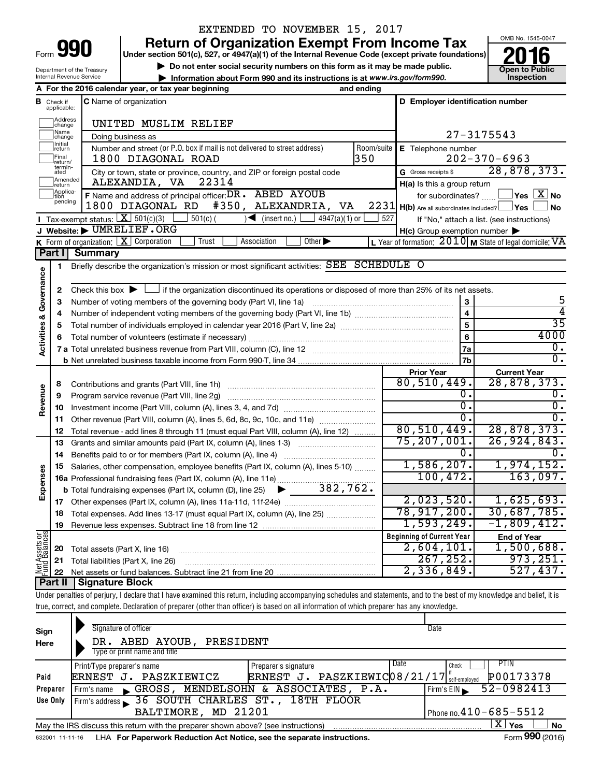| Form |  |
|------|--|

Department of the Treasury Internal Revenue Service

### EXTENDED TO NOVEMBER 15, 2017

**Return of Organization Exempt From Income Tax**<br>Under section 501(c), 527, or 4947(a)(1) of the Internal Revenue Code (except private foundations)<br> **2016** 

**Under section 501(c), 527, or 4947(a)(1) of the Internal Revenue Code (except private foundations)**

▶ Do not enter social security numbers on this form as it may be made public.<br>▶ Information about Form 990 and its instructions is at www.irs.gov/form990. Inspection

**• Information about Form 990 and its instructions is at www.irs.gov/form990. and inspection** 



|                         |                                                                                                                      | A For the 2016 calendar year, or tax year beginning<br>and ending                                                      |     |                                                     |                                                             |
|-------------------------|----------------------------------------------------------------------------------------------------------------------|------------------------------------------------------------------------------------------------------------------------|-----|-----------------------------------------------------|-------------------------------------------------------------|
|                         | <b>B</b> Check if applicable:                                                                                        | C Name of organization                                                                                                 |     | D Employer identification number                    |                                                             |
|                         | Address<br>change                                                                                                    | UNITED MUSLIM RELIEF                                                                                                   |     |                                                     |                                                             |
|                         | Name<br>change                                                                                                       | Doing business as                                                                                                      |     | 27-3175543                                          |                                                             |
|                         | <b>Initial</b><br>Number and street (or P.O. box if mail is not delivered to street address)<br>Room/suite<br>return |                                                                                                                        |     | E Telephone number                                  |                                                             |
|                         | Final<br>return/                                                                                                     | 350<br>1800 DIAGONAL ROAD                                                                                              |     |                                                     | $202 - 370 - 6963$                                          |
|                         | termin-<br>ated                                                                                                      | City or town, state or province, country, and ZIP or foreign postal code                                               |     | G Gross receipts \$                                 | 28,878,373.                                                 |
|                         | Amended<br>return                                                                                                    | ALEXANDIA, VA<br>22314                                                                                                 |     | $H(a)$ is this a group return                       |                                                             |
|                         | Applica-<br>pending                                                                                                  | F Name and address of principal officer: DR. ABED AYOUB                                                                |     | for subordinates?                                   | $\Box$ Yes $\Box X$ No                                      |
|                         |                                                                                                                      | #350, ALEXANDRIA, VA<br>1800 DIAGONAL RD                                                                               |     | 2231 H(b) Are all subordinates included? Ves        | <b>No</b>                                                   |
|                         |                                                                                                                      | <b>I</b> Tax-exempt status: $X \ 501(c)(3)$<br>$\sqrt{\frac{1}{1}}$ (insert no.)<br>$501(c)$ (<br>4947(a)(1) or        | 527 |                                                     | If "No," attach a list. (see instructions)                  |
|                         |                                                                                                                      | J Website: UMRELIEF.ORG                                                                                                |     | $H(c)$ Group exemption number $\blacktriangleright$ |                                                             |
|                         |                                                                                                                      | <b>K</b> Form of organization: $\boxed{\mathbf{X}}$ Corporation<br>Trust<br>Other $\blacktriangleright$<br>Association |     |                                                     | L Year of formation: $2010$ M State of legal domicile: $VA$ |
|                         | ∣ Part I                                                                                                             | Summary                                                                                                                |     |                                                     |                                                             |
|                         | 1                                                                                                                    | Briefly describe the organization's mission or most significant activities: SEE SCHEDULE O                             |     |                                                     |                                                             |
| Activities & Governance |                                                                                                                      |                                                                                                                        |     |                                                     |                                                             |
|                         | 2                                                                                                                    | Check this box $\blacktriangleright$ $\mid$                                                                            |     |                                                     | 5                                                           |
|                         | З                                                                                                                    | Number of voting members of the governing body (Part VI, line 1a)                                                      |     | 3<br>$\overline{\mathbf{4}}$                        | 4                                                           |
|                         | 4                                                                                                                    |                                                                                                                        |     | 5                                                   | $\overline{35}$                                             |
|                         | 5                                                                                                                    |                                                                                                                        |     |                                                     | 4000                                                        |
|                         | 6                                                                                                                    |                                                                                                                        |     | 6<br>7a                                             | $\overline{0}$ .                                            |
|                         |                                                                                                                      |                                                                                                                        |     | 7b                                                  | σ.                                                          |
|                         |                                                                                                                      |                                                                                                                        |     | <b>Prior Year</b>                                   | <b>Current Year</b>                                         |
|                         | 8                                                                                                                    | Contributions and grants (Part VIII, line 1h)                                                                          |     | 80,510,449.                                         | 28,878,373.                                                 |
|                         | 9                                                                                                                    | Program service revenue (Part VIII, line 2g)                                                                           |     | 0.                                                  | 0.                                                          |
| Revenue                 | 10                                                                                                                   |                                                                                                                        |     | $\overline{0}$                                      | σ.                                                          |
|                         | 11                                                                                                                   | Other revenue (Part VIII, column (A), lines 5, 6d, 8c, 9c, 10c, and 11e)                                               |     | 0                                                   | $\overline{0}$ .                                            |
|                         | 12                                                                                                                   | Total revenue - add lines 8 through 11 (must equal Part VIII, column (A), line 12)                                     |     | 80, 510, 449.                                       | 28,878,373.                                                 |
|                         | 13                                                                                                                   | Grants and similar amounts paid (Part IX, column (A), lines 1-3)                                                       |     | 75, 207, 001.                                       | 26, 924, 843.                                               |
|                         | 14                                                                                                                   |                                                                                                                        |     | 0.                                                  |                                                             |
|                         | 15                                                                                                                   | Salaries, other compensation, employee benefits (Part IX, column (A), lines 5-10)                                      |     | 1,586,207.                                          | 1,974,152.                                                  |
| Expenses                |                                                                                                                      | 16a Professional fundraising fees (Part IX, column (A), line 11e)                                                      |     | 100, 472.                                           | 163,097.                                                    |
|                         |                                                                                                                      | 382,762.<br><b>b</b> Total fundraising expenses (Part IX, column (D), line 25) $\blacktriangleright$                   |     |                                                     |                                                             |
|                         | 17                                                                                                                   |                                                                                                                        |     | 2,023,520.                                          | 1,625,693.                                                  |
|                         | 18                                                                                                                   | Total expenses. Add lines 13-17 (must equal Part IX, column (A), line 25)                                              |     | 78,917,200.                                         | 30,687,785.                                                 |
|                         | 19                                                                                                                   |                                                                                                                        |     | 1,593,249.                                          | $-1,809,412.$                                               |
|                         |                                                                                                                      |                                                                                                                        |     | <b>Beginning of Current Year</b>                    | <b>End of Year</b>                                          |
| Net Assets or           | 20                                                                                                                   | Total assets (Part X, line 16)                                                                                         |     | $2,604,101$ .                                       | 1,500,688.                                                  |
|                         | 21                                                                                                                   | Total liabilities (Part X, line 26)                                                                                    |     | 267, 252.                                           | 973, 251.                                                   |
|                         | 22                                                                                                                   |                                                                                                                        |     | 2,336,849.                                          | 527,437.                                                    |
|                         | <b>Part II</b>                                                                                                       | Signature Block                                                                                                        |     |                                                     |                                                             |

Under penalties of perjury, I declare that I have examined this return, including accompanying schedules and statements, and to the best of my knowledge and belief, it is true, correct, and complete. Declaration of preparer (other than officer) is based on all information of which preparer has any knowledge.

| Sign<br>Here | Signature of officer<br>DR. ABED AYOUB,<br>PRESIDENT<br>Type or print name and title                         | Date                                                    |  |  |  |  |
|--------------|--------------------------------------------------------------------------------------------------------------|---------------------------------------------------------|--|--|--|--|
|              |                                                                                                              | Date<br>PTIN                                            |  |  |  |  |
|              | Print/Type preparer's name<br>Preparer's signature                                                           | Check                                                   |  |  |  |  |
| Paid         | ERNEST J. PASZKIEWICZ                                                                                        | P00173378<br>ERNEST J. PASZKIEWIC08/21/17 self-employed |  |  |  |  |
| Preparer     | GROSS, MENDELSOHN & ASSOCIATES, P.A.<br>Firm's name                                                          | 52-0982413<br>Firm's $EIN$                              |  |  |  |  |
| Use Only     | Firm's address 36 SOUTH CHARLES ST., 18TH FLOOR                                                              |                                                         |  |  |  |  |
|              | BALTIMORE, MD 21201<br>Phone no. $410 - 685 - 5512$                                                          |                                                         |  |  |  |  |
|              | x.<br>Yes<br>No<br>May the IRS discuss this return with the preparer shown above? (see instructions)         |                                                         |  |  |  |  |
|              | Form 990 (2016)<br>LHA For Paperwork Reduction Act Notice, see the separate instructions.<br>632001 11-11-16 |                                                         |  |  |  |  |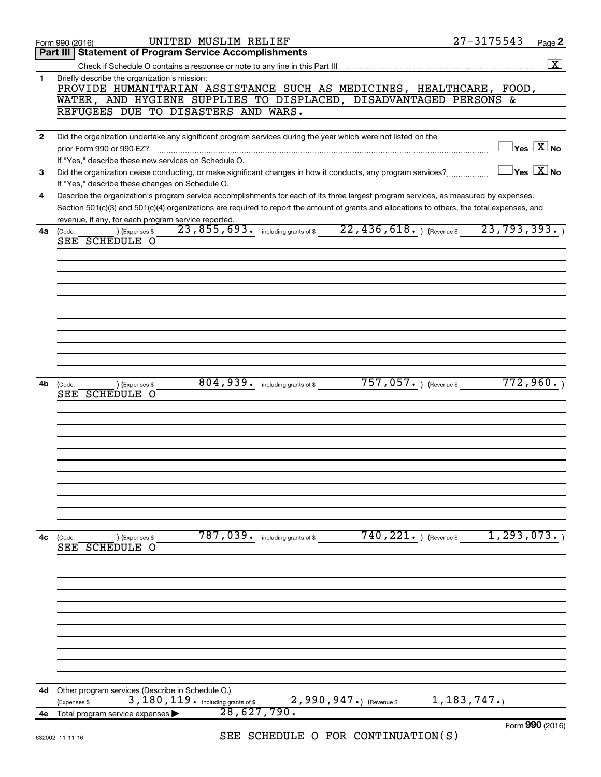| <b>Part III   Statement of Program Service Accomplishments</b><br>$\boxed{\text{X}}$<br>Briefly describe the organization's mission:<br>1<br>PROVIDE HUMANITARIAN ASSISTANCE SUCH AS MEDICINES, HEALTHCARE, FOOD,<br>WATER, AND HYGIENE SUPPLIES TO DISPLACED, DISADVANTAGED PERSONS &<br>REFUGEES DUE TO DISASTERS AND WARS.<br>Did the organization undertake any significant program services during the year which were not listed on the<br>$\mathbf{2}$<br>$\sqrt{}$ Yes $\boxed{\text{X}}$ No<br>prior Form 990 or 990-EZ?<br>If "Yes," describe these new services on Schedule O.<br>$\Box$ Yes $[\overline{\mathrm{X}}]$ No<br>Did the organization cease conducting, or make significant changes in how it conducts, any program services?<br>3<br>If "Yes," describe these changes on Schedule O.<br>Describe the organization's program service accomplishments for each of its three largest program services, as measured by expenses.<br>4<br>Section 501(c)(3) and 501(c)(4) organizations are required to report the amount of grants and allocations to others, the total expenses, and<br>revenue, if any, for each program service reported.<br>23,855,693. including grants of \$22,436,618. ) (Revenue \$23,793,393. )<br>) (Expenses \$<br>4a<br>(Code:<br>SEE SCHEDULE O<br>$757,057.$ (Revenue \$<br>772,960.<br>804, 939 . including grants of \$<br>4b<br>(Expenses \$<br>(Code:<br>SEE SCHEDULE O<br>$740, 221.$ ) (Revenue \$<br>1, 293, 073.<br>787,039 . including grants of \$<br>4с<br>(Code:<br>(Expenses \$<br>SEE SCHEDULE O<br>Other program services (Describe in Schedule O.)<br>4d<br>3, 180, 119. including grants of \$<br>$2,990,947.$ (Revenue \$<br>1,183,747.<br>(Expenses \$<br>28,627,790.<br>Total program service expenses<br>4е<br>Form 990 (2016) | UNITED MUSLIM RELIEF<br>Form 990 (2016)             | $27 - 3175543$ | Page 2 |
|-------------------------------------------------------------------------------------------------------------------------------------------------------------------------------------------------------------------------------------------------------------------------------------------------------------------------------------------------------------------------------------------------------------------------------------------------------------------------------------------------------------------------------------------------------------------------------------------------------------------------------------------------------------------------------------------------------------------------------------------------------------------------------------------------------------------------------------------------------------------------------------------------------------------------------------------------------------------------------------------------------------------------------------------------------------------------------------------------------------------------------------------------------------------------------------------------------------------------------------------------------------------------------------------------------------------------------------------------------------------------------------------------------------------------------------------------------------------------------------------------------------------------------------------------------------------------------------------------------------------------------------------------------------------------------------------------------------------------------------------------------------------------------------------------------|-----------------------------------------------------|----------------|--------|
|                                                                                                                                                                                                                                                                                                                                                                                                                                                                                                                                                                                                                                                                                                                                                                                                                                                                                                                                                                                                                                                                                                                                                                                                                                                                                                                                                                                                                                                                                                                                                                                                                                                                                                                                                                                                       |                                                     |                |        |
|                                                                                                                                                                                                                                                                                                                                                                                                                                                                                                                                                                                                                                                                                                                                                                                                                                                                                                                                                                                                                                                                                                                                                                                                                                                                                                                                                                                                                                                                                                                                                                                                                                                                                                                                                                                                       |                                                     |                |        |
|                                                                                                                                                                                                                                                                                                                                                                                                                                                                                                                                                                                                                                                                                                                                                                                                                                                                                                                                                                                                                                                                                                                                                                                                                                                                                                                                                                                                                                                                                                                                                                                                                                                                                                                                                                                                       |                                                     |                |        |
|                                                                                                                                                                                                                                                                                                                                                                                                                                                                                                                                                                                                                                                                                                                                                                                                                                                                                                                                                                                                                                                                                                                                                                                                                                                                                                                                                                                                                                                                                                                                                                                                                                                                                                                                                                                                       |                                                     |                |        |
|                                                                                                                                                                                                                                                                                                                                                                                                                                                                                                                                                                                                                                                                                                                                                                                                                                                                                                                                                                                                                                                                                                                                                                                                                                                                                                                                                                                                                                                                                                                                                                                                                                                                                                                                                                                                       |                                                     |                |        |
|                                                                                                                                                                                                                                                                                                                                                                                                                                                                                                                                                                                                                                                                                                                                                                                                                                                                                                                                                                                                                                                                                                                                                                                                                                                                                                                                                                                                                                                                                                                                                                                                                                                                                                                                                                                                       |                                                     |                |        |
|                                                                                                                                                                                                                                                                                                                                                                                                                                                                                                                                                                                                                                                                                                                                                                                                                                                                                                                                                                                                                                                                                                                                                                                                                                                                                                                                                                                                                                                                                                                                                                                                                                                                                                                                                                                                       |                                                     |                |        |
|                                                                                                                                                                                                                                                                                                                                                                                                                                                                                                                                                                                                                                                                                                                                                                                                                                                                                                                                                                                                                                                                                                                                                                                                                                                                                                                                                                                                                                                                                                                                                                                                                                                                                                                                                                                                       |                                                     |                |        |
|                                                                                                                                                                                                                                                                                                                                                                                                                                                                                                                                                                                                                                                                                                                                                                                                                                                                                                                                                                                                                                                                                                                                                                                                                                                                                                                                                                                                                                                                                                                                                                                                                                                                                                                                                                                                       |                                                     |                |        |
|                                                                                                                                                                                                                                                                                                                                                                                                                                                                                                                                                                                                                                                                                                                                                                                                                                                                                                                                                                                                                                                                                                                                                                                                                                                                                                                                                                                                                                                                                                                                                                                                                                                                                                                                                                                                       |                                                     |                |        |
|                                                                                                                                                                                                                                                                                                                                                                                                                                                                                                                                                                                                                                                                                                                                                                                                                                                                                                                                                                                                                                                                                                                                                                                                                                                                                                                                                                                                                                                                                                                                                                                                                                                                                                                                                                                                       |                                                     |                |        |
|                                                                                                                                                                                                                                                                                                                                                                                                                                                                                                                                                                                                                                                                                                                                                                                                                                                                                                                                                                                                                                                                                                                                                                                                                                                                                                                                                                                                                                                                                                                                                                                                                                                                                                                                                                                                       |                                                     |                |        |
|                                                                                                                                                                                                                                                                                                                                                                                                                                                                                                                                                                                                                                                                                                                                                                                                                                                                                                                                                                                                                                                                                                                                                                                                                                                                                                                                                                                                                                                                                                                                                                                                                                                                                                                                                                                                       |                                                     |                |        |
|                                                                                                                                                                                                                                                                                                                                                                                                                                                                                                                                                                                                                                                                                                                                                                                                                                                                                                                                                                                                                                                                                                                                                                                                                                                                                                                                                                                                                                                                                                                                                                                                                                                                                                                                                                                                       |                                                     |                |        |
|                                                                                                                                                                                                                                                                                                                                                                                                                                                                                                                                                                                                                                                                                                                                                                                                                                                                                                                                                                                                                                                                                                                                                                                                                                                                                                                                                                                                                                                                                                                                                                                                                                                                                                                                                                                                       |                                                     |                |        |
|                                                                                                                                                                                                                                                                                                                                                                                                                                                                                                                                                                                                                                                                                                                                                                                                                                                                                                                                                                                                                                                                                                                                                                                                                                                                                                                                                                                                                                                                                                                                                                                                                                                                                                                                                                                                       |                                                     |                |        |
|                                                                                                                                                                                                                                                                                                                                                                                                                                                                                                                                                                                                                                                                                                                                                                                                                                                                                                                                                                                                                                                                                                                                                                                                                                                                                                                                                                                                                                                                                                                                                                                                                                                                                                                                                                                                       |                                                     |                |        |
|                                                                                                                                                                                                                                                                                                                                                                                                                                                                                                                                                                                                                                                                                                                                                                                                                                                                                                                                                                                                                                                                                                                                                                                                                                                                                                                                                                                                                                                                                                                                                                                                                                                                                                                                                                                                       |                                                     |                |        |
|                                                                                                                                                                                                                                                                                                                                                                                                                                                                                                                                                                                                                                                                                                                                                                                                                                                                                                                                                                                                                                                                                                                                                                                                                                                                                                                                                                                                                                                                                                                                                                                                                                                                                                                                                                                                       |                                                     |                |        |
|                                                                                                                                                                                                                                                                                                                                                                                                                                                                                                                                                                                                                                                                                                                                                                                                                                                                                                                                                                                                                                                                                                                                                                                                                                                                                                                                                                                                                                                                                                                                                                                                                                                                                                                                                                                                       |                                                     |                |        |
|                                                                                                                                                                                                                                                                                                                                                                                                                                                                                                                                                                                                                                                                                                                                                                                                                                                                                                                                                                                                                                                                                                                                                                                                                                                                                                                                                                                                                                                                                                                                                                                                                                                                                                                                                                                                       |                                                     |                |        |
|                                                                                                                                                                                                                                                                                                                                                                                                                                                                                                                                                                                                                                                                                                                                                                                                                                                                                                                                                                                                                                                                                                                                                                                                                                                                                                                                                                                                                                                                                                                                                                                                                                                                                                                                                                                                       |                                                     |                |        |
|                                                                                                                                                                                                                                                                                                                                                                                                                                                                                                                                                                                                                                                                                                                                                                                                                                                                                                                                                                                                                                                                                                                                                                                                                                                                                                                                                                                                                                                                                                                                                                                                                                                                                                                                                                                                       |                                                     |                |        |
|                                                                                                                                                                                                                                                                                                                                                                                                                                                                                                                                                                                                                                                                                                                                                                                                                                                                                                                                                                                                                                                                                                                                                                                                                                                                                                                                                                                                                                                                                                                                                                                                                                                                                                                                                                                                       |                                                     |                |        |
|                                                                                                                                                                                                                                                                                                                                                                                                                                                                                                                                                                                                                                                                                                                                                                                                                                                                                                                                                                                                                                                                                                                                                                                                                                                                                                                                                                                                                                                                                                                                                                                                                                                                                                                                                                                                       |                                                     |                |        |
|                                                                                                                                                                                                                                                                                                                                                                                                                                                                                                                                                                                                                                                                                                                                                                                                                                                                                                                                                                                                                                                                                                                                                                                                                                                                                                                                                                                                                                                                                                                                                                                                                                                                                                                                                                                                       |                                                     |                |        |
|                                                                                                                                                                                                                                                                                                                                                                                                                                                                                                                                                                                                                                                                                                                                                                                                                                                                                                                                                                                                                                                                                                                                                                                                                                                                                                                                                                                                                                                                                                                                                                                                                                                                                                                                                                                                       |                                                     |                |        |
|                                                                                                                                                                                                                                                                                                                                                                                                                                                                                                                                                                                                                                                                                                                                                                                                                                                                                                                                                                                                                                                                                                                                                                                                                                                                                                                                                                                                                                                                                                                                                                                                                                                                                                                                                                                                       |                                                     |                |        |
|                                                                                                                                                                                                                                                                                                                                                                                                                                                                                                                                                                                                                                                                                                                                                                                                                                                                                                                                                                                                                                                                                                                                                                                                                                                                                                                                                                                                                                                                                                                                                                                                                                                                                                                                                                                                       |                                                     |                |        |
|                                                                                                                                                                                                                                                                                                                                                                                                                                                                                                                                                                                                                                                                                                                                                                                                                                                                                                                                                                                                                                                                                                                                                                                                                                                                                                                                                                                                                                                                                                                                                                                                                                                                                                                                                                                                       |                                                     |                |        |
|                                                                                                                                                                                                                                                                                                                                                                                                                                                                                                                                                                                                                                                                                                                                                                                                                                                                                                                                                                                                                                                                                                                                                                                                                                                                                                                                                                                                                                                                                                                                                                                                                                                                                                                                                                                                       |                                                     |                |        |
|                                                                                                                                                                                                                                                                                                                                                                                                                                                                                                                                                                                                                                                                                                                                                                                                                                                                                                                                                                                                                                                                                                                                                                                                                                                                                                                                                                                                                                                                                                                                                                                                                                                                                                                                                                                                       |                                                     |                |        |
|                                                                                                                                                                                                                                                                                                                                                                                                                                                                                                                                                                                                                                                                                                                                                                                                                                                                                                                                                                                                                                                                                                                                                                                                                                                                                                                                                                                                                                                                                                                                                                                                                                                                                                                                                                                                       |                                                     |                |        |
|                                                                                                                                                                                                                                                                                                                                                                                                                                                                                                                                                                                                                                                                                                                                                                                                                                                                                                                                                                                                                                                                                                                                                                                                                                                                                                                                                                                                                                                                                                                                                                                                                                                                                                                                                                                                       |                                                     |                |        |
|                                                                                                                                                                                                                                                                                                                                                                                                                                                                                                                                                                                                                                                                                                                                                                                                                                                                                                                                                                                                                                                                                                                                                                                                                                                                                                                                                                                                                                                                                                                                                                                                                                                                                                                                                                                                       |                                                     |                |        |
|                                                                                                                                                                                                                                                                                                                                                                                                                                                                                                                                                                                                                                                                                                                                                                                                                                                                                                                                                                                                                                                                                                                                                                                                                                                                                                                                                                                                                                                                                                                                                                                                                                                                                                                                                                                                       |                                                     |                |        |
|                                                                                                                                                                                                                                                                                                                                                                                                                                                                                                                                                                                                                                                                                                                                                                                                                                                                                                                                                                                                                                                                                                                                                                                                                                                                                                                                                                                                                                                                                                                                                                                                                                                                                                                                                                                                       |                                                     |                |        |
|                                                                                                                                                                                                                                                                                                                                                                                                                                                                                                                                                                                                                                                                                                                                                                                                                                                                                                                                                                                                                                                                                                                                                                                                                                                                                                                                                                                                                                                                                                                                                                                                                                                                                                                                                                                                       |                                                     |                |        |
|                                                                                                                                                                                                                                                                                                                                                                                                                                                                                                                                                                                                                                                                                                                                                                                                                                                                                                                                                                                                                                                                                                                                                                                                                                                                                                                                                                                                                                                                                                                                                                                                                                                                                                                                                                                                       |                                                     |                |        |
|                                                                                                                                                                                                                                                                                                                                                                                                                                                                                                                                                                                                                                                                                                                                                                                                                                                                                                                                                                                                                                                                                                                                                                                                                                                                                                                                                                                                                                                                                                                                                                                                                                                                                                                                                                                                       |                                                     |                |        |
|                                                                                                                                                                                                                                                                                                                                                                                                                                                                                                                                                                                                                                                                                                                                                                                                                                                                                                                                                                                                                                                                                                                                                                                                                                                                                                                                                                                                                                                                                                                                                                                                                                                                                                                                                                                                       |                                                     |                |        |
|                                                                                                                                                                                                                                                                                                                                                                                                                                                                                                                                                                                                                                                                                                                                                                                                                                                                                                                                                                                                                                                                                                                                                                                                                                                                                                                                                                                                                                                                                                                                                                                                                                                                                                                                                                                                       |                                                     |                |        |
|                                                                                                                                                                                                                                                                                                                                                                                                                                                                                                                                                                                                                                                                                                                                                                                                                                                                                                                                                                                                                                                                                                                                                                                                                                                                                                                                                                                                                                                                                                                                                                                                                                                                                                                                                                                                       |                                                     |                |        |
|                                                                                                                                                                                                                                                                                                                                                                                                                                                                                                                                                                                                                                                                                                                                                                                                                                                                                                                                                                                                                                                                                                                                                                                                                                                                                                                                                                                                                                                                                                                                                                                                                                                                                                                                                                                                       |                                                     |                |        |
|                                                                                                                                                                                                                                                                                                                                                                                                                                                                                                                                                                                                                                                                                                                                                                                                                                                                                                                                                                                                                                                                                                                                                                                                                                                                                                                                                                                                                                                                                                                                                                                                                                                                                                                                                                                                       |                                                     |                |        |
|                                                                                                                                                                                                                                                                                                                                                                                                                                                                                                                                                                                                                                                                                                                                                                                                                                                                                                                                                                                                                                                                                                                                                                                                                                                                                                                                                                                                                                                                                                                                                                                                                                                                                                                                                                                                       |                                                     |                |        |
|                                                                                                                                                                                                                                                                                                                                                                                                                                                                                                                                                                                                                                                                                                                                                                                                                                                                                                                                                                                                                                                                                                                                                                                                                                                                                                                                                                                                                                                                                                                                                                                                                                                                                                                                                                                                       |                                                     |                |        |
|                                                                                                                                                                                                                                                                                                                                                                                                                                                                                                                                                                                                                                                                                                                                                                                                                                                                                                                                                                                                                                                                                                                                                                                                                                                                                                                                                                                                                                                                                                                                                                                                                                                                                                                                                                                                       |                                                     |                |        |
|                                                                                                                                                                                                                                                                                                                                                                                                                                                                                                                                                                                                                                                                                                                                                                                                                                                                                                                                                                                                                                                                                                                                                                                                                                                                                                                                                                                                                                                                                                                                                                                                                                                                                                                                                                                                       |                                                     |                |        |
|                                                                                                                                                                                                                                                                                                                                                                                                                                                                                                                                                                                                                                                                                                                                                                                                                                                                                                                                                                                                                                                                                                                                                                                                                                                                                                                                                                                                                                                                                                                                                                                                                                                                                                                                                                                                       |                                                     |                |        |
|                                                                                                                                                                                                                                                                                                                                                                                                                                                                                                                                                                                                                                                                                                                                                                                                                                                                                                                                                                                                                                                                                                                                                                                                                                                                                                                                                                                                                                                                                                                                                                                                                                                                                                                                                                                                       |                                                     |                |        |
|                                                                                                                                                                                                                                                                                                                                                                                                                                                                                                                                                                                                                                                                                                                                                                                                                                                                                                                                                                                                                                                                                                                                                                                                                                                                                                                                                                                                                                                                                                                                                                                                                                                                                                                                                                                                       |                                                     |                |        |
|                                                                                                                                                                                                                                                                                                                                                                                                                                                                                                                                                                                                                                                                                                                                                                                                                                                                                                                                                                                                                                                                                                                                                                                                                                                                                                                                                                                                                                                                                                                                                                                                                                                                                                                                                                                                       | $CFT$ $CCTFTIT$ $D$ $D$ $TOD$ $CONTATNITANTONI$ $C$ |                |        |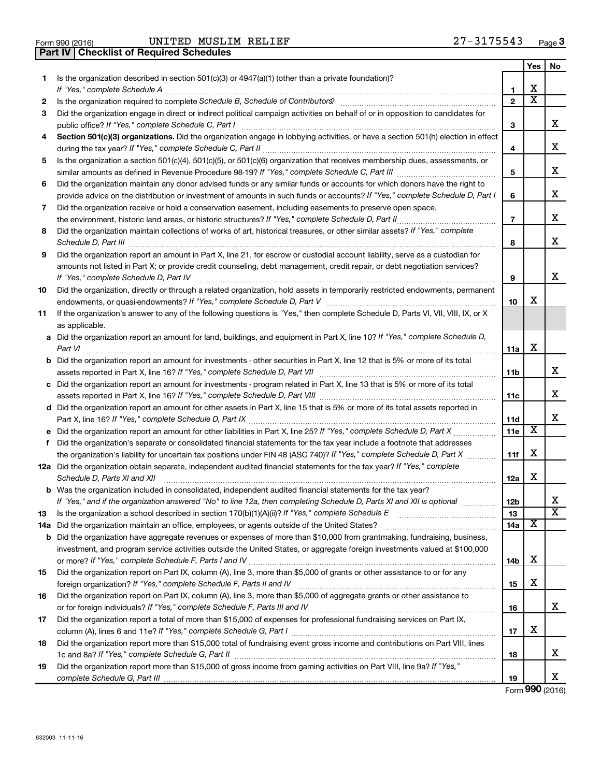| Form 990 (2016) |  |  |
|-----------------|--|--|

Form 990 (2016) Page UNITED MUSLIM RELIEF 27-3175543

|     | <b>Checklist of Required Schedules</b><br><b>Part IV</b>                                                                                                                                                                            |                 |                         |                         |
|-----|-------------------------------------------------------------------------------------------------------------------------------------------------------------------------------------------------------------------------------------|-----------------|-------------------------|-------------------------|
|     |                                                                                                                                                                                                                                     |                 | Yes                     | No.                     |
| 1   | Is the organization described in section $501(c)(3)$ or $4947(a)(1)$ (other than a private foundation)?                                                                                                                             |                 |                         |                         |
|     |                                                                                                                                                                                                                                     | 1               | X                       |                         |
| 2   |                                                                                                                                                                                                                                     | $\mathbf{2}$    | $\overline{\textbf{X}}$ |                         |
| 3   | Did the organization engage in direct or indirect political campaign activities on behalf of or in opposition to candidates for                                                                                                     |                 |                         |                         |
|     |                                                                                                                                                                                                                                     | 3               |                         | x                       |
| 4   | Section 501(c)(3) organizations. Did the organization engage in lobbying activities, or have a section 501(h) election in effect                                                                                                    |                 |                         |                         |
|     |                                                                                                                                                                                                                                     | 4               |                         | x                       |
| 5   | Is the organization a section 501(c)(4), 501(c)(5), or 501(c)(6) organization that receives membership dues, assessments, or                                                                                                        |                 |                         |                         |
|     |                                                                                                                                                                                                                                     | 5               |                         | х                       |
| 6   | Did the organization maintain any donor advised funds or any similar funds or accounts for which donors have the right to                                                                                                           |                 |                         |                         |
|     | provide advice on the distribution or investment of amounts in such funds or accounts? If "Yes," complete Schedule D, Part I                                                                                                        | 6               |                         | х                       |
| 7   | Did the organization receive or hold a conservation easement, including easements to preserve open space,                                                                                                                           |                 |                         |                         |
|     |                                                                                                                                                                                                                                     | $\overline{7}$  |                         | х                       |
| 8   | Did the organization maintain collections of works of art, historical treasures, or other similar assets? If "Yes," complete                                                                                                        |                 |                         |                         |
|     | Schedule D, Part III <b>Marting Communities</b> and the contract of the contract of the contract of the contract of the contract of the contract of the contract of the contract of the contract of the contract of the contract of | 8               |                         | х                       |
| 9   | Did the organization report an amount in Part X, line 21, for escrow or custodial account liability, serve as a custodian for                                                                                                       |                 |                         |                         |
|     | amounts not listed in Part X; or provide credit counseling, debt management, credit repair, or debt negotiation services?                                                                                                           |                 |                         |                         |
|     | If "Yes," complete Schedule D, Part IV                                                                                                                                                                                              | 9               |                         | х                       |
| 10  | Did the organization, directly or through a related organization, hold assets in temporarily restricted endowments, permanent                                                                                                       |                 |                         |                         |
|     |                                                                                                                                                                                                                                     | 10              | X                       |                         |
| 11  | If the organization's answer to any of the following questions is "Yes," then complete Schedule D, Parts VI, VII, VIII, IX, or X                                                                                                    |                 |                         |                         |
|     | as applicable.                                                                                                                                                                                                                      |                 |                         |                         |
|     | a Did the organization report an amount for land, buildings, and equipment in Part X, line 10? If "Yes," complete Schedule D,                                                                                                       |                 |                         |                         |
|     | Part VI                                                                                                                                                                                                                             | 11a             | X                       |                         |
|     | <b>b</b> Did the organization report an amount for investments - other securities in Part X, line 12 that is 5% or more of its total                                                                                                |                 |                         |                         |
|     |                                                                                                                                                                                                                                     | 11 <sub>b</sub> |                         | x                       |
|     | c Did the organization report an amount for investments - program related in Part X, line 13 that is 5% or more of its total                                                                                                        |                 |                         |                         |
|     |                                                                                                                                                                                                                                     | 11c             |                         | x                       |
|     | d Did the organization report an amount for other assets in Part X, line 15 that is 5% or more of its total assets reported in                                                                                                      |                 |                         |                         |
|     |                                                                                                                                                                                                                                     | 11d             | X                       | х                       |
|     |                                                                                                                                                                                                                                     | <b>11e</b>      |                         |                         |
|     | f Did the organization's separate or consolidated financial statements for the tax year include a footnote that addresses                                                                                                           |                 | X                       |                         |
|     | the organization's liability for uncertain tax positions under FIN 48 (ASC 740)? If "Yes," complete Schedule D, Part X                                                                                                              | 11f             |                         |                         |
|     | 12a Did the organization obtain separate, independent audited financial statements for the tax year? If "Yes," complete                                                                                                             |                 | X                       |                         |
|     | Schedule D, Parts XI and XII<br><b>b</b> Was the organization included in consolidated, independent audited financial statements for the tax year?                                                                                  | 12a             |                         |                         |
|     | If "Yes," and if the organization answered "No" to line 12a, then completing Schedule D, Parts XI and XII is optional                                                                                                               | 12b             |                         | х                       |
| 13  |                                                                                                                                                                                                                                     | 13              |                         | $\overline{\texttt{x}}$ |
| 14a |                                                                                                                                                                                                                                     | 14a             | х                       |                         |
| b   | Did the organization have aggregate revenues or expenses of more than \$10,000 from grantmaking, fundraising, business,                                                                                                             |                 |                         |                         |
|     | investment, and program service activities outside the United States, or aggregate foreign investments valued at \$100,000                                                                                                          |                 |                         |                         |
|     |                                                                                                                                                                                                                                     | 14b             | X                       |                         |
| 15  | Did the organization report on Part IX, column (A), line 3, more than \$5,000 of grants or other assistance to or for any                                                                                                           |                 |                         |                         |
|     |                                                                                                                                                                                                                                     | 15              | х                       |                         |
| 16  | Did the organization report on Part IX, column (A), line 3, more than \$5,000 of aggregate grants or other assistance to                                                                                                            |                 |                         |                         |
|     |                                                                                                                                                                                                                                     | 16              |                         | x                       |
| 17  | Did the organization report a total of more than \$15,000 of expenses for professional fundraising services on Part IX,                                                                                                             |                 |                         |                         |
|     |                                                                                                                                                                                                                                     | 17              | х                       |                         |
| 18  | Did the organization report more than \$15,000 total of fundraising event gross income and contributions on Part VIII, lines                                                                                                        |                 |                         |                         |
|     |                                                                                                                                                                                                                                     | 18              |                         | х                       |
| 19  | Did the organization report more than \$15,000 of gross income from gaming activities on Part VIII, line 9a? If "Yes,"                                                                                                              |                 |                         |                         |
|     |                                                                                                                                                                                                                                     | 19              |                         | x                       |

Form (2016) **990**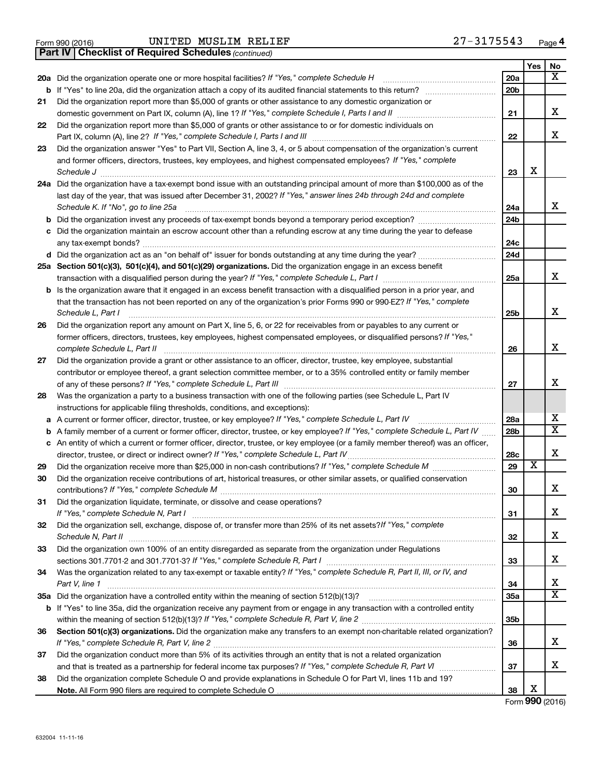Form 990 (2016) Page UNITED MUSLIM RELIEF 27-3175543

*(continued)* **Part IV Checklist of Required Schedules**

|     |                                                                                                                                 |                 | Yes                     | No                      |
|-----|---------------------------------------------------------------------------------------------------------------------------------|-----------------|-------------------------|-------------------------|
| 20a | Did the organization operate one or more hospital facilities? If "Yes," complete Schedule H                                     | 20a             |                         | x                       |
| b   | If "Yes" to line 20a, did the organization attach a copy of its audited financial statements to this return?                    | 20 <sub>b</sub> |                         |                         |
| 21  | Did the organization report more than \$5,000 of grants or other assistance to any domestic organization or                     |                 |                         |                         |
|     | domestic government on Part IX, column (A), line 1? If "Yes," complete Schedule I, Parts I and II                               | 21              |                         | x                       |
| 22  | Did the organization report more than \$5,000 of grants or other assistance to or for domestic individuals on                   |                 |                         |                         |
|     | Part IX, column (A), line 2? If "Yes," complete Schedule I, Parts I and III                                                     | 22              |                         | x                       |
| 23  | Did the organization answer "Yes" to Part VII, Section A, line 3, 4, or 5 about compensation of the organization's current      |                 |                         |                         |
|     | and former officers, directors, trustees, key employees, and highest compensated employees? If "Yes," complete                  |                 |                         |                         |
|     | Schedule J                                                                                                                      | 23              | x                       |                         |
| 24a | Did the organization have a tax-exempt bond issue with an outstanding principal amount of more than \$100,000 as of the         |                 |                         |                         |
|     | last day of the year, that was issued after December 31, 2002? If "Yes," answer lines 24b through 24d and complete              |                 |                         |                         |
|     | Schedule K. If "No", go to line 25a                                                                                             | 24a             |                         | x                       |
| b   | Did the organization invest any proceeds of tax-exempt bonds beyond a temporary period exception?                               | 24b             |                         |                         |
| с   | Did the organization maintain an escrow account other than a refunding escrow at any time during the year to defease            |                 |                         |                         |
|     | any tax-exempt bonds?                                                                                                           | 24c             |                         |                         |
|     |                                                                                                                                 | 24d             |                         |                         |
|     | 25a Section 501(c)(3), 501(c)(4), and 501(c)(29) organizations. Did the organization engage in an excess benefit                |                 |                         |                         |
|     | transaction with a disqualified person during the year? If "Yes," complete Schedule L, Part I                                   | 25a             |                         | x                       |
| b   | Is the organization aware that it engaged in an excess benefit transaction with a disqualified person in a prior year, and      |                 |                         |                         |
|     | that the transaction has not been reported on any of the organization's prior Forms 990 or 990-EZ? If "Yes," complete           |                 |                         |                         |
|     | Schedule L, Part I                                                                                                              | 25b             |                         | x                       |
| 26  | Did the organization report any amount on Part X, line 5, 6, or 22 for receivables from or payables to any current or           |                 |                         |                         |
|     | former officers, directors, trustees, key employees, highest compensated employees, or disqualified persons? If "Yes,"          |                 |                         |                         |
|     | complete Schedule L, Part II                                                                                                    | 26              |                         | x                       |
| 27  | Did the organization provide a grant or other assistance to an officer, director, trustee, key employee, substantial            |                 |                         |                         |
|     | contributor or employee thereof, a grant selection committee member, or to a 35% controlled entity or family member             |                 |                         | х                       |
|     |                                                                                                                                 | 27              |                         |                         |
| 28  | Was the organization a party to a business transaction with one of the following parties (see Schedule L, Part IV               |                 |                         |                         |
|     | instructions for applicable filing thresholds, conditions, and exceptions):                                                     |                 |                         | х                       |
| а   | A current or former officer, director, trustee, or key employee? If "Yes," complete Schedule L, Part IV                         | 28a             |                         | $\overline{\mathtt{x}}$ |
| b   | A family member of a current or former officer, director, trustee, or key employee? If "Yes," complete Schedule L, Part IV      | 28b             |                         |                         |
| с   | An entity of which a current or former officer, director, trustee, or key employee (or a family member thereof) was an officer, |                 |                         | X                       |
|     | director, trustee, or direct or indirect owner? If "Yes," complete Schedule L, Part IV                                          | 28c<br>29       | $\overline{\textbf{x}}$ |                         |
| 29  | Did the organization receive contributions of art, historical treasures, or other similar assets, or qualified conservation     |                 |                         |                         |
| 30  |                                                                                                                                 |                 |                         | X                       |
|     |                                                                                                                                 | 30              |                         |                         |
| 31  | Did the organization liquidate, terminate, or dissolve and cease operations?<br>If "Yes." complete Schedule N, Part I           | 31              |                         | X                       |
| 32  | Did the organization sell, exchange, dispose of, or transfer more than 25% of its net assets? If "Yes," complete                |                 |                         |                         |
|     |                                                                                                                                 | 32              |                         | x                       |
| 33  | Did the organization own 100% of an entity disregarded as separate from the organization under Regulations                      |                 |                         |                         |
|     |                                                                                                                                 | 33              |                         | x                       |
| 34  | Was the organization related to any tax-exempt or taxable entity? If "Yes," complete Schedule R, Part II, III, or IV, and       |                 |                         |                         |
|     | Part V, line 1                                                                                                                  | 34              |                         | x                       |
| 35a |                                                                                                                                 | <b>35a</b>      |                         | $\overline{\mathbf{X}}$ |
| b   | If "Yes" to line 35a, did the organization receive any payment from or engage in any transaction with a controlled entity       |                 |                         |                         |
|     |                                                                                                                                 | 35b             |                         |                         |
| 36  | Section 501(c)(3) organizations. Did the organization make any transfers to an exempt non-charitable related organization?      |                 |                         |                         |
|     |                                                                                                                                 | 36              |                         | x                       |
| 37  | Did the organization conduct more than 5% of its activities through an entity that is not a related organization                |                 |                         |                         |
|     |                                                                                                                                 | 37              |                         | x                       |
| 38  | Did the organization complete Schedule O and provide explanations in Schedule O for Part VI, lines 11b and 19?                  |                 |                         |                         |
|     |                                                                                                                                 | 38              | х                       |                         |

Form (2016) **990**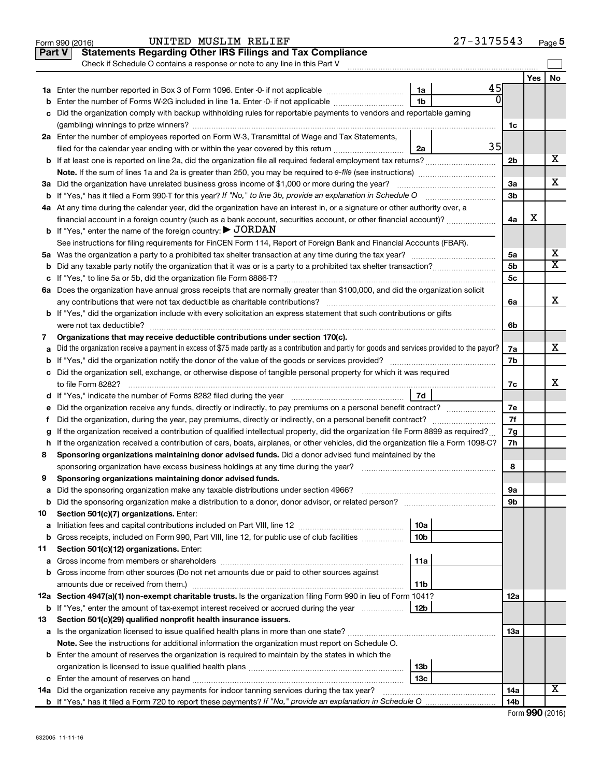|    | UNITED MUSLIM RELIEF<br>Form 990 (2016)                                                                                                         |                 | $27 - 3175543$ |     |     | Page 5                  |
|----|-------------------------------------------------------------------------------------------------------------------------------------------------|-----------------|----------------|-----|-----|-------------------------|
|    | <b>Statements Regarding Other IRS Filings and Tax Compliance</b><br><b>Part V</b>                                                               |                 |                |     |     |                         |
|    | Check if Schedule O contains a response or note to any line in this Part V                                                                      |                 |                |     |     |                         |
|    |                                                                                                                                                 |                 |                |     | Yes | No                      |
|    |                                                                                                                                                 | 1a              | 45             |     |     |                         |
| b  | Enter the number of Forms W-2G included in line 1a. Enter -0- if not applicable                                                                 | 1 <sub>b</sub>  | Э              |     |     |                         |
|    | c Did the organization comply with backup withholding rules for reportable payments to vendors and reportable gaming                            |                 |                |     |     |                         |
|    |                                                                                                                                                 |                 |                | 1c  |     |                         |
|    | 2a Enter the number of employees reported on Form W-3, Transmittal of Wage and Tax Statements,                                                  |                 |                |     |     |                         |
|    | filed for the calendar year ending with or within the year covered by this return                                                               | 2a              | 35             |     |     |                         |
|    |                                                                                                                                                 |                 |                | 2b  |     | х                       |
|    |                                                                                                                                                 |                 |                |     |     |                         |
|    | 3a Did the organization have unrelated business gross income of \$1,000 or more during the year?                                                |                 |                | 3a  |     | х                       |
|    | <b>b</b> If "Yes," has it filed a Form 990-T for this year? If "No," to line 3b, provide an explanation in Schedule O                           |                 |                | 3b  |     |                         |
|    | 4a At any time during the calendar year, did the organization have an interest in, or a signature or other authority over, a                    |                 |                |     |     |                         |
|    | financial account in a foreign country (such as a bank account, securities account, or other financial account)?                                |                 |                | 4a  | х   |                         |
|    | <b>b</b> If "Yes," enter the name of the foreign country: $\blacktriangleright$ JORDAN                                                          |                 |                |     |     |                         |
|    | See instructions for filing requirements for FinCEN Form 114, Report of Foreign Bank and Financial Accounts (FBAR).                             |                 |                |     |     | х                       |
|    |                                                                                                                                                 |                 |                | 5a  |     | $\overline{\texttt{x}}$ |
|    | <b>b</b> Did any taxable party notify the organization that it was or is a party to a prohibited tax shelter transaction?                       |                 |                | 5b  |     |                         |
|    |                                                                                                                                                 |                 |                | 5c  |     |                         |
|    | 6a Does the organization have annual gross receipts that are normally greater than \$100,000, and did the organization solicit                  |                 |                |     |     | x                       |
|    | <b>b</b> If "Yes," did the organization include with every solicitation an express statement that such contributions or gifts                   |                 |                | 6a  |     |                         |
|    |                                                                                                                                                 |                 |                | 6b  |     |                         |
| 7  | Organizations that may receive deductible contributions under section 170(c).                                                                   |                 |                |     |     |                         |
| a  | Did the organization receive a payment in excess of \$75 made partly as a contribution and partly for goods and services provided to the payor? |                 |                | 7a  |     | х                       |
|    |                                                                                                                                                 |                 |                | 7b  |     |                         |
|    | c Did the organization sell, exchange, or otherwise dispose of tangible personal property for which it was required                             |                 |                |     |     |                         |
|    |                                                                                                                                                 |                 |                | 7c  |     | x                       |
|    |                                                                                                                                                 |                 |                |     |     |                         |
|    |                                                                                                                                                 |                 |                | 7e  |     |                         |
| f. | Did the organization, during the year, pay premiums, directly or indirectly, on a personal benefit contract?                                    |                 |                | 7f  |     |                         |
|    | If the organization received a contribution of qualified intellectual property, did the organization file Form 8899 as required?                |                 |                | 7g  |     |                         |
|    | h If the organization received a contribution of cars, boats, airplanes, or other vehicles, did the organization file a Form 1098-C?            |                 |                | 7h  |     |                         |
| 8  | Sponsoring organizations maintaining donor advised funds. Did a donor advised fund maintained by the                                            |                 |                |     |     |                         |
|    |                                                                                                                                                 |                 |                | 8   |     |                         |
|    | Sponsoring organizations maintaining donor advised funds.                                                                                       |                 |                |     |     |                         |
| а  |                                                                                                                                                 |                 |                | 9а  |     |                         |
| b  |                                                                                                                                                 |                 |                | 9b  |     |                         |
| 10 | Section 501(c)(7) organizations. Enter:                                                                                                         |                 |                |     |     |                         |
| a  |                                                                                                                                                 | 10a             |                |     |     |                         |
| b  | Gross receipts, included on Form 990, Part VIII, line 12, for public use of club facilities                                                     | 10 <sub>b</sub> |                |     |     |                         |
| 11 | Section 501(c)(12) organizations. Enter:                                                                                                        |                 |                |     |     |                         |
| а  |                                                                                                                                                 | 11a             |                |     |     |                         |
|    | b Gross income from other sources (Do not net amounts due or paid to other sources against                                                      |                 |                |     |     |                         |
|    | amounts due or received from them.)                                                                                                             | 11b             |                |     |     |                         |
|    | 12a Section 4947(a)(1) non-exempt charitable trusts. Is the organization filing Form 990 in lieu of Form 1041?                                  |                 |                | 12a |     |                         |
|    | <b>b</b> If "Yes," enter the amount of tax-exempt interest received or accrued during the year                                                  | 12b             |                |     |     |                         |
| 13 | Section 501(c)(29) qualified nonprofit health insurance issuers.                                                                                |                 |                |     |     |                         |
|    | a Is the organization licensed to issue qualified health plans in more than one state?                                                          |                 |                | 1За |     |                         |
|    | Note. See the instructions for additional information the organization must report on Schedule O.                                               |                 |                |     |     |                         |
|    | <b>b</b> Enter the amount of reserves the organization is required to maintain by the states in which the                                       | 13b             |                |     |     |                         |
|    |                                                                                                                                                 | 13 <sub>c</sub> |                |     |     |                         |
|    | 14a Did the organization receive any payments for indoor tanning services during the tax year?                                                  |                 |                | 14a |     | x                       |
|    |                                                                                                                                                 |                 |                | 14b |     |                         |
|    |                                                                                                                                                 |                 |                |     |     |                         |

|  |  | Form 990 (2016) |
|--|--|-----------------|
|--|--|-----------------|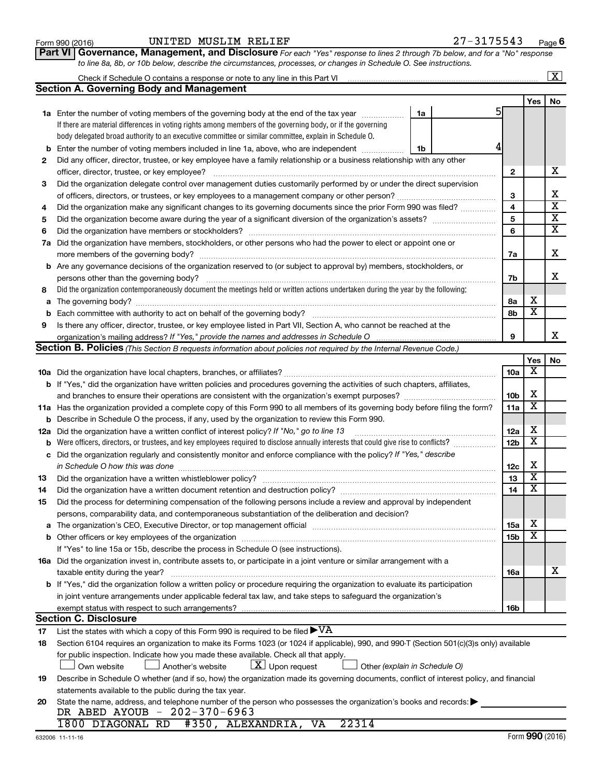| Form 990 (2016) |  |
|-----------------|--|
|-----------------|--|

#### Form 990 (2016) Page UNITED MUSLIM RELIEF 27-3175543

**Part VI** Governance, Management, and Disclosure For each "Yes" response to lines 2 through 7b below, and for a "No" response *to line 8a, 8b, or 10b below, describe the circumstances, processes, or changes in Schedule O. See instructions.*

|     |                                                                                                                                                                                                                                                  |                 |                         | $\mathbf{X}$            |
|-----|--------------------------------------------------------------------------------------------------------------------------------------------------------------------------------------------------------------------------------------------------|-----------------|-------------------------|-------------------------|
|     | Section A. Governing Body and Management                                                                                                                                                                                                         |                 |                         |                         |
|     |                                                                                                                                                                                                                                                  |                 | Yes                     | No                      |
|     | <b>1a</b> Enter the number of voting members of the governing body at the end of the tax year<br>1a                                                                                                                                              | 5               |                         |                         |
|     | If there are material differences in voting rights among members of the governing body, or if the governing                                                                                                                                      |                 |                         |                         |
|     | body delegated broad authority to an executive committee or similar committee, explain in Schedule O.                                                                                                                                            |                 |                         |                         |
| b   | Enter the number of voting members included in line 1a, above, who are independent<br>1b                                                                                                                                                         |                 |                         |                         |
| 2   | Did any officer, director, trustee, or key employee have a family relationship or a business relationship with any other                                                                                                                         |                 |                         |                         |
|     | officer, director, trustee, or key employee?                                                                                                                                                                                                     | 2               |                         | х                       |
| 3   | Did the organization delegate control over management duties customarily performed by or under the direct supervision                                                                                                                            |                 |                         |                         |
|     |                                                                                                                                                                                                                                                  | 3               |                         | х                       |
| 4   | Did the organization make any significant changes to its governing documents since the prior Form 990 was filed?                                                                                                                                 | 4               |                         | $\overline{\textbf{x}}$ |
| 5   |                                                                                                                                                                                                                                                  | 5               |                         | $\overline{\textbf{X}}$ |
| 6   | Did the organization have members or stockholders?                                                                                                                                                                                               | 6               |                         | $\overline{\textbf{X}}$ |
| 7a  | Did the organization have members, stockholders, or other persons who had the power to elect or appoint one or                                                                                                                                   |                 |                         |                         |
|     |                                                                                                                                                                                                                                                  | 7a              |                         | x                       |
|     | <b>b</b> Are any governance decisions of the organization reserved to (or subject to approval by) members, stockholders, or                                                                                                                      |                 |                         |                         |
|     | persons other than the governing body?                                                                                                                                                                                                           | 7b              |                         | x                       |
| 8   | Did the organization contemporaneously document the meetings held or written actions undertaken during the year by the following:                                                                                                                |                 |                         |                         |
| a   |                                                                                                                                                                                                                                                  | 8а              | х                       |                         |
| b   |                                                                                                                                                                                                                                                  | 8b              | $\overline{\textbf{x}}$ |                         |
| 9   | Is there any officer, director, trustee, or key employee listed in Part VII, Section A, who cannot be reached at the                                                                                                                             |                 |                         |                         |
|     |                                                                                                                                                                                                                                                  | 9               |                         | x                       |
|     | Section B. Policies (This Section B requests information about policies not required by the Internal Revenue Code.)                                                                                                                              |                 |                         |                         |
|     |                                                                                                                                                                                                                                                  |                 | Yes                     | No                      |
|     |                                                                                                                                                                                                                                                  | 10a             | х                       |                         |
|     | <b>b</b> If "Yes," did the organization have written policies and procedures governing the activities of such chapters, affiliates,                                                                                                              |                 |                         |                         |
|     |                                                                                                                                                                                                                                                  | 10 <sub>b</sub> | X                       |                         |
|     | 11a Has the organization provided a complete copy of this Form 990 to all members of its governing body before filing the form?                                                                                                                  | 11a             | $\overline{\mathbf{X}}$ |                         |
| b   | Describe in Schedule O the process, if any, used by the organization to review this Form 990.                                                                                                                                                    |                 |                         |                         |
| 12a | Did the organization have a written conflict of interest policy? If "No," go to line 13                                                                                                                                                          | 12a             | X                       |                         |
| b   | Were officers, directors, or trustees, and key employees required to disclose annually interests that could give rise to conflicts?                                                                                                              | 12 <sub>b</sub> | х                       |                         |
| с   | Did the organization regularly and consistently monitor and enforce compliance with the policy? If "Yes," describe                                                                                                                               |                 |                         |                         |
|     | in Schedule O how this was done                                                                                                                                                                                                                  | 12c             | х                       |                         |
| 13  | Did the organization have a written whistleblower policy?                                                                                                                                                                                        | 13              | $\overline{\textbf{x}}$ |                         |
| 14  |                                                                                                                                                                                                                                                  | 14              | $\overline{\mathbf{X}}$ |                         |
| 15  | Did the process for determining compensation of the following persons include a review and approval by independent                                                                                                                               |                 |                         |                         |
|     | persons, comparability data, and contemporaneous substantiation of the deliberation and decision?                                                                                                                                                |                 |                         |                         |
| а   | The organization's CEO, Executive Director, or top management official manufactured content of the organization's CEO, Executive Director, or top management official manufactured content of the organization's CEO, Executiv                   | 15a             | х<br>X                  |                         |
|     |                                                                                                                                                                                                                                                  | 15b             |                         |                         |
|     | If "Yes" to line 15a or 15b, describe the process in Schedule O (see instructions).                                                                                                                                                              |                 |                         |                         |
|     | 16a Did the organization invest in, contribute assets to, or participate in a joint venture or similar arrangement with a                                                                                                                        |                 |                         | x                       |
|     | taxable entity during the year?                                                                                                                                                                                                                  | 16a             |                         |                         |
|     | b If "Yes," did the organization follow a written policy or procedure requiring the organization to evaluate its participation<br>in joint venture arrangements under applicable federal tax law, and take steps to safequard the organization's |                 |                         |                         |
|     |                                                                                                                                                                                                                                                  | 16b             |                         |                         |
|     | exempt status with respect to such arrangements?<br><b>Section C. Disclosure</b>                                                                                                                                                                 |                 |                         |                         |
| 17  | List the states with which a copy of this Form 990 is required to be filed $\blacktriangleright\mathrm{VA}$                                                                                                                                      |                 |                         |                         |
| 18  | Section 6104 requires an organization to make its Forms 1023 (or 1024 if applicable), 990, and 990-T (Section 501(c)(3)s only) available                                                                                                         |                 |                         |                         |
|     | for public inspection. Indicate how you made these available. Check all that apply.                                                                                                                                                              |                 |                         |                         |
|     | $ \underline{X} $ Upon request<br>Another's website<br>Other (explain in Schedule O)<br>Own website                                                                                                                                              |                 |                         |                         |
| 19  | Describe in Schedule O whether (and if so, how) the organization made its governing documents, conflict of interest policy, and financial                                                                                                        |                 |                         |                         |
|     | statements available to the public during the tax year.                                                                                                                                                                                          |                 |                         |                         |
| 20  | State the name, address, and telephone number of the person who possesses the organization's books and records:                                                                                                                                  |                 |                         |                         |
|     | DR ABED AYOUB - 202-370-6963                                                                                                                                                                                                                     |                 |                         |                         |
|     | 1800 DIAGONAL RD<br>#350, ALEXANDRIA,<br>22314<br>VA                                                                                                                                                                                             |                 |                         |                         |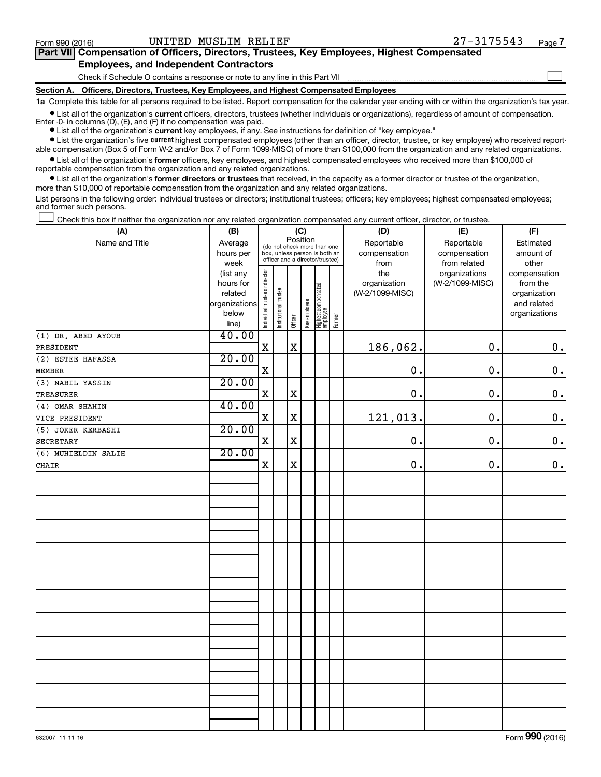$\Box$ 

| Part VII Compensation of Officers, Directors, Trustees, Key Employees, Highest Compensated |  |  |
|--------------------------------------------------------------------------------------------|--|--|
| <b>Employees, and Independent Contractors</b>                                              |  |  |

Check if Schedule O contains a response or note to any line in this Part VII

**Section A. Officers, Directors, Trustees, Key Employees, and Highest Compensated Employees**

**1a**  Complete this table for all persons required to be listed. Report compensation for the calendar year ending with or within the organization's tax year.

**•** List all of the organization's current officers, directors, trustees (whether individuals or organizations), regardless of amount of compensation. Enter -0- in columns  $(D)$ ,  $(E)$ , and  $(F)$  if no compensation was paid.

**•** List all of the organization's **current** key employees, if any. See instructions for definition of "key employee."

**•** List the organization's five current highest compensated employees (other than an officer, director, trustee, or key employee) who received reportable compensation (Box 5 of Form W-2 and/or Box 7 of Form 1099-MISC) of more than \$100,000 from the organization and any related organizations.

**•** List all of the organization's former officers, key employees, and highest compensated employees who received more than \$100,000 of reportable compensation from the organization and any related organizations.

**•** List all of the organization's former directors or trustees that received, in the capacity as a former director or trustee of the organization, more than \$10,000 of reportable compensation from the organization and any related organizations.

List persons in the following order: individual trustees or directors; institutional trustees; officers; key employees; highest compensated employees; and former such persons.

|  |  |  | Check this box if neither the organization nor any related organization compensated any current officer, director, or trustee. |  |  |
|--|--|--|--------------------------------------------------------------------------------------------------------------------------------|--|--|
|  |  |  |                                                                                                                                |  |  |

| (A)                 | (B)            | (C)                            |                                                                  |             |              |                                   |        | (D)             | (E)             | (F)           |
|---------------------|----------------|--------------------------------|------------------------------------------------------------------|-------------|--------------|-----------------------------------|--------|-----------------|-----------------|---------------|
| Name and Title      | Average        |                                | Position<br>(do not check more than one                          |             |              |                                   |        | Reportable      | Reportable      | Estimated     |
|                     | hours per      |                                | box, unless person is both an<br>officer and a director/trustee) |             |              |                                   |        | compensation    | compensation    | amount of     |
|                     | week           |                                |                                                                  |             |              |                                   |        | from            | from related    | other         |
|                     | (list any      |                                |                                                                  |             |              |                                   |        | the             | organizations   | compensation  |
|                     | hours for      |                                |                                                                  |             |              |                                   |        | organization    | (W-2/1099-MISC) | from the      |
|                     | related        |                                |                                                                  |             |              |                                   |        | (W-2/1099-MISC) |                 | organization  |
|                     | organizations  |                                |                                                                  |             |              |                                   |        |                 |                 | and related   |
|                     | below<br>line) | Individual trustee or director | Institutional trustee                                            | Officer     | Key employee | Highest compensated<br>  employee | Former |                 |                 | organizations |
| (1) DR. ABED AYOUB  | 40.00          |                                |                                                                  |             |              |                                   |        |                 |                 |               |
| PRESIDENT           |                | $\mathbf X$                    |                                                                  | $\mathbf x$ |              |                                   |        | 186,062.        | 0.              | $\mathbf 0$ . |
| (2) ESTEE HAFASSA   | 20.00          |                                |                                                                  |             |              |                                   |        |                 |                 |               |
| <b>MEMBER</b>       |                | $\mathbf X$                    |                                                                  |             |              |                                   |        | $\mathbf 0$ .   | $\mathbf 0$ .   | $\mathbf 0$ . |
| (3) NABIL YASSIN    | 20.00          |                                |                                                                  |             |              |                                   |        |                 |                 |               |
| TREASURER           |                | X                              |                                                                  | $\mathbf X$ |              |                                   |        | $\mathbf 0$ .   | $\mathbf 0$ .   | $\mathbf 0$ . |
| (4) OMAR SHAHIN     | 40.00          |                                |                                                                  |             |              |                                   |        |                 |                 |               |
| VICE PRESIDENT      |                | $\mathbf X$                    |                                                                  | $\mathbf X$ |              |                                   |        | 121,013.        | 0.              | $\mathbf 0$ . |
| (5) JOKER KERBASHI  | 20.00          |                                |                                                                  |             |              |                                   |        |                 |                 |               |
| <b>SECRETARY</b>    |                | $\mathbf X$                    |                                                                  | $\mathbf X$ |              |                                   |        | $\mathbf 0$ .   | 0.              | $\mathbf 0$ . |
| (6) MUHIELDIN SALIH | 20.00          |                                |                                                                  |             |              |                                   |        |                 |                 |               |
| <b>CHAIR</b>        |                | $\mathbf X$                    |                                                                  | $\mathbf X$ |              |                                   |        | 0.              | 0.              | $0$ .         |
|                     |                |                                |                                                                  |             |              |                                   |        |                 |                 |               |
|                     |                |                                |                                                                  |             |              |                                   |        |                 |                 |               |
|                     |                |                                |                                                                  |             |              |                                   |        |                 |                 |               |
|                     |                |                                |                                                                  |             |              |                                   |        |                 |                 |               |
|                     |                |                                |                                                                  |             |              |                                   |        |                 |                 |               |
|                     |                |                                |                                                                  |             |              |                                   |        |                 |                 |               |
|                     |                |                                |                                                                  |             |              |                                   |        |                 |                 |               |
|                     |                |                                |                                                                  |             |              |                                   |        |                 |                 |               |
|                     |                |                                |                                                                  |             |              |                                   |        |                 |                 |               |
|                     |                |                                |                                                                  |             |              |                                   |        |                 |                 |               |
|                     |                |                                |                                                                  |             |              |                                   |        |                 |                 |               |
|                     |                |                                |                                                                  |             |              |                                   |        |                 |                 |               |
|                     |                |                                |                                                                  |             |              |                                   |        |                 |                 |               |
|                     |                |                                |                                                                  |             |              |                                   |        |                 |                 |               |
|                     |                |                                |                                                                  |             |              |                                   |        |                 |                 |               |
|                     |                |                                |                                                                  |             |              |                                   |        |                 |                 |               |
|                     |                |                                |                                                                  |             |              |                                   |        |                 |                 |               |
|                     |                |                                |                                                                  |             |              |                                   |        |                 |                 |               |
|                     |                |                                |                                                                  |             |              |                                   |        |                 |                 |               |
|                     |                |                                |                                                                  |             |              |                                   |        |                 |                 |               |
|                     |                |                                |                                                                  |             |              |                                   |        |                 |                 |               |
|                     |                |                                |                                                                  |             |              |                                   |        |                 |                 |               |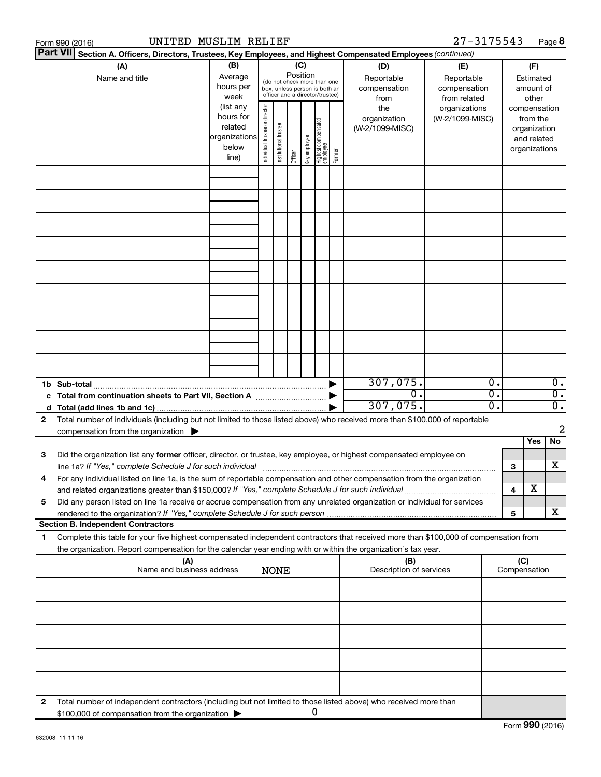| Form 990 (2016) | UNITED MUSLIM RELIEF                                                                                                                                                                                                                                   |  |  |             |  |  |   |  |                                                  | $27 - 3175543$                                                     |                                                          |                     | Page 8 |                  |
|-----------------|--------------------------------------------------------------------------------------------------------------------------------------------------------------------------------------------------------------------------------------------------------|--|--|-------------|--|--|---|--|--------------------------------------------------|--------------------------------------------------------------------|----------------------------------------------------------|---------------------|--------|------------------|
| <b>Part VII</b> | Section A. Officers, Directors, Trustees, Key Employees, and Highest Compensated Employees (continued)                                                                                                                                                 |  |  |             |  |  |   |  |                                                  |                                                                    |                                                          |                     |        |                  |
|                 | (B)<br>(C)<br>(A)<br>Position<br>Average<br>Name and title<br>(do not check more than one<br>hours per<br>box, unless person is both an<br>officer and a director/trustee)<br>week<br>(list any                                                        |  |  |             |  |  |   |  | (D)<br>Reportable<br>compensation<br>from<br>the | (E)<br>Reportable<br>compensation<br>from related<br>organizations | (F)<br>Estimated<br>amount of<br>other<br>compensation   |                     |        |                  |
|                 | Individual trustee or director<br>hours for<br>(W-2/1099-MISC)<br>organization<br>  Highest compensated<br>  employee<br>Institutional trustee<br>related<br>(W-2/1099-MISC)<br>organizations<br>Key employee<br>below<br>Former<br>Officer<br>line)   |  |  |             |  |  |   |  |                                                  |                                                                    | from the<br>organization<br>and related<br>organizations |                     |        |                  |
|                 |                                                                                                                                                                                                                                                        |  |  |             |  |  |   |  |                                                  |                                                                    |                                                          |                     |        |                  |
|                 |                                                                                                                                                                                                                                                        |  |  |             |  |  |   |  |                                                  |                                                                    |                                                          |                     |        |                  |
|                 |                                                                                                                                                                                                                                                        |  |  |             |  |  |   |  |                                                  |                                                                    |                                                          |                     |        |                  |
|                 |                                                                                                                                                                                                                                                        |  |  |             |  |  |   |  |                                                  |                                                                    |                                                          |                     |        |                  |
|                 |                                                                                                                                                                                                                                                        |  |  |             |  |  |   |  |                                                  |                                                                    |                                                          |                     |        |                  |
|                 |                                                                                                                                                                                                                                                        |  |  |             |  |  |   |  |                                                  |                                                                    |                                                          |                     |        |                  |
|                 |                                                                                                                                                                                                                                                        |  |  |             |  |  |   |  |                                                  |                                                                    |                                                          |                     |        |                  |
|                 |                                                                                                                                                                                                                                                        |  |  |             |  |  |   |  |                                                  |                                                                    |                                                          |                     |        |                  |
|                 |                                                                                                                                                                                                                                                        |  |  |             |  |  |   |  | 307,075.                                         |                                                                    | $\overline{\mathfrak{o}}$ .                              |                     |        | $\overline{0}$ . |
| 1b Sub-total    | c Total from continuation sheets to Part VII, Section A manuscreen continuum                                                                                                                                                                           |  |  |             |  |  |   |  | σ.                                               |                                                                    | $\overline{\mathfrak{o}}$ .                              |                     |        | $\overline{0}$ . |
|                 |                                                                                                                                                                                                                                                        |  |  |             |  |  |   |  | 307,075.                                         |                                                                    | $\overline{0}$ .                                         |                     |        | $\overline{0}$ . |
| 2               | Total number of individuals (including but not limited to those listed above) who received more than \$100,000 of reportable<br>compensation from the organization $\blacktriangleright$                                                               |  |  |             |  |  |   |  |                                                  |                                                                    |                                                          |                     |        | 2                |
|                 |                                                                                                                                                                                                                                                        |  |  |             |  |  |   |  |                                                  |                                                                    |                                                          |                     | Yes    | No               |
| 3               | Did the organization list any former officer, director, or trustee, key employee, or highest compensated employee on                                                                                                                                   |  |  |             |  |  |   |  |                                                  |                                                                    |                                                          | З                   |        | х                |
|                 | For any individual listed on line 1a, is the sum of reportable compensation and other compensation from the organization<br>and related organizations greater than \$150,000? If "Yes," complete Schedule J for such individual                        |  |  |             |  |  |   |  |                                                  |                                                                    |                                                          | 4                   | х      |                  |
| 5               | Did any person listed on line 1a receive or accrue compensation from any unrelated organization or individual for services                                                                                                                             |  |  |             |  |  |   |  |                                                  |                                                                    |                                                          | 5                   |        | x                |
|                 | <b>Section B. Independent Contractors</b>                                                                                                                                                                                                              |  |  |             |  |  |   |  |                                                  |                                                                    |                                                          |                     |        |                  |
| 1.              | Complete this table for your five highest compensated independent contractors that received more than \$100,000 of compensation from<br>the organization. Report compensation for the calendar year ending with or within the organization's tax year. |  |  |             |  |  |   |  |                                                  |                                                                    |                                                          |                     |        |                  |
|                 | (A)<br>Name and business address                                                                                                                                                                                                                       |  |  | <b>NONE</b> |  |  |   |  | (B)<br>Description of services                   |                                                                    |                                                          | (C)<br>Compensation |        |                  |
|                 |                                                                                                                                                                                                                                                        |  |  |             |  |  |   |  |                                                  |                                                                    |                                                          |                     |        |                  |
|                 |                                                                                                                                                                                                                                                        |  |  |             |  |  |   |  |                                                  |                                                                    |                                                          |                     |        |                  |
|                 |                                                                                                                                                                                                                                                        |  |  |             |  |  |   |  |                                                  |                                                                    |                                                          |                     |        |                  |
|                 |                                                                                                                                                                                                                                                        |  |  |             |  |  |   |  |                                                  |                                                                    |                                                          |                     |        |                  |
| 2               | Total number of independent contractors (including but not limited to those listed above) who received more than                                                                                                                                       |  |  |             |  |  |   |  |                                                  |                                                                    |                                                          |                     |        |                  |
|                 | \$100,000 of compensation from the organization                                                                                                                                                                                                        |  |  |             |  |  | 0 |  |                                                  |                                                                    |                                                          |                     |        |                  |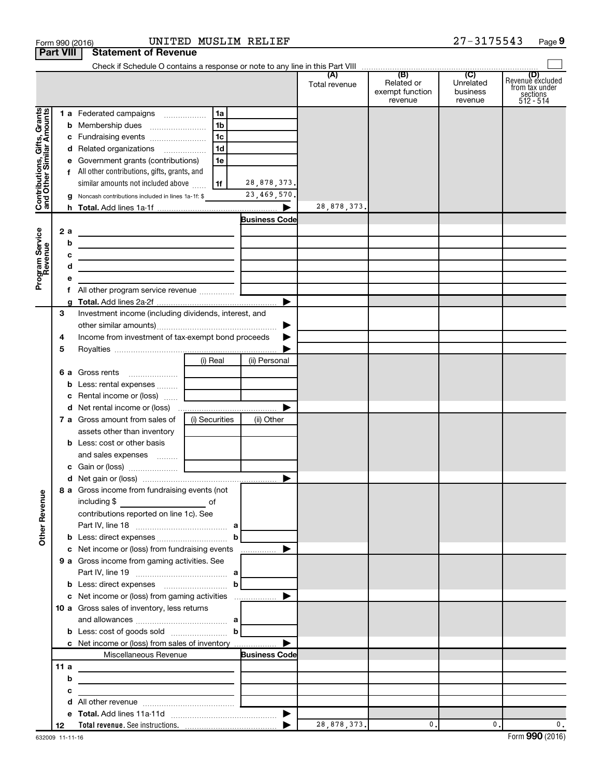|                                                           | Form 990 (2016)  |                                                                                                                       | UNITED MUSLIM RELIEF |                              |               |                                          | $27 - 3175543$                   | Page 9                                                             |
|-----------------------------------------------------------|------------------|-----------------------------------------------------------------------------------------------------------------------|----------------------|------------------------------|---------------|------------------------------------------|----------------------------------|--------------------------------------------------------------------|
|                                                           | <b>Part VIII</b> | <b>Statement of Revenue</b>                                                                                           |                      |                              |               |                                          |                                  |                                                                    |
|                                                           |                  |                                                                                                                       |                      |                              |               |                                          |                                  |                                                                    |
|                                                           |                  |                                                                                                                       |                      |                              | Total revenue | Related or<br>exempt function<br>revenue | Unrelated<br>business<br>revenue | (D)<br>Revenue excluded<br>from tax under<br>sections<br>512 - 514 |
|                                                           |                  | 1 a Federated campaigns                                                                                               | 1a                   |                              |               |                                          |                                  |                                                                    |
| Contributions, Gifts, Grants<br>and Other Similar Amounts |                  |                                                                                                                       | 1 <sub>b</sub>       |                              |               |                                          |                                  |                                                                    |
|                                                           |                  |                                                                                                                       | 1c                   |                              |               |                                          |                                  |                                                                    |
|                                                           |                  | d Related organizations                                                                                               | 1d                   |                              |               |                                          |                                  |                                                                    |
|                                                           |                  | e Government grants (contributions)                                                                                   | 1e                   |                              |               |                                          |                                  |                                                                    |
|                                                           |                  | f All other contributions, gifts, grants, and                                                                         |                      |                              |               |                                          |                                  |                                                                    |
|                                                           |                  | similar amounts not included above<br>g Noncash contributions included in lines 1a-1f: \$                             | l 1f l               | 28,878,373.<br>23, 469, 570. |               |                                          |                                  |                                                                    |
|                                                           |                  |                                                                                                                       |                      |                              | 28,878,373.   |                                          |                                  |                                                                    |
|                                                           |                  |                                                                                                                       |                      | <b>Business Code</b>         |               |                                          |                                  |                                                                    |
|                                                           | 2 a              | <u> 1989 - Johann John Stone, meil in der Stone aus der Stone aus der Stone aus der Stone aus der Stone aus der S</u> |                      |                              |               |                                          |                                  |                                                                    |
|                                                           | b                | the control of the control of the control of the control of the control of the control of                             |                      |                              |               |                                          |                                  |                                                                    |
|                                                           | с                | the contract of the contract of the contract of the contract of the contract of                                       |                      |                              |               |                                          |                                  |                                                                    |
|                                                           | d                | the control of the control of the control of the control of the control of the control of                             |                      |                              |               |                                          |                                  |                                                                    |
| Program Service<br>Revenue                                | е                |                                                                                                                       |                      |                              |               |                                          |                                  |                                                                    |
|                                                           | f.               | All other program service revenue                                                                                     |                      | $\blacktriangleright$        |               |                                          |                                  |                                                                    |
|                                                           | 3                | Investment income (including dividends, interest, and                                                                 |                      |                              |               |                                          |                                  |                                                                    |
|                                                           |                  |                                                                                                                       |                      | ▶                            |               |                                          |                                  |                                                                    |
|                                                           | 4                | Income from investment of tax-exempt bond proceeds                                                                    |                      | ▶                            |               |                                          |                                  |                                                                    |
|                                                           | 5                |                                                                                                                       |                      |                              |               |                                          |                                  |                                                                    |
|                                                           |                  |                                                                                                                       | (i) Real             | (ii) Personal                |               |                                          |                                  |                                                                    |
|                                                           |                  | 6 a Gross rents                                                                                                       |                      |                              |               |                                          |                                  |                                                                    |
|                                                           |                  | <b>b</b> Less: rental expenses                                                                                        |                      |                              |               |                                          |                                  |                                                                    |
|                                                           | с                | Rental income or (loss)                                                                                               |                      |                              |               |                                          |                                  |                                                                    |
|                                                           |                  |                                                                                                                       |                      |                              |               |                                          |                                  |                                                                    |
|                                                           |                  | 7 a Gross amount from sales of                                                                                        | (i) Securities       | (ii) Other                   |               |                                          |                                  |                                                                    |
|                                                           |                  | assets other than inventory<br><b>b</b> Less: cost or other basis                                                     |                      |                              |               |                                          |                                  |                                                                    |
|                                                           |                  | and sales expenses                                                                                                    |                      |                              |               |                                          |                                  |                                                                    |
|                                                           |                  |                                                                                                                       |                      |                              |               |                                          |                                  |                                                                    |
|                                                           |                  |                                                                                                                       |                      |                              |               |                                          |                                  |                                                                    |
|                                                           |                  | 8 a Gross income from fundraising events (not                                                                         |                      |                              |               |                                          |                                  |                                                                    |
| <b>Other Revenue</b>                                      |                  | including \$<br><u>________________________</u> of                                                                    |                      |                              |               |                                          |                                  |                                                                    |
|                                                           |                  | contributions reported on line 1c). See                                                                               |                      |                              |               |                                          |                                  |                                                                    |
|                                                           |                  |                                                                                                                       |                      |                              |               |                                          |                                  |                                                                    |
|                                                           |                  | <b>b</b> Less: direct expenses <b>b</b>                                                                               |                      |                              |               |                                          |                                  |                                                                    |
|                                                           |                  | c Net income or (loss) from fundraising events                                                                        |                      | ▶                            |               |                                          |                                  |                                                                    |
|                                                           |                  | 9 a Gross income from gaming activities. See                                                                          |                      |                              |               |                                          |                                  |                                                                    |
|                                                           |                  |                                                                                                                       |                      |                              |               |                                          |                                  |                                                                    |
|                                                           |                  | c Net income or (loss) from gaming activities                                                                         |                      | ▶                            |               |                                          |                                  |                                                                    |
|                                                           |                  | <b>10 a</b> Gross sales of inventory, less returns                                                                    |                      |                              |               |                                          |                                  |                                                                    |
|                                                           |                  |                                                                                                                       |                      |                              |               |                                          |                                  |                                                                    |
|                                                           |                  |                                                                                                                       |                      |                              |               |                                          |                                  |                                                                    |
|                                                           |                  | c Net income or (loss) from sales of inventory                                                                        |                      |                              |               |                                          |                                  |                                                                    |
|                                                           |                  | Miscellaneous Revenue                                                                                                 |                      | <b>Business Code</b>         |               |                                          |                                  |                                                                    |
|                                                           | 11 a             |                                                                                                                       |                      |                              |               |                                          |                                  |                                                                    |
|                                                           | b                | <u> 1980 - Johann Marie Barn, margaret eta idazlea (</u>                                                              |                      |                              |               |                                          |                                  |                                                                    |
|                                                           | c                |                                                                                                                       |                      |                              |               |                                          |                                  |                                                                    |
|                                                           | d<br>е           |                                                                                                                       |                      |                              |               |                                          |                                  |                                                                    |
|                                                           | 12               |                                                                                                                       |                      |                              | 28,878,373.   | $\mathbf{0}$ .                           | $\mathbf{0}$ .                   | 0.                                                                 |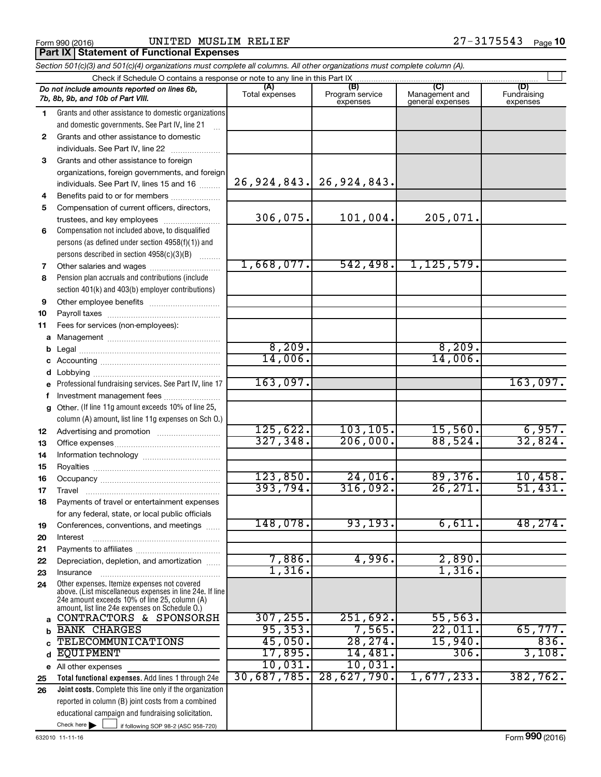#### Form 990 (2016) Page UNITED MUSLIM RELIEF 27-3175543 **Part IX Statement of Functional Expenses**

|              | Section 501(c)(3) and 501(c)(4) organizations must complete all columns. All other organizations must complete column (A).                                                                                  |                |                             |                                    |                         |
|--------------|-------------------------------------------------------------------------------------------------------------------------------------------------------------------------------------------------------------|----------------|-----------------------------|------------------------------------|-------------------------|
|              | Check if Schedule O contains a response or note to any line in this Part IX.                                                                                                                                | (A)            | (B)                         | (C)                                | (D)                     |
|              | Do not include amounts reported on lines 6b,<br>7b, 8b, 9b, and 10b of Part VIII.                                                                                                                           | Total expenses | Program service<br>expenses | Management and<br>general expenses | Fundraising<br>expenses |
| 1            | Grants and other assistance to domestic organizations                                                                                                                                                       |                |                             |                                    |                         |
|              | and domestic governments. See Part IV, line 21<br>$\mathbf{r}$                                                                                                                                              |                |                             |                                    |                         |
| $\mathbf{2}$ | Grants and other assistance to domestic                                                                                                                                                                     |                |                             |                                    |                         |
|              | individuals. See Part IV, line 22                                                                                                                                                                           |                |                             |                                    |                         |
| 3            | Grants and other assistance to foreign                                                                                                                                                                      |                |                             |                                    |                         |
|              | organizations, foreign governments, and foreign                                                                                                                                                             |                |                             |                                    |                         |
|              | individuals. See Part IV, lines 15 and 16                                                                                                                                                                   |                | 26, 924, 843. 26, 924, 843. |                                    |                         |
| 4            |                                                                                                                                                                                                             |                |                             |                                    |                         |
| 5            | Compensation of current officers, directors,                                                                                                                                                                |                |                             |                                    |                         |
|              | trustees, and key employees                                                                                                                                                                                 | 306,075.       | 101,004.                    | 205,071.                           |                         |
| 6            | Compensation not included above, to disqualified                                                                                                                                                            |                |                             |                                    |                         |
|              | persons (as defined under section 4958(f)(1)) and                                                                                                                                                           |                |                             |                                    |                         |
|              | persons described in section 4958(c)(3)(B)                                                                                                                                                                  | 1,668,077.     | 542,498.                    |                                    |                         |
| 7            |                                                                                                                                                                                                             |                |                             | 1, 125, 579.                       |                         |
| 8            | Pension plan accruals and contributions (include                                                                                                                                                            |                |                             |                                    |                         |
|              | section 401(k) and 403(b) employer contributions)                                                                                                                                                           |                |                             |                                    |                         |
| 9            |                                                                                                                                                                                                             |                |                             |                                    |                         |
| 10           |                                                                                                                                                                                                             |                |                             |                                    |                         |
| 11           | Fees for services (non-employees):                                                                                                                                                                          |                |                             |                                    |                         |
|              |                                                                                                                                                                                                             | 8,209.         |                             | 8,209.                             |                         |
| b            |                                                                                                                                                                                                             | 14,006.        |                             | 14,006.                            |                         |
|              |                                                                                                                                                                                                             |                |                             |                                    |                         |
| d            | Professional fundraising services. See Part IV, line 17                                                                                                                                                     | 163,097.       |                             |                                    | 163,097.                |
| f            | Investment management fees                                                                                                                                                                                  |                |                             |                                    |                         |
| g            | Other. (If line 11g amount exceeds 10% of line 25,                                                                                                                                                          |                |                             |                                    |                         |
|              | column (A) amount, list line 11g expenses on Sch O.)                                                                                                                                                        |                |                             |                                    |                         |
| 12           |                                                                                                                                                                                                             | 125,622.       | 103, 105.                   | 15,560.                            | 6,957.                  |
| 13           |                                                                                                                                                                                                             | 327,348.       | 206,000.                    | 88,524.                            | 32,824.                 |
| 14           |                                                                                                                                                                                                             |                |                             |                                    |                         |
| 15           |                                                                                                                                                                                                             |                |                             |                                    |                         |
| 16           |                                                                                                                                                                                                             | 123,850.       | 24,016.                     | 89,376.                            | 10,458.                 |
| 17           |                                                                                                                                                                                                             | 393,794.       | 316,092.                    | 26, 271.                           | 51,431.                 |
| 18           | Payments of travel or entertainment expenses                                                                                                                                                                |                |                             |                                    |                         |
|              | for any federal, state, or local public officials                                                                                                                                                           |                |                             |                                    |                         |
| 19           | Conferences, conventions, and meetings                                                                                                                                                                      | 148,078.       | 93, 193.                    | 6,611.                             | 48, 274.                |
| 20           | Interest                                                                                                                                                                                                    |                |                             |                                    |                         |
| 21           |                                                                                                                                                                                                             |                |                             |                                    |                         |
| 22           | Depreciation, depletion, and amortization                                                                                                                                                                   | 7,886.         | 4,996.                      | 2,890.                             |                         |
| 23           | Insurance                                                                                                                                                                                                   | 1,316.         |                             | 1,316.                             |                         |
| 24           | Other expenses. Itemize expenses not covered<br>above. (List miscellaneous expenses in line 24e. If line<br>24e amount exceeds 10% of line 25, column (A)<br>amount, list line 24e expenses on Schedule O.) |                |                             |                                    |                         |
| a            | CONTRACTORS & SPONSORSH                                                                                                                                                                                     | 307, 255.      | 251,692.                    | 55,563.                            |                         |
| b            | <b>BANK CHARGES</b>                                                                                                                                                                                         | 95, 353.       | 7,565.                      | 22,011.                            | 65,777.                 |
|              | <b>TELECOMMUNICATIONS</b>                                                                                                                                                                                   | 45,050.        | 28, 274.                    | 15,940.                            | 836.                    |
| d            | <b>EQUIPMENT</b>                                                                                                                                                                                            | 17,895.        | 14,481.                     | 306.                               | 3,108.                  |
|              | e All other expenses                                                                                                                                                                                        | 10,031.        | 10,031.                     |                                    |                         |
| 25           | Total functional expenses. Add lines 1 through 24e                                                                                                                                                          | 30,687,785.    | 28,627,790.                 | 1,677,233.                         | 382, 762.               |
| 26           | Joint costs. Complete this line only if the organization                                                                                                                                                    |                |                             |                                    |                         |
|              | reported in column (B) joint costs from a combined                                                                                                                                                          |                |                             |                                    |                         |
|              | educational campaign and fundraising solicitation.                                                                                                                                                          |                |                             |                                    |                         |
|              | Check here $\blacktriangleright$<br>if following SOP 98-2 (ASC 958-720)                                                                                                                                     |                |                             |                                    |                         |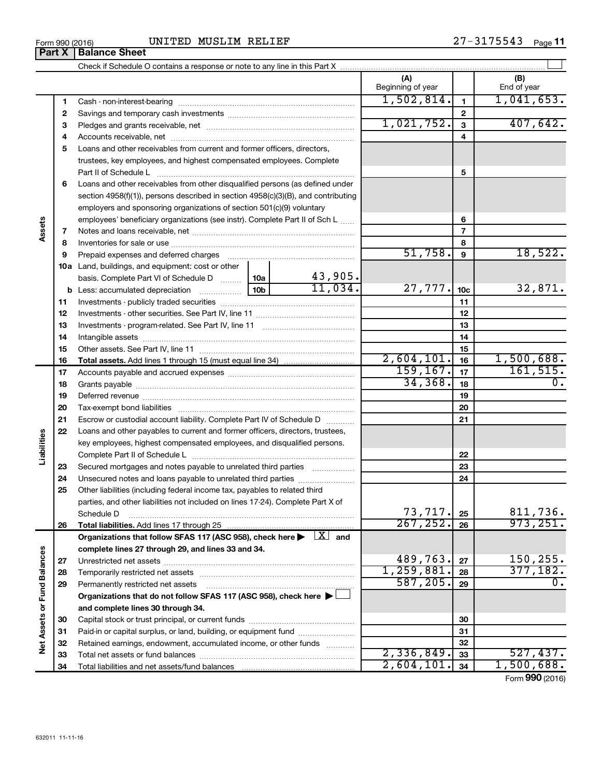| Form 990 (2016) | MUSLIM RELIEF<br>UNITED | $27 - 3175543$<br>Page 11 |
|-----------------|-------------------------|---------------------------|
|-----------------|-------------------------|---------------------------|

|                             |          |                                                                                                                                                                                                                                |            |         | (A)<br>Beginning of year |                          | (B)<br>End of year |
|-----------------------------|----------|--------------------------------------------------------------------------------------------------------------------------------------------------------------------------------------------------------------------------------|------------|---------|--------------------------|--------------------------|--------------------|
|                             | 1        |                                                                                                                                                                                                                                |            |         | 1,502,814.               | $\mathbf{1}$             | 1,041,653.         |
|                             | 2        |                                                                                                                                                                                                                                |            |         | $\mathbf 2$              |                          |                    |
|                             | 3        |                                                                                                                                                                                                                                |            |         | 1,021,752.               | 3                        | 407,642.           |
|                             | 4        |                                                                                                                                                                                                                                |            |         |                          | 4                        |                    |
|                             | 5        | Loans and other receivables from current and former officers, directors,                                                                                                                                                       |            |         |                          |                          |                    |
|                             |          | trustees, key employees, and highest compensated employees. Complete                                                                                                                                                           |            |         |                          |                          |                    |
|                             |          | Part II of Schedule L                                                                                                                                                                                                          |            |         |                          | 5                        |                    |
|                             | 6        | Loans and other receivables from other disqualified persons (as defined under                                                                                                                                                  |            |         |                          |                          |                    |
|                             |          | section $4958(f)(1)$ , persons described in section $4958(c)(3)(B)$ , and contributing                                                                                                                                         |            |         |                          |                          |                    |
|                             |          | employers and sponsoring organizations of section 501(c)(9) voluntary                                                                                                                                                          |            |         |                          |                          |                    |
|                             |          | employees' beneficiary organizations (see instr). Complete Part II of Sch L                                                                                                                                                    |            |         |                          | 6                        |                    |
| Assets                      | 7        |                                                                                                                                                                                                                                |            |         |                          | $\overline{\phantom{a}}$ |                    |
|                             | 8        |                                                                                                                                                                                                                                |            |         |                          | 8                        |                    |
|                             | 9        |                                                                                                                                                                                                                                |            |         | 51,758.                  | 9                        | 18,522.            |
|                             |          | 10a Land, buildings, and equipment: cost or other                                                                                                                                                                              |            |         |                          |                          |                    |
|                             |          | basis. Complete Part VI of Schedule D  10a                                                                                                                                                                                     |            | 43,905. |                          |                          |                    |
|                             |          | $\begin{bmatrix} 10b \end{bmatrix}$<br><b>b</b> Less: accumulated depreciation                                                                                                                                                 |            | 11,034. | 27,777.                  | 10 <sub>c</sub>          | 32,871.            |
|                             | 11       |                                                                                                                                                                                                                                |            | 11      |                          |                          |                    |
|                             | 12       |                                                                                                                                                                                                                                |            | 12      |                          |                          |                    |
|                             | 13       |                                                                                                                                                                                                                                |            | 13      |                          |                          |                    |
|                             | 14       |                                                                                                                                                                                                                                |            |         | 14                       |                          |                    |
|                             | 15       |                                                                                                                                                                                                                                |            |         | 15                       |                          |                    |
|                             | 16       | <b>Total assets.</b> Add lines 1 through 15 (must equal line 34) <i></i>                                                                                                                                                       |            |         | 2,604,101.               | 16                       | 1,500,688.         |
|                             | 17       |                                                                                                                                                                                                                                | 159, 167.  | 17      | 161, 515.                |                          |                    |
|                             | 18       |                                                                                                                                                                                                                                | 34, 368.   | 18      | $\overline{0}$ .         |                          |                    |
|                             | 19       | Deferred revenue manual contracts and contracts are all the manual contracts and contracts are contracted and contracts are contracted and contract are contracted and contract are contracted and contract are contracted and |            | 19      |                          |                          |                    |
|                             | 20       |                                                                                                                                                                                                                                |            | 20      |                          |                          |                    |
|                             | 21       | Escrow or custodial account liability. Complete Part IV of Schedule D                                                                                                                                                          |            | 21      |                          |                          |                    |
| Liabilities                 | 22       | Loans and other payables to current and former officers, directors, trustees,                                                                                                                                                  |            |         |                          |                          |                    |
|                             |          | key employees, highest compensated employees, and disqualified persons.                                                                                                                                                        |            |         |                          |                          |                    |
|                             |          |                                                                                                                                                                                                                                |            |         |                          | 22                       |                    |
|                             | 23       | Secured mortgages and notes payable to unrelated third parties                                                                                                                                                                 |            | .       |                          | 23                       |                    |
|                             | 24<br>25 | Unsecured notes and loans payable to unrelated third parties                                                                                                                                                                   |            |         | 24                       |                          |                    |
|                             |          | Other liabilities (including federal income tax, payables to related third<br>parties, and other liabilities not included on lines 17-24). Complete Part X of                                                                  |            |         |                          |                          |                    |
|                             |          | Schedule D                                                                                                                                                                                                                     |            |         | 73, 717.                 | 25                       | 811,736.           |
|                             | 26       |                                                                                                                                                                                                                                |            |         | 267, 252.                | 26                       | 973, 251.          |
|                             |          | Organizations that follow SFAS 117 (ASC 958), check here $\blacktriangleright \begin{array}{c} \perp X \end{array}$ and                                                                                                        |            |         |                          |                          |                    |
|                             |          | complete lines 27 through 29, and lines 33 and 34.                                                                                                                                                                             |            |         |                          |                          |                    |
|                             | 27       |                                                                                                                                                                                                                                |            |         | 489,763.                 | 27                       | 150,255.           |
|                             | 28       |                                                                                                                                                                                                                                |            |         | 1,259,881.               | 28                       | 377,182.           |
|                             | 29       | Permanently restricted net assets                                                                                                                                                                                              |            |         | 587, 205.                | 29                       | 0.                 |
|                             |          | Organizations that do not follow SFAS 117 (ASC 958), check here $\blacktriangleright$                                                                                                                                          |            |         |                          |                          |                    |
|                             |          | and complete lines 30 through 34.                                                                                                                                                                                              |            |         |                          |                          |                    |
|                             | 30       |                                                                                                                                                                                                                                |            |         |                          | 30                       |                    |
|                             | 31       | Paid-in or capital surplus, or land, building, or equipment fund                                                                                                                                                               |            |         |                          | 31                       |                    |
| Net Assets or Fund Balances | 32       | Retained earnings, endowment, accumulated income, or other funds                                                                                                                                                               |            |         |                          | 32                       |                    |
|                             | 33       |                                                                                                                                                                                                                                |            |         | 2,336,849.               | 33                       | 527,437.           |
|                             | 34       |                                                                                                                                                                                                                                | 2,604,101. | 34      | 1,500,688.               |                          |                    |

Form (2016) **990**

## **Part X Balance Sheet**

| Form 990 (2016) |
|-----------------|
|-----------------|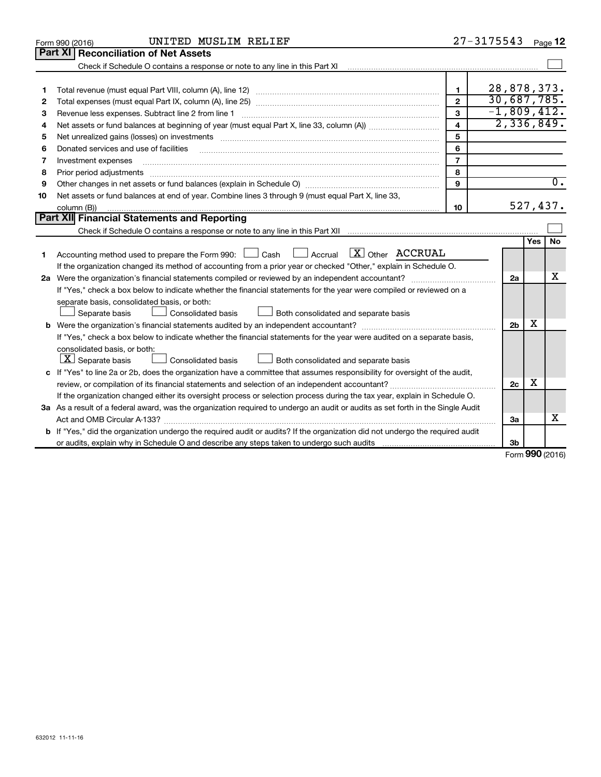|    | UNITED MUSLIM RELIEF<br>Form 990 (2016)                                                                                                                                                                                        |                | 27-3175543     |            | Page 12          |
|----|--------------------------------------------------------------------------------------------------------------------------------------------------------------------------------------------------------------------------------|----------------|----------------|------------|------------------|
|    | <b>Part XI</b><br><b>Reconciliation of Net Assets</b>                                                                                                                                                                          |                |                |            |                  |
|    |                                                                                                                                                                                                                                |                |                |            |                  |
|    |                                                                                                                                                                                                                                |                |                |            |                  |
| 1  |                                                                                                                                                                                                                                | 1              | 28,878,373.    |            |                  |
| 2  |                                                                                                                                                                                                                                | $\mathbf{2}$   | 30,687,785.    |            |                  |
| З  | Revenue less expenses. Subtract line 2 from line 1                                                                                                                                                                             | 3              | $-1,809,412.$  |            |                  |
| 4  |                                                                                                                                                                                                                                | 4              |                |            | 2,336,849.       |
| 5  | Net unrealized gains (losses) on investments [11] matter contracts and the state of the state of the state of the state of the state of the state of the state of the state of the state of the state of the state of the stat | 5              |                |            |                  |
| 6  | Donated services and use of facilities                                                                                                                                                                                         | 6              |                |            |                  |
| 7  | Investment expenses                                                                                                                                                                                                            | $\overline{7}$ |                |            |                  |
| 8  | Prior period adjustments                                                                                                                                                                                                       | 8              |                |            |                  |
| 9  |                                                                                                                                                                                                                                | 9              |                |            | $\overline{0}$ . |
| 10 | Net assets or fund balances at end of year. Combine lines 3 through 9 (must equal Part X, line 33,                                                                                                                             |                |                |            |                  |
|    | column (B))                                                                                                                                                                                                                    | 10             |                |            | 527,437.         |
|    | <b>Part XII Financial Statements and Reporting</b>                                                                                                                                                                             |                |                |            |                  |
|    |                                                                                                                                                                                                                                |                |                |            |                  |
|    |                                                                                                                                                                                                                                |                |                | <b>Yes</b> | No               |
| 1  | Accounting method used to prepare the Form 990: Luisan Luis Accrual Luis Other ACCRUAL                                                                                                                                         |                |                |            |                  |
|    | If the organization changed its method of accounting from a prior year or checked "Other," explain in Schedule O.                                                                                                              |                |                |            |                  |
|    | 2a Were the organization's financial statements compiled or reviewed by an independent accountant?                                                                                                                             |                | 2a             |            | х                |
|    | If "Yes," check a box below to indicate whether the financial statements for the year were compiled or reviewed on a                                                                                                           |                |                |            |                  |
|    | separate basis, consolidated basis, or both:                                                                                                                                                                                   |                |                |            |                  |
|    | Both consolidated and separate basis<br>Separate basis<br>Consolidated basis                                                                                                                                                   |                |                |            |                  |
| b  |                                                                                                                                                                                                                                |                | 2 <sub>b</sub> | х          |                  |
|    | If "Yes," check a box below to indicate whether the financial statements for the year were audited on a separate basis,                                                                                                        |                |                |            |                  |
|    | consolidated basis, or both:                                                                                                                                                                                                   |                |                |            |                  |
|    | $ \mathbf{X} $ Separate basis<br><b>Consolidated basis</b><br>Both consolidated and separate basis                                                                                                                             |                |                |            |                  |
|    | c If "Yes" to line 2a or 2b, does the organization have a committee that assumes responsibility for oversight of the audit,                                                                                                    |                |                |            |                  |
|    |                                                                                                                                                                                                                                |                | 2c             | х          |                  |
|    | If the organization changed either its oversight process or selection process during the tax year, explain in Schedule O.                                                                                                      |                |                |            |                  |
|    | 3a As a result of a federal award, was the organization required to undergo an audit or audits as set forth in the Single Audit                                                                                                |                |                |            |                  |
|    |                                                                                                                                                                                                                                |                | За             |            | x                |
|    | <b>b</b> If "Yes," did the organization undergo the required audit or audits? If the organization did not undergo the required audit                                                                                           |                |                |            |                  |
|    |                                                                                                                                                                                                                                |                | 3 <sub>b</sub> |            |                  |

Form (2016) **990**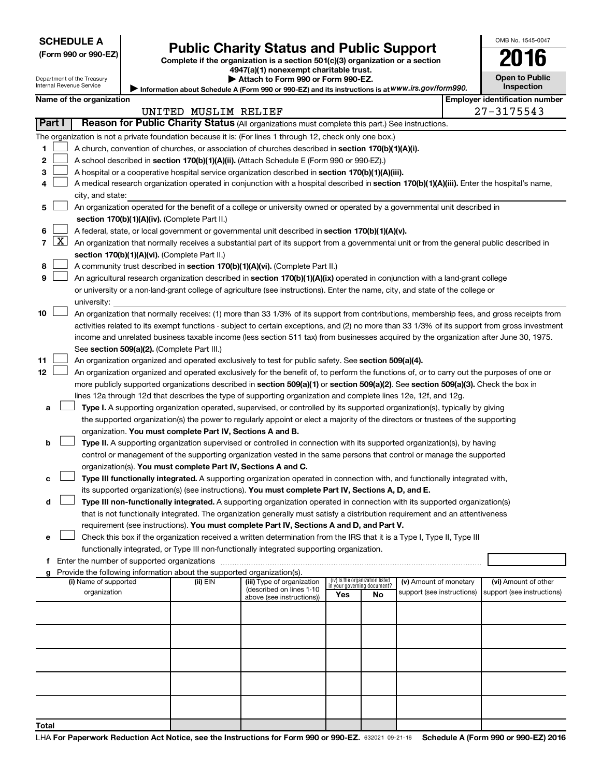| (Form 990 or 990-EZ |  |  |  |  |
|---------------------|--|--|--|--|
|---------------------|--|--|--|--|

# Form 990 or 990-EZ) **Public Charity Status and Public Support**<br>
Complete if the organization is a section 501(c)(3) organization or a section<br> **2016**

**4947(a)(1) nonexempt charitable trust. | Attach to Form 990 or Form 990-EZ.** 

| --                    | . . |
|-----------------------|-----|
| <b>Open to Public</b> |     |
| <b>Inspection</b>     |     |

OMB No. 1545-0047

Department of the Treasury Internal Revenue Service

| Information about Schedule A (Form 990 or 990-EZ) and its instructions is at WWW.irs.gov/form990. |  |
|---------------------------------------------------------------------------------------------------|--|
|                                                                                                   |  |

|    | <b>Employer identification number</b><br>Name of the organization |                                                                                                                                                   |                      |                            |                                 |    |                            |                            |
|----|-------------------------------------------------------------------|---------------------------------------------------------------------------------------------------------------------------------------------------|----------------------|----------------------------|---------------------------------|----|----------------------------|----------------------------|
|    |                                                                   |                                                                                                                                                   | UNITED MUSLIM RELIEF |                            |                                 |    |                            | $27 - 3175543$             |
|    | Part I                                                            | Reason for Public Charity Status (All organizations must complete this part.) See instructions.                                                   |                      |                            |                                 |    |                            |                            |
|    |                                                                   | The organization is not a private foundation because it is: (For lines 1 through 12, check only one box.)                                         |                      |                            |                                 |    |                            |                            |
| 1  |                                                                   | A church, convention of churches, or association of churches described in section 170(b)(1)(A)(i).                                                |                      |                            |                                 |    |                            |                            |
| 2  |                                                                   | A school described in section 170(b)(1)(A)(ii). (Attach Schedule E (Form 990 or 990-EZ).)                                                         |                      |                            |                                 |    |                            |                            |
| З  |                                                                   | A hospital or a cooperative hospital service organization described in section 170(b)(1)(A)(iii).                                                 |                      |                            |                                 |    |                            |                            |
| 4  |                                                                   | A medical research organization operated in conjunction with a hospital described in section 170(b)(1)(A)(iii). Enter the hospital's name,        |                      |                            |                                 |    |                            |                            |
|    |                                                                   | city, and state:                                                                                                                                  |                      |                            |                                 |    |                            |                            |
| 5  |                                                                   | An organization operated for the benefit of a college or university owned or operated by a governmental unit described in                         |                      |                            |                                 |    |                            |                            |
|    |                                                                   | section 170(b)(1)(A)(iv). (Complete Part II.)                                                                                                     |                      |                            |                                 |    |                            |                            |
| 6. |                                                                   | A federal, state, or local government or governmental unit described in section 170(b)(1)(A)(v).                                                  |                      |                            |                                 |    |                            |                            |
|    |                                                                   | 7 $ X $ An organization that normally receives a substantial part of its support from a governmental unit or from the general public described in |                      |                            |                                 |    |                            |                            |
|    |                                                                   | section 170(b)(1)(A)(vi). (Complete Part II.)                                                                                                     |                      |                            |                                 |    |                            |                            |
| 8  |                                                                   | A community trust described in section 170(b)(1)(A)(vi). (Complete Part II.)                                                                      |                      |                            |                                 |    |                            |                            |
| 9  |                                                                   | An agricultural research organization described in section 170(b)(1)(A)(ix) operated in conjunction with a land-grant college                     |                      |                            |                                 |    |                            |                            |
|    |                                                                   | or university or a non-land-grant college of agriculture (see instructions). Enter the name, city, and state of the college or                    |                      |                            |                                 |    |                            |                            |
|    |                                                                   | university:                                                                                                                                       |                      |                            |                                 |    |                            |                            |
| 10 |                                                                   | An organization that normally receives: (1) more than 33 1/3% of its support from contributions, membership fees, and gross receipts from         |                      |                            |                                 |    |                            |                            |
|    |                                                                   | activities related to its exempt functions - subject to certain exceptions, and (2) no more than 33 1/3% of its support from gross investment     |                      |                            |                                 |    |                            |                            |
|    |                                                                   | income and unrelated business taxable income (less section 511 tax) from businesses acquired by the organization after June 30, 1975.             |                      |                            |                                 |    |                            |                            |
|    |                                                                   | See section 509(a)(2). (Complete Part III.)                                                                                                       |                      |                            |                                 |    |                            |                            |
| 11 |                                                                   | An organization organized and operated exclusively to test for public safety. See section 509(a)(4).                                              |                      |                            |                                 |    |                            |                            |
| 12 |                                                                   | An organization organized and operated exclusively for the benefit of, to perform the functions of, or to carry out the purposes of one or        |                      |                            |                                 |    |                            |                            |
|    |                                                                   | more publicly supported organizations described in section 509(a)(1) or section 509(a)(2). See section 509(a)(3). Check the box in                |                      |                            |                                 |    |                            |                            |
|    |                                                                   | lines 12a through 12d that describes the type of supporting organization and complete lines 12e, 12f, and 12g.                                    |                      |                            |                                 |    |                            |                            |
| а  |                                                                   | Type I. A supporting organization operated, supervised, or controlled by its supported organization(s), typically by giving                       |                      |                            |                                 |    |                            |                            |
|    |                                                                   | the supported organization(s) the power to regularly appoint or elect a majority of the directors or trustees of the supporting                   |                      |                            |                                 |    |                            |                            |
|    |                                                                   | organization. You must complete Part IV, Sections A and B.                                                                                        |                      |                            |                                 |    |                            |                            |
| b  |                                                                   | Type II. A supporting organization supervised or controlled in connection with its supported organization(s), by having                           |                      |                            |                                 |    |                            |                            |
|    |                                                                   | control or management of the supporting organization vested in the same persons that control or manage the supported                              |                      |                            |                                 |    |                            |                            |
|    |                                                                   | organization(s). You must complete Part IV, Sections A and C.                                                                                     |                      |                            |                                 |    |                            |                            |
| с  |                                                                   | Type III functionally integrated. A supporting organization operated in connection with, and functionally integrated with,                        |                      |                            |                                 |    |                            |                            |
|    |                                                                   | its supported organization(s) (see instructions). You must complete Part IV, Sections A, D, and E.                                                |                      |                            |                                 |    |                            |                            |
| d  |                                                                   | Type III non-functionally integrated. A supporting organization operated in connection with its supported organization(s)                         |                      |                            |                                 |    |                            |                            |
|    |                                                                   | that is not functionally integrated. The organization generally must satisfy a distribution requirement and an attentiveness                      |                      |                            |                                 |    |                            |                            |
|    |                                                                   | requirement (see instructions). You must complete Part IV, Sections A and D, and Part V.                                                          |                      |                            |                                 |    |                            |                            |
|    |                                                                   | Check this box if the organization received a written determination from the IRS that it is a Type I, Type II, Type III                           |                      |                            |                                 |    |                            |                            |
|    |                                                                   | functionally integrated, or Type III non-functionally integrated supporting organization.                                                         |                      |                            |                                 |    |                            |                            |
|    |                                                                   | f Enter the number of supported organizations                                                                                                     |                      |                            |                                 |    |                            |                            |
|    |                                                                   | g Provide the following information about the supported organization(s).<br>(i) Name of supported                                                 | (ii) EIN             | (iii) Type of organization | (iv) Is the organization listed |    | (v) Amount of monetary     | (vi) Amount of other       |
|    |                                                                   | organization                                                                                                                                      |                      | (described on lines 1-10   | in your governing document?     |    | support (see instructions) | support (see instructions) |
|    |                                                                   |                                                                                                                                                   |                      | above (see instructions))  | Yes                             | No |                            |                            |
|    |                                                                   |                                                                                                                                                   |                      |                            |                                 |    |                            |                            |
|    |                                                                   |                                                                                                                                                   |                      |                            |                                 |    |                            |                            |
|    |                                                                   |                                                                                                                                                   |                      |                            |                                 |    |                            |                            |
|    |                                                                   |                                                                                                                                                   |                      |                            |                                 |    |                            |                            |
|    |                                                                   |                                                                                                                                                   |                      |                            |                                 |    |                            |                            |
|    |                                                                   |                                                                                                                                                   |                      |                            |                                 |    |                            |                            |
|    |                                                                   |                                                                                                                                                   |                      |                            |                                 |    |                            |                            |
|    |                                                                   |                                                                                                                                                   |                      |                            |                                 |    |                            |                            |
|    |                                                                   |                                                                                                                                                   |                      |                            |                                 |    |                            |                            |
|    |                                                                   |                                                                                                                                                   |                      |                            |                                 |    |                            |                            |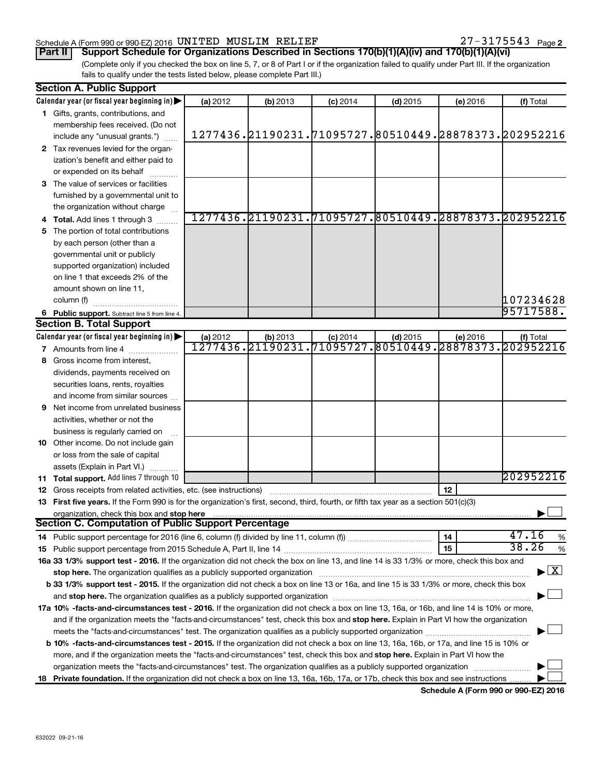#### Schedule A (Form 990 or 990-EZ) 2016 Page UNITED MUSLIM RELIEF 27-3175543

(Complete only if you checked the box on line 5, 7, or 8 of Part I or if the organization failed to qualify under Part III. If the organization fails to qualify under the tests listed below, please complete Part III.) **Part II Support Schedule for Organizations Described in Sections 170(b)(1)(A)(iv) and 170(b)(1)(A)(vi)**

|     | <b>Section A. Public Support</b>                                                                                                                                                                                               |          |          |            |                                                       |                 |                                    |
|-----|--------------------------------------------------------------------------------------------------------------------------------------------------------------------------------------------------------------------------------|----------|----------|------------|-------------------------------------------------------|-----------------|------------------------------------|
|     | Calendar year (or fiscal year beginning in)                                                                                                                                                                                    | (a) 2012 | (b) 2013 | $(c)$ 2014 | $(d)$ 2015                                            | (e) 2016        | (f) Total                          |
|     | 1 Gifts, grants, contributions, and                                                                                                                                                                                            |          |          |            |                                                       |                 |                                    |
|     | membership fees received. (Do not                                                                                                                                                                                              |          |          |            |                                                       |                 |                                    |
|     | include any "unusual grants.")                                                                                                                                                                                                 |          |          |            | 1277436.21190231.71095727.80510449.28878373.202952216 |                 |                                    |
|     | 2 Tax revenues levied for the organ-                                                                                                                                                                                           |          |          |            |                                                       |                 |                                    |
|     | ization's benefit and either paid to                                                                                                                                                                                           |          |          |            |                                                       |                 |                                    |
|     | or expended on its behalf                                                                                                                                                                                                      |          |          |            |                                                       |                 |                                    |
|     | 3 The value of services or facilities                                                                                                                                                                                          |          |          |            |                                                       |                 |                                    |
|     | furnished by a governmental unit to                                                                                                                                                                                            |          |          |            |                                                       |                 |                                    |
|     | the organization without charge                                                                                                                                                                                                |          |          |            |                                                       |                 |                                    |
|     | <b>Total.</b> Add lines 1 through 3                                                                                                                                                                                            |          |          |            | 1277436.21190231.71095727.80510449.28878373.202952216 |                 |                                    |
|     | The portion of total contributions                                                                                                                                                                                             |          |          |            |                                                       |                 |                                    |
|     | by each person (other than a                                                                                                                                                                                                   |          |          |            |                                                       |                 |                                    |
|     | governmental unit or publicly                                                                                                                                                                                                  |          |          |            |                                                       |                 |                                    |
|     | supported organization) included                                                                                                                                                                                               |          |          |            |                                                       |                 |                                    |
|     | on line 1 that exceeds 2% of the                                                                                                                                                                                               |          |          |            |                                                       |                 |                                    |
|     | amount shown on line 11,                                                                                                                                                                                                       |          |          |            |                                                       |                 |                                    |
|     | column (f)                                                                                                                                                                                                                     |          |          |            |                                                       |                 | 107234628                          |
|     | 6 Public support. Subtract line 5 from line 4.                                                                                                                                                                                 |          |          |            |                                                       |                 | 95717588.                          |
|     | <b>Section B. Total Support</b>                                                                                                                                                                                                |          |          |            |                                                       |                 |                                    |
|     | Calendar year (or fiscal year beginning in)                                                                                                                                                                                    | (a) 2012 | (b) 2013 | $(c)$ 2014 | $(d)$ 2015                                            | (e) 2016        | (f) Total                          |
|     | <b>7</b> Amounts from line 4                                                                                                                                                                                                   |          |          |            | 1277436.21190231.71095727.80510449.28878373.202952216 |                 |                                    |
|     | Gross income from interest.                                                                                                                                                                                                    |          |          |            |                                                       |                 |                                    |
|     | dividends, payments received on                                                                                                                                                                                                |          |          |            |                                                       |                 |                                    |
|     | securities loans, rents, royalties                                                                                                                                                                                             |          |          |            |                                                       |                 |                                    |
|     | and income from similar sources                                                                                                                                                                                                |          |          |            |                                                       |                 |                                    |
| 9.  | Net income from unrelated business                                                                                                                                                                                             |          |          |            |                                                       |                 |                                    |
|     | activities, whether or not the                                                                                                                                                                                                 |          |          |            |                                                       |                 |                                    |
|     | business is regularly carried on                                                                                                                                                                                               |          |          |            |                                                       |                 |                                    |
|     | 10 Other income. Do not include gain                                                                                                                                                                                           |          |          |            |                                                       |                 |                                    |
|     | or loss from the sale of capital                                                                                                                                                                                               |          |          |            |                                                       |                 |                                    |
|     | assets (Explain in Part VI.)                                                                                                                                                                                                   |          |          |            |                                                       |                 |                                    |
| 11. | Total support. Add lines 7 through 10                                                                                                                                                                                          |          |          |            |                                                       |                 | 202952216                          |
| 12  | Gross receipts from related activities, etc. (see instructions)                                                                                                                                                                |          |          |            |                                                       | 12 <sup>2</sup> |                                    |
| 13. | First five years. If the Form 990 is for the organization's first, second, third, fourth, or fifth tax year as a section 501(c)(3)                                                                                             |          |          |            |                                                       |                 |                                    |
|     | organization, check this box and stop here                                                                                                                                                                                     |          |          |            |                                                       |                 |                                    |
|     | Section C. Computation of Public Support Percentage                                                                                                                                                                            |          |          |            |                                                       |                 |                                    |
|     | 14 Public support percentage for 2016 (line 6, column (f) divided by line 11, column (f))                                                                                                                                      |          |          |            |                                                       | 14              | 47.16<br>%                         |
| 15  |                                                                                                                                                                                                                                |          |          |            |                                                       | 15              | 38.26<br>%                         |
|     | 16a 33 1/3% support test - 2016. If the organization did not check the box on line 13, and line 14 is 33 1/3% or more, check this box and                                                                                      |          |          |            |                                                       |                 |                                    |
|     | stop here. The organization qualifies as a publicly supported organization [11] manuscription manuscription manuscription manuscription manuscription manuscription of the state of the state of the state of the state of the |          |          |            |                                                       |                 | $\blacktriangleright$ $\mathbf{X}$ |
|     | b 33 1/3% support test - 2015. If the organization did not check a box on line 13 or 16a, and line 15 is 33 1/3% or more, check this box                                                                                       |          |          |            |                                                       |                 |                                    |
|     |                                                                                                                                                                                                                                |          |          |            |                                                       |                 |                                    |
|     | 17a 10% -facts-and-circumstances test - 2016. If the organization did not check a box on line 13, 16a, or 16b, and line 14 is 10% or more,                                                                                     |          |          |            |                                                       |                 |                                    |
|     | and if the organization meets the "facts-and-circumstances" test, check this box and stop here. Explain in Part VI how the organization                                                                                        |          |          |            |                                                       |                 |                                    |
|     |                                                                                                                                                                                                                                |          |          |            |                                                       |                 |                                    |
|     | b 10% -facts-and-circumstances test - 2015. If the organization did not check a box on line 13, 16a, 16b, or 17a, and line 15 is 10% or                                                                                        |          |          |            |                                                       |                 |                                    |
|     | more, and if the organization meets the "facts-and-circumstances" test, check this box and stop here. Explain in Part VI how the                                                                                               |          |          |            |                                                       |                 |                                    |
|     |                                                                                                                                                                                                                                |          |          |            |                                                       |                 |                                    |
| 18. | Private foundation. If the organization did not check a box on line 13, 16a, 16b, 17a, or 17b, check this box and see instructions                                                                                             |          |          |            |                                                       |                 |                                    |

**Schedule A (Form 990 or 990-EZ) 2016**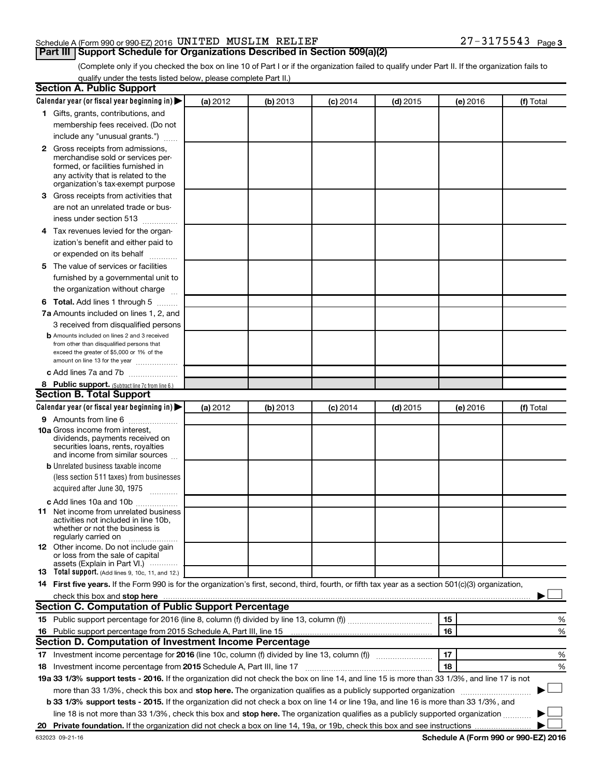#### Schedule A (Form 990 or 990-EZ) 2016 Page UNITED MUSLIM RELIEF 27-3175543

**Part III Support Schedule for Organizations Described in Section 509(a)(2)** 

(Complete only if you checked the box on line 10 of Part I or if the organization failed to qualify under Part II. If the organization fails to qualify under the tests listed below, please complete Part II.)

| <b>Section A. Public Support</b>                                                                                                                                                                                               |          |          |            |            |          |                                      |
|--------------------------------------------------------------------------------------------------------------------------------------------------------------------------------------------------------------------------------|----------|----------|------------|------------|----------|--------------------------------------|
| Calendar year (or fiscal year beginning in)                                                                                                                                                                                    | (a) 2012 | (b) 2013 | $(c)$ 2014 | $(d)$ 2015 | (e) 2016 | (f) Total                            |
| 1 Gifts, grants, contributions, and                                                                                                                                                                                            |          |          |            |            |          |                                      |
| membership fees received. (Do not                                                                                                                                                                                              |          |          |            |            |          |                                      |
| include any "unusual grants.")                                                                                                                                                                                                 |          |          |            |            |          |                                      |
| 2 Gross receipts from admissions,<br>merchandise sold or services per-<br>formed, or facilities furnished in<br>any activity that is related to the<br>organization's tax-exempt purpose                                       |          |          |            |            |          |                                      |
| 3 Gross receipts from activities that                                                                                                                                                                                          |          |          |            |            |          |                                      |
| are not an unrelated trade or bus-<br>iness under section 513                                                                                                                                                                  |          |          |            |            |          |                                      |
| 4 Tax revenues levied for the organ-                                                                                                                                                                                           |          |          |            |            |          |                                      |
| ization's benefit and either paid to                                                                                                                                                                                           |          |          |            |            |          |                                      |
| or expended on its behalf                                                                                                                                                                                                      |          |          |            |            |          |                                      |
| 5 The value of services or facilities<br>furnished by a governmental unit to<br>the organization without charge                                                                                                                |          |          |            |            |          |                                      |
| <b>6 Total.</b> Add lines 1 through 5                                                                                                                                                                                          |          |          |            |            |          |                                      |
| 7a Amounts included on lines 1, 2, and                                                                                                                                                                                         |          |          |            |            |          |                                      |
| 3 received from disqualified persons                                                                                                                                                                                           |          |          |            |            |          |                                      |
| <b>b</b> Amounts included on lines 2 and 3 received<br>from other than disqualified persons that<br>exceed the greater of \$5,000 or 1% of the<br>amount on line 13 for the year                                               |          |          |            |            |          |                                      |
| c Add lines 7a and 7b                                                                                                                                                                                                          |          |          |            |            |          |                                      |
| 8 Public support. (Subtract line 7c from line 6.)                                                                                                                                                                              |          |          |            |            |          |                                      |
| <b>Section B. Total Support</b>                                                                                                                                                                                                |          |          |            |            |          |                                      |
| Calendar year (or fiscal year beginning in)                                                                                                                                                                                    | (a) 2012 | (b) 2013 | $(c)$ 2014 | $(d)$ 2015 | (e) 2016 | (f) Total                            |
| <b>9</b> Amounts from line 6<br><b>10a</b> Gross income from interest,<br>dividends, payments received on<br>securities loans, rents, royalties<br>and income from similar sources                                             |          |          |            |            |          |                                      |
| <b>b</b> Unrelated business taxable income                                                                                                                                                                                     |          |          |            |            |          |                                      |
| (less section 511 taxes) from businesses                                                                                                                                                                                       |          |          |            |            |          |                                      |
| acquired after June 30, 1975<br>$\overline{\phantom{a}}$                                                                                                                                                                       |          |          |            |            |          |                                      |
| c Add lines 10a and 10b                                                                                                                                                                                                        |          |          |            |            |          |                                      |
| <b>11</b> Net income from unrelated business<br>activities not included in line 10b.<br>whether or not the business is<br>regularly carried on                                                                                 |          |          |            |            |          |                                      |
| <b>12</b> Other income. Do not include gain<br>or loss from the sale of capital<br>assets (Explain in Part VI.)                                                                                                                |          |          |            |            |          |                                      |
| <b>13</b> Total support. (Add lines 9, 10c, 11, and 12.)                                                                                                                                                                       |          |          |            |            |          |                                      |
| 14 First five years. If the Form 990 is for the organization's first, second, third, fourth, or fifth tax year as a section 501(c)(3) organization,                                                                            |          |          |            |            |          |                                      |
| check this box and stop here with the content of the content of the state of the content of the state of the state of the content of the content of the content of the content of the content of the content of the content of |          |          |            |            |          |                                      |
| <b>Section C. Computation of Public Support Percentage</b>                                                                                                                                                                     |          |          |            |            |          |                                      |
|                                                                                                                                                                                                                                |          |          |            |            | 15       | %                                    |
| 16 Public support percentage from 2015 Schedule A, Part III, line 15                                                                                                                                                           |          |          |            |            | 16       | %                                    |
| Section D. Computation of Investment Income Percentage                                                                                                                                                                         |          |          |            |            |          |                                      |
|                                                                                                                                                                                                                                |          |          |            |            | 17       | %                                    |
| 18 Investment income percentage from 2015 Schedule A, Part III, line 17                                                                                                                                                        |          |          |            |            | 18       | %                                    |
| 19a 33 1/3% support tests - 2016. If the organization did not check the box on line 14, and line 15 is more than 33 1/3%, and line 17 is not                                                                                   |          |          |            |            |          |                                      |
| more than 33 1/3%, check this box and stop here. The organization qualifies as a publicly supported organization                                                                                                               |          |          |            |            |          |                                      |
| <b>b 33 1/3% support tests - 2015.</b> If the organization did not check a box on line 14 or line 19a, and line 16 is more than 33 1/3%, and                                                                                   |          |          |            |            |          |                                      |
| line 18 is not more than 33 1/3%, check this box and stop here. The organization qualifies as a publicly supported organization                                                                                                |          |          |            |            |          |                                      |
|                                                                                                                                                                                                                                |          |          |            |            |          |                                      |
| 632023 09-21-16                                                                                                                                                                                                                |          |          |            |            |          | Schedule A (Form 990 or 990-EZ) 2016 |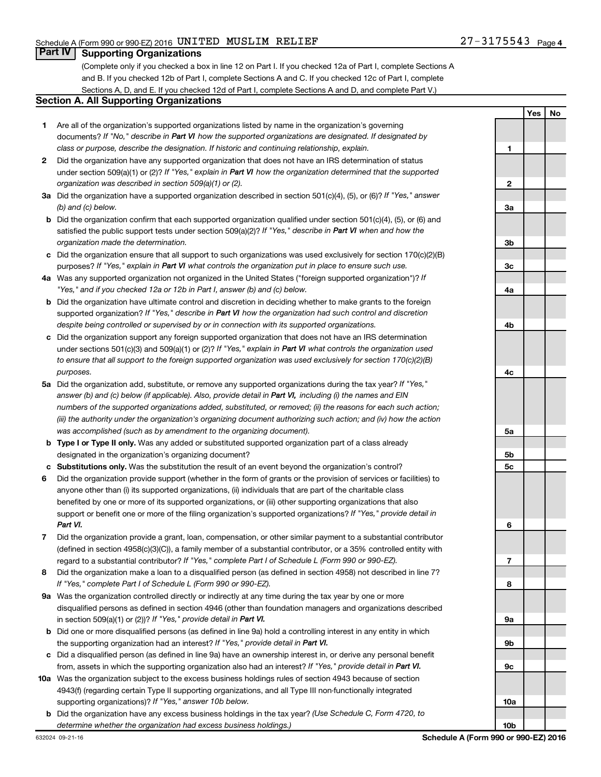**1**

**Yes No**

### **Part IV Supporting Organizations**

(Complete only if you checked a box in line 12 on Part I. If you checked 12a of Part I, complete Sections A and B. If you checked 12b of Part I, complete Sections A and C. If you checked 12c of Part I, complete Sections A, D, and E. If you checked 12d of Part I, complete Sections A and D, and complete Part V.)

#### **Section A. All Supporting Organizations**

- **1** Are all of the organization's supported organizations listed by name in the organization's governing documents? If "No," describe in Part VI how the supported organizations are designated. If designated by *class or purpose, describe the designation. If historic and continuing relationship, explain.*
- **2** Did the organization have any supported organization that does not have an IRS determination of status under section 509(a)(1) or (2)? If "Yes," explain in Part VI how the organization determined that the supported *organization was described in section 509(a)(1) or (2).*
- **3a** Did the organization have a supported organization described in section 501(c)(4), (5), or (6)? If "Yes," answer *(b) and (c) below.*
- **b** Did the organization confirm that each supported organization qualified under section 501(c)(4), (5), or (6) and satisfied the public support tests under section 509(a)(2)? If "Yes," describe in Part VI when and how the *organization made the determination.*
- **c** Did the organization ensure that all support to such organizations was used exclusively for section 170(c)(2)(B) purposes? If "Yes," explain in Part VI what controls the organization put in place to ensure such use.
- **4 a** *If* Was any supported organization not organized in the United States ("foreign supported organization")? *"Yes," and if you checked 12a or 12b in Part I, answer (b) and (c) below.*
- **b** Did the organization have ultimate control and discretion in deciding whether to make grants to the foreign supported organization? If "Yes," describe in Part VI how the organization had such control and discretion *despite being controlled or supervised by or in connection with its supported organizations.*
- **c** Did the organization support any foreign supported organization that does not have an IRS determination under sections 501(c)(3) and 509(a)(1) or (2)? If "Yes," explain in Part VI what controls the organization used *to ensure that all support to the foreign supported organization was used exclusively for section 170(c)(2)(B) purposes.*
- **5a** Did the organization add, substitute, or remove any supported organizations during the tax year? If "Yes," answer (b) and (c) below (if applicable). Also, provide detail in Part VI, including (i) the names and EIN *numbers of the supported organizations added, substituted, or removed; (ii) the reasons for each such action; (iii) the authority under the organization's organizing document authorizing such action; and (iv) how the action was accomplished (such as by amendment to the organizing document).*
- **b** Type I or Type II only. Was any added or substituted supported organization part of a class already designated in the organization's organizing document?
- **c Substitutions only.**  Was the substitution the result of an event beyond the organization's control?
- **6** Did the organization provide support (whether in the form of grants or the provision of services or facilities) to support or benefit one or more of the filing organization's supported organizations? If "Yes," provide detail in anyone other than (i) its supported organizations, (ii) individuals that are part of the charitable class benefited by one or more of its supported organizations, or (iii) other supporting organizations that also *Part VI.*
- **7** Did the organization provide a grant, loan, compensation, or other similar payment to a substantial contributor regard to a substantial contributor? If "Yes," complete Part I of Schedule L (Form 990 or 990-EZ). (defined in section 4958(c)(3)(C)), a family member of a substantial contributor, or a 35% controlled entity with
- **8** Did the organization make a loan to a disqualified person (as defined in section 4958) not described in line 7? *If "Yes," complete Part I of Schedule L (Form 990 or 990-EZ).*
- **9 a** Was the organization controlled directly or indirectly at any time during the tax year by one or more in section 509(a)(1) or (2))? If "Yes," provide detail in Part VI. disqualified persons as defined in section 4946 (other than foundation managers and organizations described
- **b** Did one or more disqualified persons (as defined in line 9a) hold a controlling interest in any entity in which the supporting organization had an interest? If "Yes," provide detail in Part VI.
- **c** Did a disqualified person (as defined in line 9a) have an ownership interest in, or derive any personal benefit from, assets in which the supporting organization also had an interest? If "Yes," provide detail in Part VI.
- **10 a** Was the organization subject to the excess business holdings rules of section 4943 because of section supporting organizations)? If "Yes," answer 10b below. 4943(f) (regarding certain Type II supporting organizations, and all Type III non-functionally integrated
- **b** Did the organization have any excess business holdings in the tax year? (Use Schedule C, Form 4720, to *determine whether the organization had excess business holdings.)*

**2 3a 3b 3c 4a 4b 4c 5a 5b 5c 6 7 8 9a 9b 9c 10a 10b**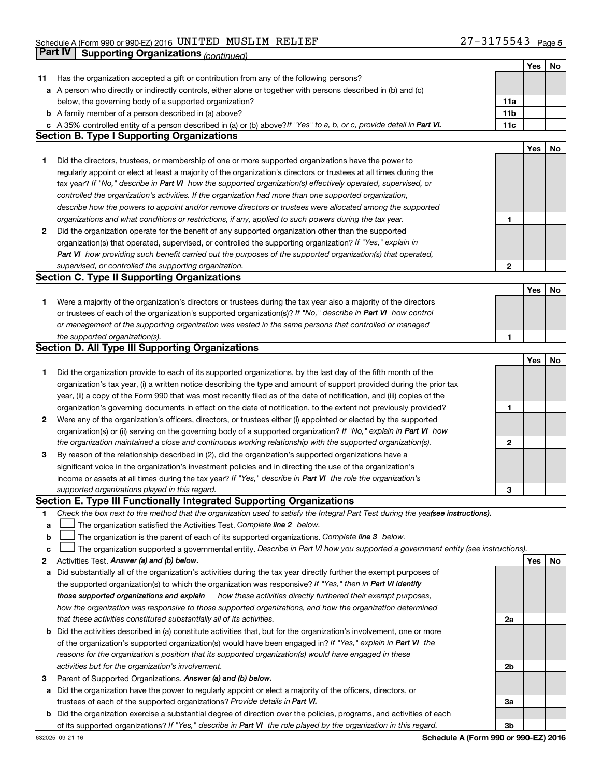|    | Part IV<br><b>Supporting Organizations (continued)</b>                                                                          |                 |     |    |
|----|---------------------------------------------------------------------------------------------------------------------------------|-----------------|-----|----|
|    |                                                                                                                                 |                 | Yes | No |
| 11 | Has the organization accepted a gift or contribution from any of the following persons?                                         |                 |     |    |
|    | a A person who directly or indirectly controls, either alone or together with persons described in (b) and (c)                  |                 |     |    |
|    | below, the governing body of a supported organization?                                                                          | 11a             |     |    |
|    | <b>b</b> A family member of a person described in (a) above?                                                                    | 11 <sub>b</sub> |     |    |
|    | c A 35% controlled entity of a person described in (a) or (b) above? If "Yes" to a, b, or c, provide detail in Part VI.         | 11c             |     |    |
|    | <b>Section B. Type I Supporting Organizations</b>                                                                               |                 |     |    |
|    |                                                                                                                                 |                 | Yes | No |
| 1  | Did the directors, trustees, or membership of one or more supported organizations have the power to                             |                 |     |    |
|    | regularly appoint or elect at least a majority of the organization's directors or trustees at all times during the              |                 |     |    |
|    | tax year? If "No," describe in Part VI how the supported organization(s) effectively operated, supervised, or                   |                 |     |    |
|    | controlled the organization's activities. If the organization had more than one supported organization,                         |                 |     |    |
|    | describe how the powers to appoint and/or remove directors or trustees were allocated among the supported                       |                 |     |    |
|    | organizations and what conditions or restrictions, if any, applied to such powers during the tax year.                          | 1               |     |    |
| 2  | Did the organization operate for the benefit of any supported organization other than the supported                             |                 |     |    |
|    | organization(s) that operated, supervised, or controlled the supporting organization? If "Yes," explain in                      |                 |     |    |
|    | Part VI how providing such benefit carried out the purposes of the supported organization(s) that operated,                     |                 |     |    |
|    |                                                                                                                                 | 2               |     |    |
|    | supervised, or controlled the supporting organization.<br><b>Section C. Type II Supporting Organizations</b>                    |                 |     |    |
|    |                                                                                                                                 |                 |     |    |
|    |                                                                                                                                 |                 | Yes | No |
| 1. | Were a majority of the organization's directors or trustees during the tax year also a majority of the directors                |                 |     |    |
|    | or trustees of each of the organization's supported organization(s)? If "No," describe in Part VI how control                   |                 |     |    |
|    | or management of the supporting organization was vested in the same persons that controlled or managed                          |                 |     |    |
|    | the supported organization(s).                                                                                                  | 1               |     |    |
|    | <b>Section D. All Type III Supporting Organizations</b>                                                                         |                 |     |    |
|    |                                                                                                                                 |                 | Yes | No |
| 1  | Did the organization provide to each of its supported organizations, by the last day of the fifth month of the                  |                 |     |    |
|    | organization's tax year, (i) a written notice describing the type and amount of support provided during the prior tax           |                 |     |    |
|    | year, (ii) a copy of the Form 990 that was most recently filed as of the date of notification, and (iii) copies of the          |                 |     |    |
|    | organization's governing documents in effect on the date of notification, to the extent not previously provided?                | 1               |     |    |
| 2  | Were any of the organization's officers, directors, or trustees either (i) appointed or elected by the supported                |                 |     |    |
|    | organization(s) or (ii) serving on the governing body of a supported organization? If "No," explain in Part VI how              |                 |     |    |
|    | the organization maintained a close and continuous working relationship with the supported organization(s).                     | 2               |     |    |
| 3  | By reason of the relationship described in (2), did the organization's supported organizations have a                           |                 |     |    |
|    | significant voice in the organization's investment policies and in directing the use of the organization's                      |                 |     |    |
|    | income or assets at all times during the tax year? If "Yes," describe in Part VI the role the organization's                    |                 |     |    |
|    | supported organizations played in this regard.                                                                                  | з               |     |    |
|    | Section E. Type III Functionally Integrated Supporting Organizations                                                            |                 |     |    |
| 1  | Check the box next to the method that the organization used to satisfy the Integral Part Test during the yea(see instructions). |                 |     |    |
| a  | The organization satisfied the Activities Test. Complete line 2 below.                                                          |                 |     |    |
| b  | The organization is the parent of each of its supported organizations. Complete line 3 below.                                   |                 |     |    |
| c  | The organization supported a governmental entity. Describe in Part VI how you supported a government entity (see instructions). |                 |     |    |
| 2  | Activities Test. Answer (a) and (b) below.                                                                                      |                 | Yes | No |
| а  | Did substantially all of the organization's activities during the tax year directly further the exempt purposes of              |                 |     |    |
|    | the supported organization(s) to which the organization was responsive? If "Yes," then in Part VI identify                      |                 |     |    |
|    | those supported organizations and explain<br>how these activities directly furthered their exempt purposes,                     |                 |     |    |
|    | how the organization was responsive to those supported organizations, and how the organization determined                       |                 |     |    |
|    | that these activities constituted substantially all of its activities.                                                          | 2a              |     |    |
| b  | Did the activities described in (a) constitute activities that, but for the organization's involvement, one or more             |                 |     |    |
|    | of the organization's supported organization(s) would have been engaged in? If "Yes," explain in Part VI the                    |                 |     |    |
|    | reasons for the organization's position that its supported organization(s) would have engaged in these                          |                 |     |    |
|    | activities but for the organization's involvement.                                                                              | 2b              |     |    |
| З  | Parent of Supported Organizations. Answer (a) and (b) below.                                                                    |                 |     |    |
| а  | Did the organization have the power to regularly appoint or elect a majority of the officers, directors, or                     |                 |     |    |
|    | trustees of each of the supported organizations? Provide details in Part VI.                                                    | За              |     |    |
|    | <b>b</b> Did the organization exercise a substantial degree of direction over the policies, programs, and activities of each    |                 |     |    |
|    | of its supported organizations? If "Yes," describe in Part VI the role played by the organization in this regard.               | 3b              |     |    |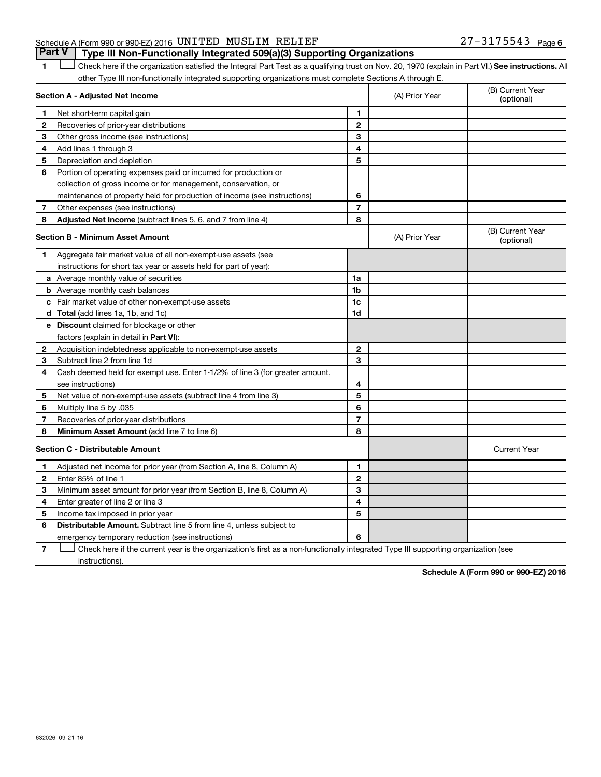#### Schedule A (Form 990 or 990-EZ) 2016 Page UNITED MUSLIM RELIEF 27-3175543

1 **Letter See instructions.** All Check here if the organization satisfied the Integral Part Test as a qualifying trust on Nov. 20, 1970 (explain in Part VI.) See instructions. All other Type III non-functionally integrated supporting organizations must complete Sections A through E. **Part V Type III Non-Functionally Integrated 509(a)(3) Supporting Organizations** 

|              | other Type in Hermanotionally integrated eapperting erganizations made complete ecotions A through |                |                |                                |
|--------------|----------------------------------------------------------------------------------------------------|----------------|----------------|--------------------------------|
|              | Section A - Adjusted Net Income                                                                    |                | (A) Prior Year | (B) Current Year<br>(optional) |
| 1            | Net short-term capital gain                                                                        | 1              |                |                                |
| $\mathbf{2}$ | Recoveries of prior-year distributions                                                             | $\mathbf{2}$   |                |                                |
| 3            | Other gross income (see instructions)                                                              | 3              |                |                                |
| 4            | Add lines 1 through 3                                                                              | 4              |                |                                |
| 5            | Depreciation and depletion                                                                         | 5              |                |                                |
| 6            | Portion of operating expenses paid or incurred for production or                                   |                |                |                                |
|              | collection of gross income or for management, conservation, or                                     |                |                |                                |
|              | maintenance of property held for production of income (see instructions)                           | 6              |                |                                |
| $\mathbf{7}$ | Other expenses (see instructions)                                                                  | $\overline{7}$ |                |                                |
| 8            | Adjusted Net Income (subtract lines 5, 6, and 7 from line 4)                                       | 8              |                |                                |
|              | Section B - Minimum Asset Amount                                                                   |                | (A) Prior Year | (B) Current Year<br>(optional) |
| 1            | Aggregate fair market value of all non-exempt-use assets (see                                      |                |                |                                |
|              | instructions for short tax year or assets held for part of year):                                  |                |                |                                |
|              | <b>a</b> Average monthly value of securities                                                       | 1a             |                |                                |
|              | <b>b</b> Average monthly cash balances                                                             | 1 <sub>b</sub> |                |                                |
|              | c Fair market value of other non-exempt-use assets                                                 | 1c             |                |                                |
|              | <b>d</b> Total (add lines 1a, 1b, and 1c)                                                          | 1d             |                |                                |
|              | e Discount claimed for blockage or other                                                           |                |                |                                |
|              | factors (explain in detail in Part VI):                                                            |                |                |                                |
| 2            | Acquisition indebtedness applicable to non-exempt-use assets                                       | $\mathbf{2}$   |                |                                |
| 3            | Subtract line 2 from line 1d                                                                       | 3              |                |                                |
| 4            | Cash deemed held for exempt use. Enter 1-1/2% of line 3 (for greater amount,                       |                |                |                                |
|              | see instructions)                                                                                  | 4              |                |                                |
| 5            | Net value of non-exempt-use assets (subtract line 4 from line 3)                                   | 5              |                |                                |
| 6            | Multiply line 5 by .035                                                                            | 6              |                |                                |
| 7            | Recoveries of prior-year distributions                                                             | $\overline{7}$ |                |                                |
| 8            | <b>Minimum Asset Amount (add line 7 to line 6)</b>                                                 | 8              |                |                                |
|              | <b>Section C - Distributable Amount</b>                                                            |                |                | <b>Current Year</b>            |
| 1            | Adjusted net income for prior year (from Section A, line 8, Column A)                              | 1              |                |                                |
| $\mathbf{2}$ | Enter 85% of line 1                                                                                | $\mathbf{2}$   |                |                                |
| З            | Minimum asset amount for prior year (from Section B, line 8, Column A)                             | 3              |                |                                |
| 4            | Enter greater of line 2 or line 3                                                                  | 4              |                |                                |
| 5            | Income tax imposed in prior year                                                                   | 5              |                |                                |
| 6            | <b>Distributable Amount.</b> Subtract line 5 from line 4, unless subject to                        |                |                |                                |
|              | emergency temporary reduction (see instructions)                                                   | 6              |                |                                |
|              |                                                                                                    |                |                |                                |

**7** Let Check here if the current year is the organization's first as a non-functionally integrated Type III supporting organization (see instructions).

**Schedule A (Form 990 or 990-EZ) 2016**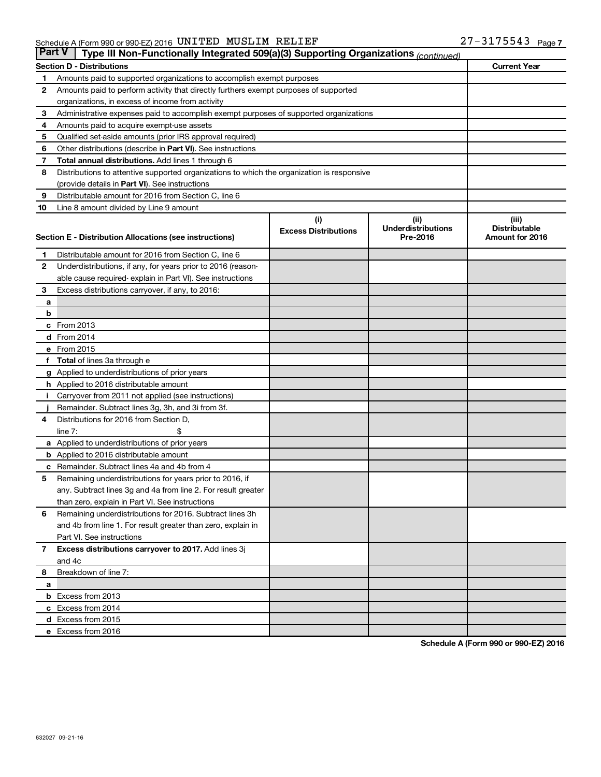| ∣ Part V∣    | Type III Non-Functionally Integrated 509(a)(3) Supporting Organizations (continued)        |                             |                                   |                               |  |
|--------------|--------------------------------------------------------------------------------------------|-----------------------------|-----------------------------------|-------------------------------|--|
|              | <b>Current Year</b><br><b>Section D - Distributions</b>                                    |                             |                                   |                               |  |
| 1            | Amounts paid to supported organizations to accomplish exempt purposes                      |                             |                                   |                               |  |
| 2            | Amounts paid to perform activity that directly furthers exempt purposes of supported       |                             |                                   |                               |  |
|              | organizations, in excess of income from activity                                           |                             |                                   |                               |  |
| 3            | Administrative expenses paid to accomplish exempt purposes of supported organizations      |                             |                                   |                               |  |
| 4            | Amounts paid to acquire exempt-use assets                                                  |                             |                                   |                               |  |
| 5            | Qualified set-aside amounts (prior IRS approval required)                                  |                             |                                   |                               |  |
| 6            | Other distributions (describe in Part VI). See instructions                                |                             |                                   |                               |  |
| 7            | <b>Total annual distributions.</b> Add lines 1 through 6                                   |                             |                                   |                               |  |
| 8            | Distributions to attentive supported organizations to which the organization is responsive |                             |                                   |                               |  |
|              | (provide details in Part VI). See instructions                                             |                             |                                   |                               |  |
| 9            | Distributable amount for 2016 from Section C, line 6                                       |                             |                                   |                               |  |
| 10           | Line 8 amount divided by Line 9 amount                                                     |                             |                                   |                               |  |
|              |                                                                                            | (i)                         | (ii)<br><b>Underdistributions</b> | (iii)<br><b>Distributable</b> |  |
|              | Section E - Distribution Allocations (see instructions)                                    | <b>Excess Distributions</b> | Pre-2016                          | Amount for 2016               |  |
|              |                                                                                            |                             |                                   |                               |  |
| 1            | Distributable amount for 2016 from Section C, line 6                                       |                             |                                   |                               |  |
| $\mathbf{2}$ | Underdistributions, if any, for years prior to 2016 (reason-                               |                             |                                   |                               |  |
|              | able cause required- explain in Part VI). See instructions                                 |                             |                                   |                               |  |
| 3            | Excess distributions carryover, if any, to 2016:                                           |                             |                                   |                               |  |
| а<br>b       |                                                                                            |                             |                                   |                               |  |
|              | c From 2013                                                                                |                             |                                   |                               |  |
|              | <b>d</b> From 2014                                                                         |                             |                                   |                               |  |
|              | e From 2015                                                                                |                             |                                   |                               |  |
| f            | <b>Total</b> of lines 3a through e                                                         |                             |                                   |                               |  |
|              | g Applied to underdistributions of prior years                                             |                             |                                   |                               |  |
|              | h Applied to 2016 distributable amount                                                     |                             |                                   |                               |  |
|              | Carryover from 2011 not applied (see instructions)                                         |                             |                                   |                               |  |
|              | Remainder. Subtract lines 3g, 3h, and 3i from 3f.                                          |                             |                                   |                               |  |
| 4            | Distributions for 2016 from Section D,                                                     |                             |                                   |                               |  |
|              | line $7:$                                                                                  |                             |                                   |                               |  |
|              | a Applied to underdistributions of prior years                                             |                             |                                   |                               |  |
|              | <b>b</b> Applied to 2016 distributable amount                                              |                             |                                   |                               |  |
| с            | Remainder. Subtract lines 4a and 4b from 4                                                 |                             |                                   |                               |  |
| 5            | Remaining underdistributions for years prior to 2016, if                                   |                             |                                   |                               |  |
|              | any. Subtract lines 3g and 4a from line 2. For result greater                              |                             |                                   |                               |  |
|              | than zero, explain in Part VI. See instructions                                            |                             |                                   |                               |  |
| 6            | Remaining underdistributions for 2016. Subtract lines 3h                                   |                             |                                   |                               |  |
|              | and 4b from line 1. For result greater than zero, explain in                               |                             |                                   |                               |  |
|              | Part VI. See instructions                                                                  |                             |                                   |                               |  |
| $\mathbf{7}$ | Excess distributions carryover to 2017. Add lines 3j                                       |                             |                                   |                               |  |
|              | and 4c                                                                                     |                             |                                   |                               |  |
| 8            | Breakdown of line 7:                                                                       |                             |                                   |                               |  |
| а            |                                                                                            |                             |                                   |                               |  |
|              | <b>b</b> Excess from 2013                                                                  |                             |                                   |                               |  |
|              | c Excess from 2014                                                                         |                             |                                   |                               |  |
|              | d Excess from 2015                                                                         |                             |                                   |                               |  |
|              | e Excess from 2016                                                                         |                             |                                   |                               |  |

**Schedule A (Form 990 or 990-EZ) 2016**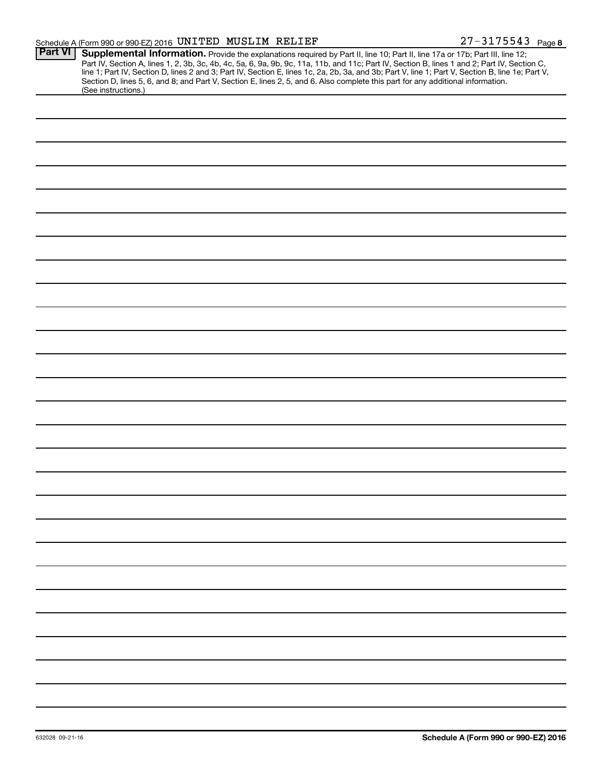| <b>Part VI</b> |                                                                                                                                                                                                                                        |
|----------------|----------------------------------------------------------------------------------------------------------------------------------------------------------------------------------------------------------------------------------------|
|                | <b>Supplemental Information.</b> Provide the explanations required by Part II, line 10; Part II, line 17a or 17b; Part III, line 12;<br>Part IV, Section A, lines 1, 2, 3b, 3c, 4b, 4c, 5a, 6, 9a, 9b, 9c, 11a, 11b, and 11c; Part IV, |
|                | Section D, lines 5, 6, and 8; and Part V, Section E, lines 2, 5, and 6. Also complete this part for any additional information.<br>(See instructions.)                                                                                 |
|                |                                                                                                                                                                                                                                        |
|                |                                                                                                                                                                                                                                        |
|                |                                                                                                                                                                                                                                        |
|                |                                                                                                                                                                                                                                        |
|                |                                                                                                                                                                                                                                        |
|                |                                                                                                                                                                                                                                        |
|                |                                                                                                                                                                                                                                        |
|                |                                                                                                                                                                                                                                        |
|                |                                                                                                                                                                                                                                        |
|                |                                                                                                                                                                                                                                        |
|                |                                                                                                                                                                                                                                        |
|                |                                                                                                                                                                                                                                        |
|                |                                                                                                                                                                                                                                        |
|                |                                                                                                                                                                                                                                        |
|                |                                                                                                                                                                                                                                        |
|                |                                                                                                                                                                                                                                        |
|                |                                                                                                                                                                                                                                        |
|                |                                                                                                                                                                                                                                        |
|                |                                                                                                                                                                                                                                        |
|                |                                                                                                                                                                                                                                        |
|                |                                                                                                                                                                                                                                        |
|                |                                                                                                                                                                                                                                        |
|                |                                                                                                                                                                                                                                        |
|                |                                                                                                                                                                                                                                        |
|                |                                                                                                                                                                                                                                        |
|                |                                                                                                                                                                                                                                        |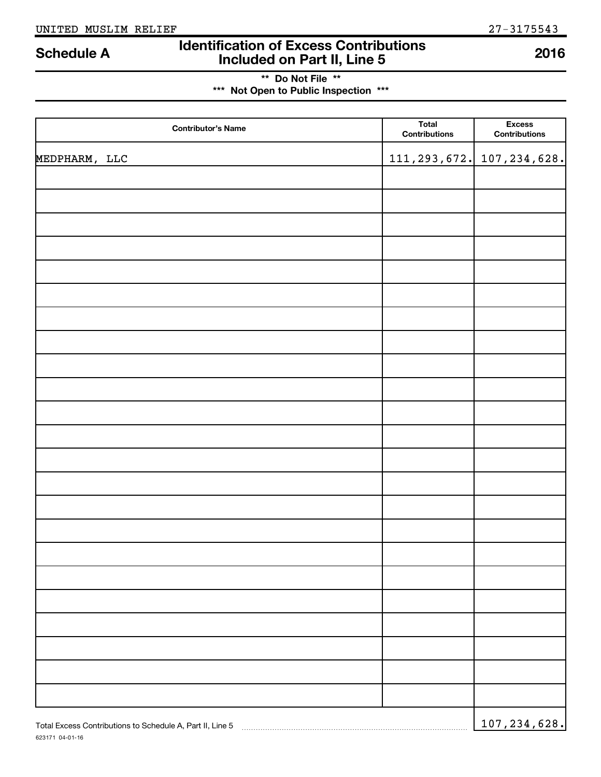### **Identification of Excess Contributions IDENTIFY Schedule A IDENTIFY Schedule A Included on Part II, Line 5 2016**

### **\*\* Do Not File \*\* \*\*\* Not Open to Public Inspection \*\*\***

| <b>Contributor's Name</b>                                 | Total<br>Contributions | <b>Excess</b><br>Contributions |
|-----------------------------------------------------------|------------------------|--------------------------------|
| MEDPHARM, LLC                                             | 111, 293, 672.         | 107, 234, 628.                 |
|                                                           |                        |                                |
|                                                           |                        |                                |
|                                                           |                        |                                |
|                                                           |                        |                                |
|                                                           |                        |                                |
|                                                           |                        |                                |
|                                                           |                        |                                |
|                                                           |                        |                                |
|                                                           |                        |                                |
|                                                           |                        |                                |
|                                                           |                        |                                |
|                                                           |                        |                                |
|                                                           |                        |                                |
|                                                           |                        |                                |
|                                                           |                        |                                |
|                                                           |                        |                                |
|                                                           |                        |                                |
|                                                           |                        |                                |
|                                                           |                        |                                |
|                                                           |                        |                                |
|                                                           |                        |                                |
|                                                           |                        |                                |
|                                                           |                        |                                |
| Total Excess Contributions to Schedule A, Part II, Line 5 |                        | 107, 234, 628.                 |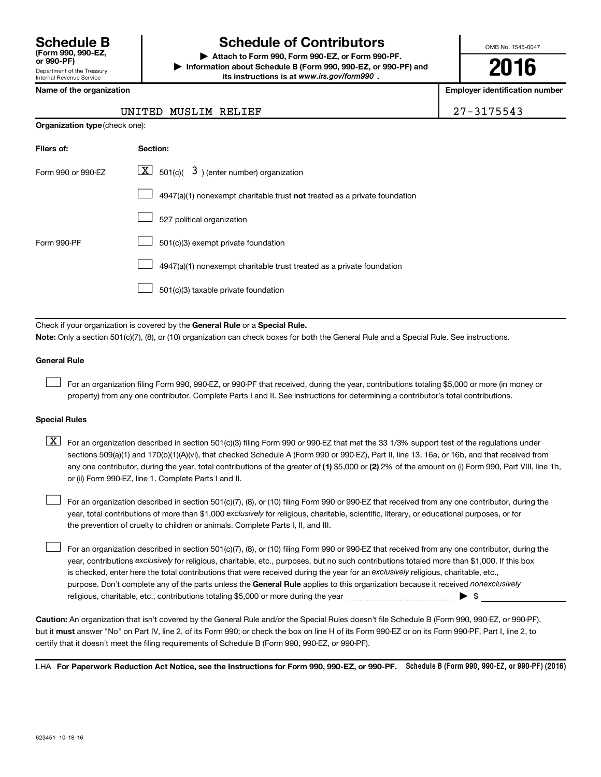Department of the Treasury Internal Revenue Service **(Form 990, 990-EZ,**

## **Schedule B Schedule of Contributors**

**or 990-PF) | Attach to Form 990, Form 990-EZ, or Form 990-PF. | Information about Schedule B (Form 990, 990-EZ, or 990-PF) and** its instructions is at www.irs.gov/form990.

OMB No. 1545-0047

**2016**

**Employer identification number** 

|  | Name of the organization |
|--|--------------------------|
|  |                          |

**Organization type** (check one):

#### UNITED MUSLIM RELIEF 27-3175543

| Filers of:         | Section:                                                                  |
|--------------------|---------------------------------------------------------------------------|
| Form 990 or 990-EZ | $ \mathbf{X} $ 501(c)( 3) (enter number) organization                     |
|                    | 4947(a)(1) nonexempt charitable trust not treated as a private foundation |
|                    | 527 political organization                                                |
| Form 990-PF        | 501(c)(3) exempt private foundation                                       |
|                    | 4947(a)(1) nonexempt charitable trust treated as a private foundation     |
|                    | 501(c)(3) taxable private foundation                                      |

Check if your organization is covered by the General Rule or a Special Rule.

**Note:**  Only a section 501(c)(7), (8), or (10) organization can check boxes for both the General Rule and a Special Rule. See instructions.

#### **General Rule**

 $\Box$ 

For an organization filing Form 990, 990-EZ, or 990-PF that received, during the year, contributions totaling \$5,000 or more (in money or property) from any one contributor. Complete Parts I and II. See instructions for determining a contributor's total contributions.

#### **Special Rules**

any one contributor, during the year, total contributions of the greater of **(1)** \$5,000 or **(2)** 2% of the amount on (i) Form 990, Part VIII, line 1h,  $\boxed{\text{X}}$  For an organization described in section 501(c)(3) filing Form 990 or 990-EZ that met the 33 1/3% support test of the regulations under sections 509(a)(1) and 170(b)(1)(A)(vi), that checked Schedule A (Form 990 or 990-EZ), Part II, line 13, 16a, or 16b, and that received from or (ii) Form 990-EZ, line 1. Complete Parts I and II.

year, total contributions of more than \$1,000 *exclusively* for religious, charitable, scientific, literary, or educational purposes, or for For an organization described in section 501(c)(7), (8), or (10) filing Form 990 or 990-EZ that received from any one contributor, during the the prevention of cruelty to children or animals. Complete Parts I, II, and III.  $\Box$ 

purpose. Don't complete any of the parts unless the General Rule applies to this organization because it received nonexclusively year, contributions exclusively for religious, charitable, etc., purposes, but no such contributions totaled more than \$1,000. If this box is checked, enter here the total contributions that were received during the year for an exclusively religious, charitable, etc., For an organization described in section 501(c)(7), (8), or (10) filing Form 990 or 990-EZ that received from any one contributor, during the religious, charitable, etc., contributions totaling \$5,000 or more during the year  $\ldots$  $\ldots$  $\ldots$  $\ldots$  $\ldots$  $\ldots$  $\Box$ 

**Caution:**  An organization that isn't covered by the General Rule and/or the Special Rules doesn't file Schedule B (Form 990, 990-EZ, or 990-PF),  **must** but it answer "No" on Part IV, line 2, of its Form 990; or check the box on line H of its Form 990-EZ or on its Form 990-PF, Part I, line 2, to certify that it doesn't meet the filing requirements of Schedule B (Form 990, 990-EZ, or 990-PF).

LHA For Paperwork Reduction Act Notice, see the Instructions for Form 990, 990-EZ, or 990-PF. Schedule B (Form 990, 990-EZ, or 990-PF) (2016)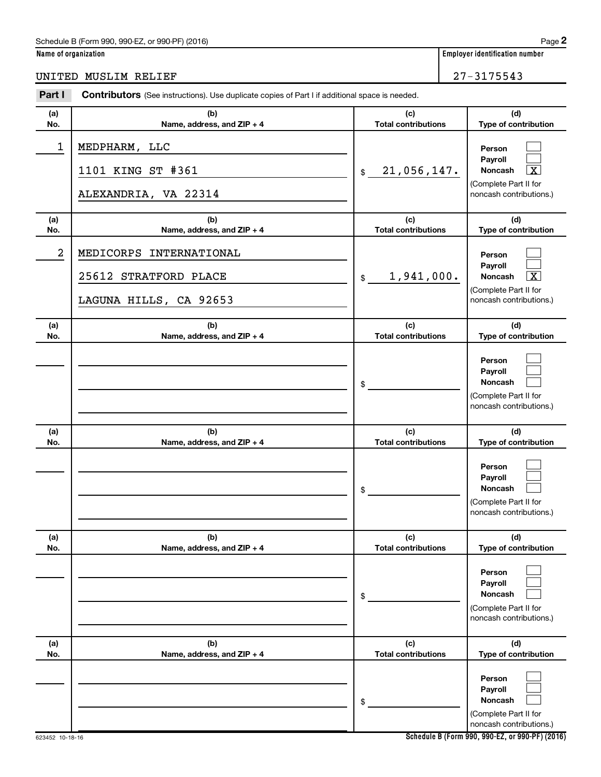### Schedule B (Form 990, 990-EZ, or 990-PF) (2016)

**Name of organization Employer identification number**

| Part I         | Contributors (See instructions). Use duplicate copies of Part I if additional space is needed. |                                   |                                                                                                             |
|----------------|------------------------------------------------------------------------------------------------|-----------------------------------|-------------------------------------------------------------------------------------------------------------|
| (a)<br>No.     | (b)<br>Name, address, and ZIP + 4                                                              | (c)<br><b>Total contributions</b> | (d)<br>Type of contribution                                                                                 |
| $\mathbf{1}$   | MEDPHARM, LLC<br>1101 KING ST #361<br>ALEXANDRIA, VA 22314                                     | 21,056,147.<br>$\mathsf{\$}$      | Person<br>Payroll<br>$\overline{\texttt{x}}$<br>Noncash<br>(Complete Part II for<br>noncash contributions.) |
| (a)<br>No.     | (b)<br>Name, address, and ZIP + 4                                                              | (c)<br><b>Total contributions</b> | (d)<br>Type of contribution                                                                                 |
| $\overline{a}$ | MEDICORPS INTERNATIONAL<br>25612 STRATFORD PLACE<br>LAGUNA HILLS, CA 92653                     | 1,941,000.<br>$\frac{1}{2}$       | Person<br>Payroll<br>$\overline{\texttt{x}}$<br>Noncash<br>(Complete Part II for<br>noncash contributions.) |
| (a)<br>No.     | (b)<br>Name, address, and ZIP + 4                                                              | (c)<br><b>Total contributions</b> | (d)<br>Type of contribution                                                                                 |
|                |                                                                                                | \$                                | Person<br>Payroll<br>Noncash<br>(Complete Part II for<br>noncash contributions.)                            |
| (a)<br>No.     | (b)<br>Name, address, and ZIP + 4                                                              | (c)<br><b>Total contributions</b> | (d)<br>Type of contribution                                                                                 |
|                |                                                                                                | \$                                | Person<br>Payroll<br>Noncash<br>(Complete Part II for<br>noncash contributions.)                            |
| (a)<br>No.     | (b)<br>Name, address, and ZIP + 4                                                              | (c)<br><b>Total contributions</b> | (d)<br>Type of contribution                                                                                 |
|                |                                                                                                | \$                                | Person<br>Pavroll<br><b>Noncash</b><br>(Complete Part II for<br>noncash contributions.)                     |
| (a)<br>No.     | (b)<br>Name, address, and ZIP + 4                                                              | (c)<br><b>Total contributions</b> | (d)<br>Type of contribution                                                                                 |
|                |                                                                                                | \$                                | Person<br>Payroll<br><b>Noncash</b><br>(Complete Part II for<br>noncash contributions.)                     |

**Schedule B (Form 990, 990-EZ, or 990-PF) (2016)**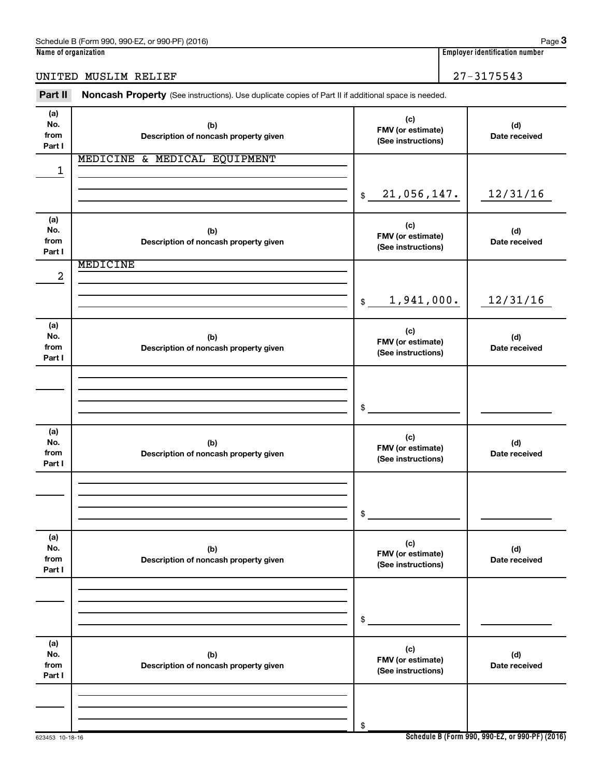### UNITED MUSLIM RELIEF 27-3175543

| Part II                      | Noncash Property (See instructions). Use duplicate copies of Part II if additional space is needed. |                                                |                      |
|------------------------------|-----------------------------------------------------------------------------------------------------|------------------------------------------------|----------------------|
| (a)<br>No.<br>from<br>Part I | (b)<br>Description of noncash property given                                                        | (c)<br>FMV (or estimate)<br>(See instructions) | (d)<br>Date received |
| 1                            | MEDICINE & MEDICAL EQUIPMENT                                                                        |                                                |                      |
|                              |                                                                                                     | 21,056,147.<br>$\mathfrak{S}$                  | 12/31/16             |
| (a)<br>No.<br>from<br>Part I | (b)<br>Description of noncash property given                                                        | (c)<br>FMV (or estimate)<br>(See instructions) | (d)<br>Date received |
| $\boldsymbol{2}$             | MEDICINE                                                                                            |                                                |                      |
|                              |                                                                                                     | 1,941,000.<br>$$\mathbb{S}$$                   | 12/31/16             |
| (a)<br>No.<br>from<br>Part I | (b)<br>Description of noncash property given                                                        | (c)<br>FMV (or estimate)<br>(See instructions) | (d)<br>Date received |
|                              |                                                                                                     |                                                |                      |
|                              |                                                                                                     | \$                                             |                      |
|                              |                                                                                                     |                                                |                      |
| (a)<br>No.<br>from<br>Part I | (b)<br>Description of noncash property given                                                        | (c)<br>FMV (or estimate)<br>(See instructions) | (d)<br>Date received |
|                              |                                                                                                     |                                                |                      |
|                              |                                                                                                     | \$                                             |                      |
| (a)<br>No.<br>from<br>Part I | (b)<br>Description of noncash property given                                                        | (c)<br>FMV (or estimate)<br>(See instructions) | (d)<br>Date received |
|                              |                                                                                                     |                                                |                      |
|                              |                                                                                                     | \$                                             |                      |
| (a)<br>No.<br>from<br>Part I | (b)<br>Description of noncash property given                                                        | (c)<br>FMV (or estimate)<br>(See instructions) | (d)<br>Date received |
|                              |                                                                                                     |                                                |                      |
|                              |                                                                                                     | \$                                             |                      |

**Schedule B (Form 990, 990-EZ, or 990-PF) (2016)**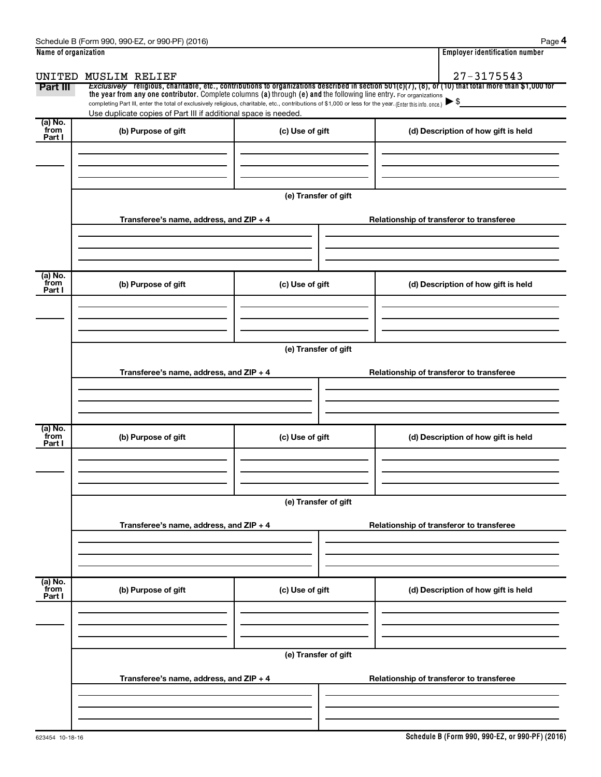| Name of organization      |                                                                                                                                                          |                      | <b>Employer identification number</b>                                                                                                                    |
|---------------------------|----------------------------------------------------------------------------------------------------------------------------------------------------------|----------------------|----------------------------------------------------------------------------------------------------------------------------------------------------------|
|                           | UNITED MUSLIM RELIEF                                                                                                                                     |                      | $27 - 3175543$                                                                                                                                           |
| Part III                  | the year from any one contributor. Complete columns (a) through (e) and the following line entry. For organizations                                      |                      | Exclusively religious, charitable, etc., contributions to organizations described in section $501(c)(7)$ , (8), or (10) that total more than \$1,000 for |
|                           | completing Part III, enter the total of exclusively religious, charitable, etc., contributions of \$1,000 or less for the year. (Enter this info. once.) |                      | $\blacktriangleright$ \$                                                                                                                                 |
|                           | Use duplicate copies of Part III if additional space is needed.                                                                                          |                      |                                                                                                                                                          |
| (a) No.<br>from<br>Part I | (b) Purpose of gift                                                                                                                                      | (c) Use of gift      | (d) Description of how gift is held                                                                                                                      |
|                           |                                                                                                                                                          |                      |                                                                                                                                                          |
|                           |                                                                                                                                                          |                      |                                                                                                                                                          |
|                           |                                                                                                                                                          |                      |                                                                                                                                                          |
|                           |                                                                                                                                                          | (e) Transfer of gift |                                                                                                                                                          |
|                           | Transferee's name, address, and $ZIP + 4$                                                                                                                |                      | Relationship of transferor to transferee                                                                                                                 |
|                           |                                                                                                                                                          |                      |                                                                                                                                                          |
|                           |                                                                                                                                                          |                      |                                                                                                                                                          |
|                           |                                                                                                                                                          |                      |                                                                                                                                                          |
| (a) No.<br>from           | (b) Purpose of gift                                                                                                                                      | (c) Use of gift      | (d) Description of how gift is held                                                                                                                      |
| Part I                    |                                                                                                                                                          |                      |                                                                                                                                                          |
|                           |                                                                                                                                                          |                      |                                                                                                                                                          |
|                           |                                                                                                                                                          |                      |                                                                                                                                                          |
|                           |                                                                                                                                                          | (e) Transfer of gift |                                                                                                                                                          |
|                           |                                                                                                                                                          |                      |                                                                                                                                                          |
|                           | Transferee's name, address, and ZIP + 4                                                                                                                  |                      | Relationship of transferor to transferee                                                                                                                 |
|                           |                                                                                                                                                          |                      |                                                                                                                                                          |
|                           |                                                                                                                                                          |                      |                                                                                                                                                          |
|                           |                                                                                                                                                          |                      |                                                                                                                                                          |
| (a) No.<br>from<br>Part I | (b) Purpose of gift                                                                                                                                      | (c) Use of gift      | (d) Description of how gift is held                                                                                                                      |
|                           |                                                                                                                                                          |                      |                                                                                                                                                          |
|                           |                                                                                                                                                          |                      |                                                                                                                                                          |
|                           |                                                                                                                                                          |                      |                                                                                                                                                          |
|                           |                                                                                                                                                          | (e) Transfer of gift |                                                                                                                                                          |
|                           | Transferee's name, address, and ZIP + 4                                                                                                                  |                      | Relationship of transferor to transferee                                                                                                                 |
|                           |                                                                                                                                                          |                      |                                                                                                                                                          |
|                           |                                                                                                                                                          |                      |                                                                                                                                                          |
|                           |                                                                                                                                                          |                      |                                                                                                                                                          |
| (a) No.<br>from           | (b) Purpose of gift                                                                                                                                      | (c) Use of gift      | (d) Description of how gift is held                                                                                                                      |
| Part I                    |                                                                                                                                                          |                      |                                                                                                                                                          |
|                           |                                                                                                                                                          |                      |                                                                                                                                                          |
|                           |                                                                                                                                                          |                      |                                                                                                                                                          |
|                           |                                                                                                                                                          | (e) Transfer of gift |                                                                                                                                                          |
|                           |                                                                                                                                                          |                      |                                                                                                                                                          |
|                           | Transferee's name, address, and ZIP + 4                                                                                                                  |                      | Relationship of transferor to transferee                                                                                                                 |
|                           |                                                                                                                                                          |                      |                                                                                                                                                          |
|                           |                                                                                                                                                          |                      |                                                                                                                                                          |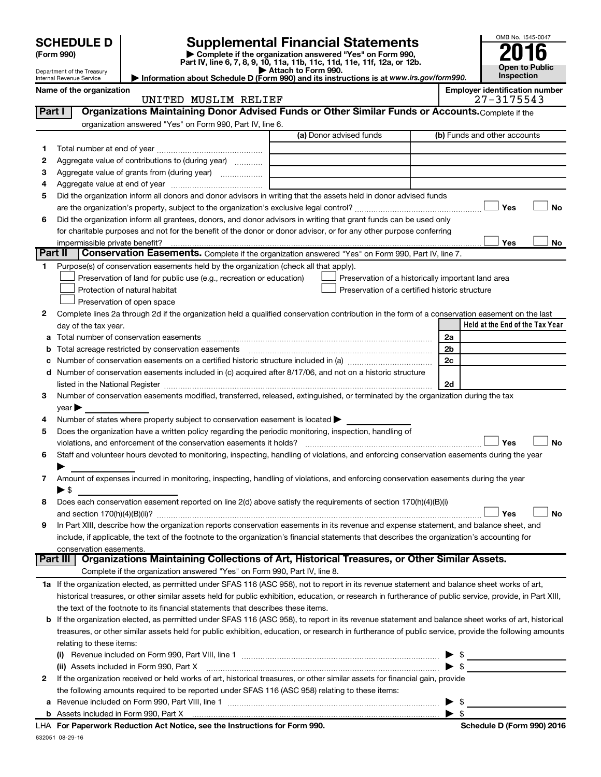|         |                                                      |                                                                                                        |                                                                                                                                                                                                                               |    | OMB No. 1545-0047                     |
|---------|------------------------------------------------------|--------------------------------------------------------------------------------------------------------|-------------------------------------------------------------------------------------------------------------------------------------------------------------------------------------------------------------------------------|----|---------------------------------------|
|         | <b>SCHEDULE D</b>                                    |                                                                                                        | Supplemental Financial Statements                                                                                                                                                                                             |    |                                       |
|         | (Form 990)                                           |                                                                                                        | Complete if the organization answered "Yes" on Form 990,<br>Part IV, line 6, 7, 8, 9, 10, 11a, 11b, 11c, 11d, 11e, 11f, 12a, or 12b.                                                                                          |    |                                       |
|         | Department of the Treasury                           |                                                                                                        | Attach to Form 990.<br>Information about Schedule D (Form 990) and its instructions is at www.irs.gov/form990.                                                                                                                |    | <b>Open to Public</b><br>Inspection   |
|         | Internal Revenue Service<br>Name of the organization |                                                                                                        |                                                                                                                                                                                                                               |    | <b>Employer identification number</b> |
|         |                                                      | UNITED MUSLIM RELIEF                                                                                   |                                                                                                                                                                                                                               |    | 27-3175543                            |
| Part I  |                                                      |                                                                                                        | Organizations Maintaining Donor Advised Funds or Other Similar Funds or Accounts. Complete if the                                                                                                                             |    |                                       |
|         |                                                      | organization answered "Yes" on Form 990, Part IV, line 6.                                              |                                                                                                                                                                                                                               |    |                                       |
|         |                                                      |                                                                                                        | (a) Donor advised funds                                                                                                                                                                                                       |    | (b) Funds and other accounts          |
| 1       |                                                      |                                                                                                        |                                                                                                                                                                                                                               |    |                                       |
| 2       |                                                      | Aggregate value of contributions to (during year)                                                      |                                                                                                                                                                                                                               |    |                                       |
| з       |                                                      | Aggregate value of grants from (during year)                                                           |                                                                                                                                                                                                                               |    |                                       |
| 4       |                                                      |                                                                                                        |                                                                                                                                                                                                                               |    |                                       |
| 5       |                                                      |                                                                                                        | Did the organization inform all donors and donor advisors in writing that the assets held in donor advised funds                                                                                                              |    |                                       |
|         |                                                      |                                                                                                        |                                                                                                                                                                                                                               |    | <b>No</b><br>Yes                      |
| 6       |                                                      |                                                                                                        | Did the organization inform all grantees, donors, and donor advisors in writing that grant funds can be used only                                                                                                             |    |                                       |
|         |                                                      |                                                                                                        | for charitable purposes and not for the benefit of the donor or donor advisor, or for any other purpose conferring                                                                                                            |    |                                       |
| Part II | impermissible private benefit?                       |                                                                                                        | Conservation Easements. Complete if the organization answered "Yes" on Form 990, Part IV, line 7.                                                                                                                             |    | Yes<br>No                             |
| 1.      |                                                      | Purpose(s) of conservation easements held by the organization (check all that apply).                  |                                                                                                                                                                                                                               |    |                                       |
|         |                                                      | Preservation of land for public use (e.g., recreation or education)                                    | Preservation of a historically important land area                                                                                                                                                                            |    |                                       |
|         |                                                      | Protection of natural habitat                                                                          | Preservation of a certified historic structure                                                                                                                                                                                |    |                                       |
|         |                                                      | Preservation of open space                                                                             |                                                                                                                                                                                                                               |    |                                       |
| 2       |                                                      |                                                                                                        | Complete lines 2a through 2d if the organization held a qualified conservation contribution in the form of a conservation easement on the last                                                                                |    |                                       |
|         | day of the tax year.                                 |                                                                                                        |                                                                                                                                                                                                                               |    | Held at the End of the Tax Year       |
|         |                                                      |                                                                                                        |                                                                                                                                                                                                                               | 2a |                                       |
| b       |                                                      | Total acreage restricted by conservation easements                                                     |                                                                                                                                                                                                                               | 2b |                                       |
| с       |                                                      |                                                                                                        |                                                                                                                                                                                                                               | 2c |                                       |
| d       |                                                      |                                                                                                        | Number of conservation easements included in (c) acquired after 8/17/06, and not on a historic structure                                                                                                                      |    |                                       |
|         |                                                      |                                                                                                        | listed in the National Register [1111] Marshall Register [111] Marshall Register [11] Marshall Register [111] Marshall Register [111] Marshall Register [111] Marshall Register [11] Marshall Register [11] Marshall Register | 2d |                                       |
| 3       |                                                      |                                                                                                        | Number of conservation easements modified, transferred, released, extinguished, or terminated by the organization during the tax                                                                                              |    |                                       |
|         | year                                                 |                                                                                                        |                                                                                                                                                                                                                               |    |                                       |
| 4       |                                                      | Number of states where property subject to conservation easement is located >                          |                                                                                                                                                                                                                               |    |                                       |
| 5       |                                                      | Does the organization have a written policy regarding the periodic monitoring, inspection, handling of |                                                                                                                                                                                                                               |    |                                       |
|         |                                                      | violations, and enforcement of the conservation easements it holds?                                    |                                                                                                                                                                                                                               |    | <b>No</b><br>Yes                      |
| 6       |                                                      |                                                                                                        | Staff and volunteer hours devoted to monitoring, inspecting, handling of violations, and enforcing conservation easements during the year                                                                                     |    |                                       |
|         |                                                      |                                                                                                        |                                                                                                                                                                                                                               |    |                                       |
| 7       |                                                      |                                                                                                        | Amount of expenses incurred in monitoring, inspecting, handling of violations, and enforcing conservation easements during the year                                                                                           |    |                                       |
|         | $\blacktriangleright$ \$                             |                                                                                                        |                                                                                                                                                                                                                               |    |                                       |
| 8       |                                                      |                                                                                                        | Does each conservation easement reported on line 2(d) above satisfy the requirements of section 170(h)(4)(B)(i)                                                                                                               |    | <b>No</b><br>Yes                      |
| 9       |                                                      |                                                                                                        | In Part XIII, describe how the organization reports conservation easements in its revenue and expense statement, and balance sheet, and                                                                                       |    |                                       |
|         |                                                      |                                                                                                        | include, if applicable, the text of the footnote to the organization's financial statements that describes the organization's accounting for                                                                                  |    |                                       |
|         | conservation easements.                              |                                                                                                        |                                                                                                                                                                                                                               |    |                                       |
|         |                                                      |                                                                                                        | Part III   Organizations Maintaining Collections of Art, Historical Treasures, or Other Similar Assets.                                                                                                                       |    |                                       |
|         |                                                      | Complete if the organization answered "Yes" on Form 990, Part IV, line 8.                              |                                                                                                                                                                                                                               |    |                                       |
|         |                                                      |                                                                                                        | 1a If the organization elected, as permitted under SFAS 116 (ASC 958), not to report in its revenue statement and balance sheet works of art,                                                                                 |    |                                       |
|         |                                                      |                                                                                                        | historical treasures, or other similar assets held for public exhibition, education, or research in furtherance of public service, provide, in Part XIII,                                                                     |    |                                       |
|         |                                                      | the text of the footnote to its financial statements that describes these items.                       |                                                                                                                                                                                                                               |    |                                       |
| b       |                                                      |                                                                                                        | If the organization elected, as permitted under SFAS 116 (ASC 958), to report in its revenue statement and balance sheet works of art, historical                                                                             |    |                                       |
|         |                                                      |                                                                                                        | treasures, or other similar assets held for public exhibition, education, or research in furtherance of public service, provide the following amounts                                                                         |    |                                       |
|         | relating to these items:                             |                                                                                                        |                                                                                                                                                                                                                               |    |                                       |
|         |                                                      |                                                                                                        |                                                                                                                                                                                                                               |    |                                       |
|         |                                                      | (ii) Assets included in Form 990, Part X                                                               |                                                                                                                                                                                                                               |    | $\blacktriangleright$ s               |
| 2       |                                                      |                                                                                                        | If the organization received or held works of art, historical treasures, or other similar assets for financial gain, provide                                                                                                  |    |                                       |
|         |                                                      | the following amounts required to be reported under SFAS 116 (ASC 958) relating to these items:        |                                                                                                                                                                                                                               |    |                                       |
|         |                                                      |                                                                                                        |                                                                                                                                                                                                                               |    | -\$                                   |

632051 08-29-16 **b** Assets included in Form 990, Part X **For Paperwork Reduction Act Notice, see the Instructions for Form 990. Schedule D (Form 990) 2016** LHA | \$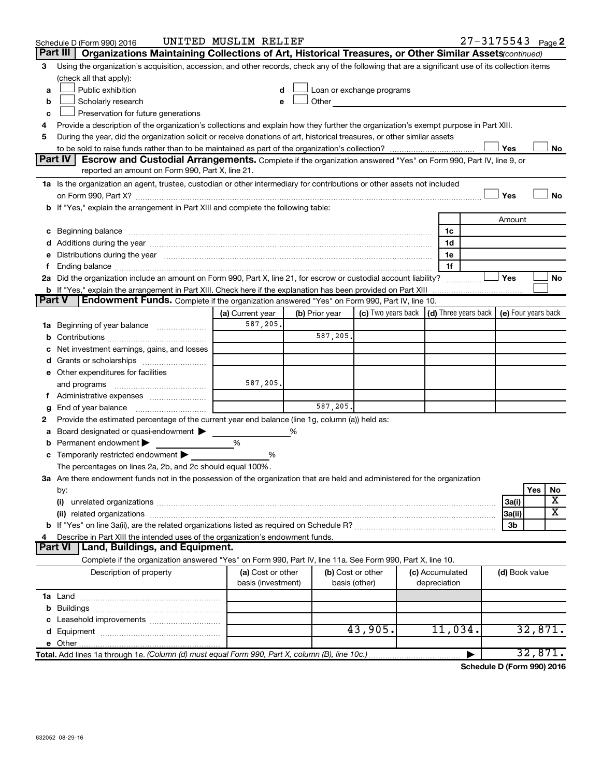|               | Schedule D (Form 990) 2016                                                                                                                                                                                                     | UNITED MUSLIM RELIEF                    |                |                                    |                                 | $27 - 3175543$ Page 2                      |                         |
|---------------|--------------------------------------------------------------------------------------------------------------------------------------------------------------------------------------------------------------------------------|-----------------------------------------|----------------|------------------------------------|---------------------------------|--------------------------------------------|-------------------------|
|               | Part III<br>Organizations Maintaining Collections of Art, Historical Treasures, or Other Similar Assets (continued)                                                                                                            |                                         |                |                                    |                                 |                                            |                         |
| 3             | Using the organization's acquisition, accession, and other records, check any of the following that are a significant use of its collection items                                                                              |                                         |                |                                    |                                 |                                            |                         |
|               | (check all that apply):                                                                                                                                                                                                        |                                         |                |                                    |                                 |                                            |                         |
| a             | Public exhibition                                                                                                                                                                                                              | d                                       |                | Loan or exchange programs          |                                 |                                            |                         |
| b             | Scholarly research                                                                                                                                                                                                             | e                                       | Other          |                                    |                                 |                                            |                         |
| c             | Preservation for future generations                                                                                                                                                                                            |                                         |                |                                    |                                 |                                            |                         |
|               | Provide a description of the organization's collections and explain how they further the organization's exempt purpose in Part XIII.                                                                                           |                                         |                |                                    |                                 |                                            |                         |
| 5             | During the year, did the organization solicit or receive donations of art, historical treasures, or other similar assets                                                                                                       |                                         |                |                                    |                                 |                                            |                         |
|               |                                                                                                                                                                                                                                |                                         |                |                                    |                                 | Yes                                        | No                      |
|               | Part IV<br>Escrow and Custodial Arrangements. Complete if the organization answered "Yes" on Form 990, Part IV, line 9, or                                                                                                     |                                         |                |                                    |                                 |                                            |                         |
|               | reported an amount on Form 990, Part X, line 21.                                                                                                                                                                               |                                         |                |                                    |                                 |                                            |                         |
|               | 1a Is the organization an agent, trustee, custodian or other intermediary for contributions or other assets not included                                                                                                       |                                         |                |                                    |                                 |                                            |                         |
|               |                                                                                                                                                                                                                                |                                         |                |                                    |                                 | Yes                                        | <b>No</b>               |
|               | b If "Yes," explain the arrangement in Part XIII and complete the following table:                                                                                                                                             |                                         |                |                                    |                                 |                                            |                         |
|               |                                                                                                                                                                                                                                |                                         |                |                                    |                                 | Amount                                     |                         |
|               | c Beginning balance measurements and the contract of the contract of the contract of the contract of the contract of the contract of the contract of the contract of the contract of the contract of the contract of the contr |                                         |                |                                    | 1c                              |                                            |                         |
|               |                                                                                                                                                                                                                                |                                         |                |                                    | 1d                              |                                            |                         |
|               | Distributions during the year manufactured and an account of the year manufactured and the year manufactured and the year manufactured and the year manufactured and the year manufactured and the year manufactured and the y |                                         |                |                                    | 1e                              |                                            |                         |
|               |                                                                                                                                                                                                                                |                                         |                |                                    | 1f                              |                                            |                         |
|               | 2a Did the organization include an amount on Form 990, Part X, line 21, for escrow or custodial account liability?                                                                                                             |                                         |                |                                    |                                 | Yes                                        | No                      |
|               | b If "Yes," explain the arrangement in Part XIII. Check here if the explanation has been provided on Part XIII                                                                                                                 |                                         |                |                                    |                                 |                                            |                         |
| <b>Part V</b> | <b>Endowment Funds.</b> Complete if the organization answered "Yes" on Form 990, Part IV, line 10.                                                                                                                             |                                         |                |                                    |                                 |                                            |                         |
|               |                                                                                                                                                                                                                                | (a) Current year                        | (b) Prior year | (c) Two years back                 |                                 | (d) Three years back   (e) Four years back |                         |
| 1a            | Beginning of year balance                                                                                                                                                                                                      | 587,205,                                |                |                                    |                                 |                                            |                         |
| b             |                                                                                                                                                                                                                                |                                         | 587,205.       |                                    |                                 |                                            |                         |
|               | Net investment earnings, gains, and losses                                                                                                                                                                                     |                                         |                |                                    |                                 |                                            |                         |
|               |                                                                                                                                                                                                                                |                                         |                |                                    |                                 |                                            |                         |
|               | e Other expenditures for facilities                                                                                                                                                                                            |                                         |                |                                    |                                 |                                            |                         |
|               | and programs                                                                                                                                                                                                                   | 587,205.                                |                |                                    |                                 |                                            |                         |
|               |                                                                                                                                                                                                                                |                                         |                |                                    |                                 |                                            |                         |
| g             | End of year balance                                                                                                                                                                                                            |                                         | 587,205.       |                                    |                                 |                                            |                         |
| 2             | Provide the estimated percentage of the current year end balance (line 1g, column (a)) held as:                                                                                                                                |                                         |                |                                    |                                 |                                            |                         |
|               | Board designated or quasi-endowment                                                                                                                                                                                            |                                         | %              |                                    |                                 |                                            |                         |
|               | Permanent endowment                                                                                                                                                                                                            | %                                       |                |                                    |                                 |                                            |                         |
|               | Temporarily restricted endowment                                                                                                                                                                                               | %                                       |                |                                    |                                 |                                            |                         |
|               | The percentages on lines 2a, 2b, and 2c should equal 100%.                                                                                                                                                                     |                                         |                |                                    |                                 |                                            |                         |
|               | 3a Are there endowment funds not in the possession of the organization that are held and administered for the organization                                                                                                     |                                         |                |                                    |                                 |                                            |                         |
|               | by:                                                                                                                                                                                                                            |                                         |                |                                    |                                 |                                            | Yes<br>No<br>X          |
|               | (i)                                                                                                                                                                                                                            |                                         |                |                                    |                                 | 3a(i)                                      | $\overline{\texttt{X}}$ |
|               |                                                                                                                                                                                                                                |                                         |                |                                    |                                 | 3a(ii)                                     |                         |
|               |                                                                                                                                                                                                                                |                                         |                |                                    |                                 | 3b                                         |                         |
|               | Describe in Part XIII the intended uses of the organization's endowment funds.<br><b>Land, Buildings, and Equipment.</b><br><b>Part VI</b>                                                                                     |                                         |                |                                    |                                 |                                            |                         |
|               | Complete if the organization answered "Yes" on Form 990, Part IV, line 11a. See Form 990, Part X, line 10.                                                                                                                     |                                         |                |                                    |                                 |                                            |                         |
|               |                                                                                                                                                                                                                                |                                         |                |                                    |                                 |                                            |                         |
|               | Description of property                                                                                                                                                                                                        | (a) Cost or other<br>basis (investment) |                | (b) Cost or other<br>basis (other) | (c) Accumulated<br>depreciation | (d) Book value                             |                         |
|               |                                                                                                                                                                                                                                |                                         |                |                                    |                                 |                                            |                         |
|               |                                                                                                                                                                                                                                |                                         |                |                                    |                                 |                                            |                         |
|               |                                                                                                                                                                                                                                |                                         |                |                                    |                                 |                                            |                         |
|               |                                                                                                                                                                                                                                |                                         |                | 43,905.                            | 11,034.                         |                                            | 32,871.                 |
|               |                                                                                                                                                                                                                                |                                         |                |                                    |                                 |                                            |                         |
|               | e Other.<br>Total. Add lines 1a through 1e. (Column (d) must equal Form 990, Part X, column (B), line 10c.)                                                                                                                    |                                         |                |                                    |                                 |                                            | 32,871.                 |
|               |                                                                                                                                                                                                                                |                                         |                |                                    |                                 |                                            |                         |

**Schedule D (Form 990) 2016**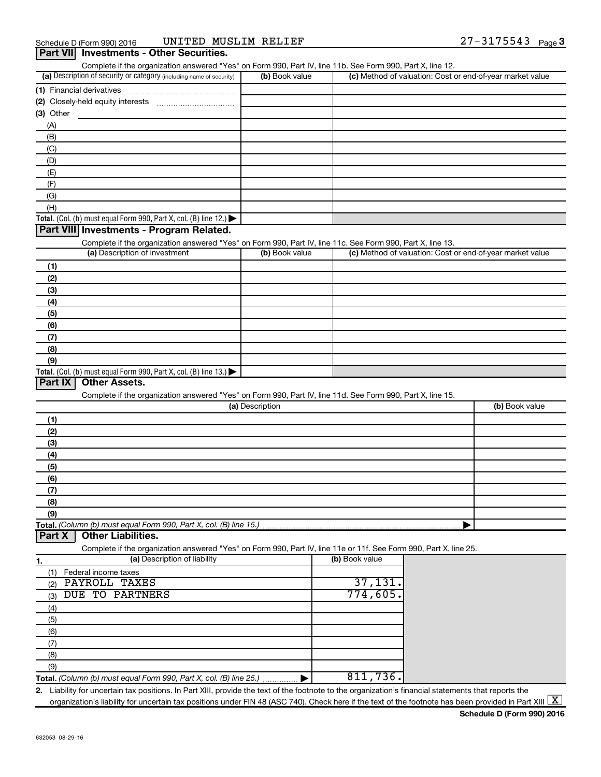$\overline{a}$ 

| (a) Description of security or category (including name of security)                                                                                                                      | (b) Book value  | Complete if the organization answered "Yes" on Form 990, Part IV, line 11b. See Form 990, Part X, line 12. | (c) Method of valuation: Cost or end-of-year market value |
|-------------------------------------------------------------------------------------------------------------------------------------------------------------------------------------------|-----------------|------------------------------------------------------------------------------------------------------------|-----------------------------------------------------------|
|                                                                                                                                                                                           |                 |                                                                                                            |                                                           |
|                                                                                                                                                                                           |                 |                                                                                                            |                                                           |
|                                                                                                                                                                                           |                 |                                                                                                            |                                                           |
| (3) Other                                                                                                                                                                                 |                 |                                                                                                            |                                                           |
| (A)                                                                                                                                                                                       |                 |                                                                                                            |                                                           |
| (B)                                                                                                                                                                                       |                 |                                                                                                            |                                                           |
| (C)                                                                                                                                                                                       |                 |                                                                                                            |                                                           |
| (D)                                                                                                                                                                                       |                 |                                                                                                            |                                                           |
| (E)                                                                                                                                                                                       |                 |                                                                                                            |                                                           |
| (F)                                                                                                                                                                                       |                 |                                                                                                            |                                                           |
| (G)                                                                                                                                                                                       |                 |                                                                                                            |                                                           |
| (H)                                                                                                                                                                                       |                 |                                                                                                            |                                                           |
| Total. (Col. (b) must equal Form 990, Part X, col. (B) line 12.)                                                                                                                          |                 |                                                                                                            |                                                           |
| Part VIII Investments - Program Related.                                                                                                                                                  |                 |                                                                                                            |                                                           |
| Complete if the organization answered "Yes" on Form 990, Part IV, line 11c. See Form 990, Part X, line 13.<br>(a) Description of investment                                               | (b) Book value  |                                                                                                            | (c) Method of valuation: Cost or end-of-year market value |
|                                                                                                                                                                                           |                 |                                                                                                            |                                                           |
| (1)                                                                                                                                                                                       |                 |                                                                                                            |                                                           |
| (2)                                                                                                                                                                                       |                 |                                                                                                            |                                                           |
| (3)                                                                                                                                                                                       |                 |                                                                                                            |                                                           |
| (4)                                                                                                                                                                                       |                 |                                                                                                            |                                                           |
| (5)                                                                                                                                                                                       |                 |                                                                                                            |                                                           |
| (6)                                                                                                                                                                                       |                 |                                                                                                            |                                                           |
| (7)                                                                                                                                                                                       |                 |                                                                                                            |                                                           |
| (8)                                                                                                                                                                                       |                 |                                                                                                            |                                                           |
| (9)                                                                                                                                                                                       |                 |                                                                                                            |                                                           |
| <b>Other Assets.</b>                                                                                                                                                                      |                 |                                                                                                            |                                                           |
| Total. (Col. (b) must equal Form 990, Part X, col. (B) line 13.)<br>Part IX<br>Complete if the organization answered "Yes" on Form 990, Part IV, line 11d. See Form 990, Part X, line 15. | (a) Description |                                                                                                            | (b) Book value                                            |
| (1)                                                                                                                                                                                       |                 |                                                                                                            |                                                           |
| (2)                                                                                                                                                                                       |                 |                                                                                                            |                                                           |
| (3)                                                                                                                                                                                       |                 |                                                                                                            |                                                           |
| (4)                                                                                                                                                                                       |                 |                                                                                                            |                                                           |
| (5)                                                                                                                                                                                       |                 |                                                                                                            |                                                           |
| (6)                                                                                                                                                                                       |                 |                                                                                                            |                                                           |
| (7)                                                                                                                                                                                       |                 |                                                                                                            |                                                           |
| (8)                                                                                                                                                                                       |                 |                                                                                                            |                                                           |
| (9)                                                                                                                                                                                       |                 |                                                                                                            |                                                           |
|                                                                                                                                                                                           |                 |                                                                                                            |                                                           |
| <b>Other Liabilities.</b>                                                                                                                                                                 |                 |                                                                                                            |                                                           |
| Part X<br>Complete if the organization answered "Yes" on Form 990, Part IV, line 11e or 11f. See Form 990, Part X, line 25.                                                               |                 |                                                                                                            |                                                           |
| (a) Description of liability                                                                                                                                                              |                 | (b) Book value                                                                                             |                                                           |
| Federal income taxes<br>(1)                                                                                                                                                               |                 |                                                                                                            |                                                           |
| PAYROLL TAXES<br>(2)                                                                                                                                                                      |                 | 37,131.                                                                                                    |                                                           |
| <b>DUE TO PARTNERS</b><br>(3)                                                                                                                                                             |                 | 774,605.                                                                                                   |                                                           |
| (4)                                                                                                                                                                                       |                 |                                                                                                            |                                                           |
| (5)                                                                                                                                                                                       |                 |                                                                                                            |                                                           |
| (6)                                                                                                                                                                                       |                 |                                                                                                            |                                                           |
| (7)                                                                                                                                                                                       |                 |                                                                                                            |                                                           |
| Total. (Column (b) must equal Form 990, Part X, col. (B) line 15.)<br>1.<br>(8)                                                                                                           |                 |                                                                                                            |                                                           |
| (9)                                                                                                                                                                                       |                 | 811,736.                                                                                                   |                                                           |

organization's liability for uncertain tax positions under FIN 48 (ASC 740). Check here if the text of the footnote has been provided in Part XIII  $\boxed{\text{X}}$ 

**Schedule D (Form 990) 2016**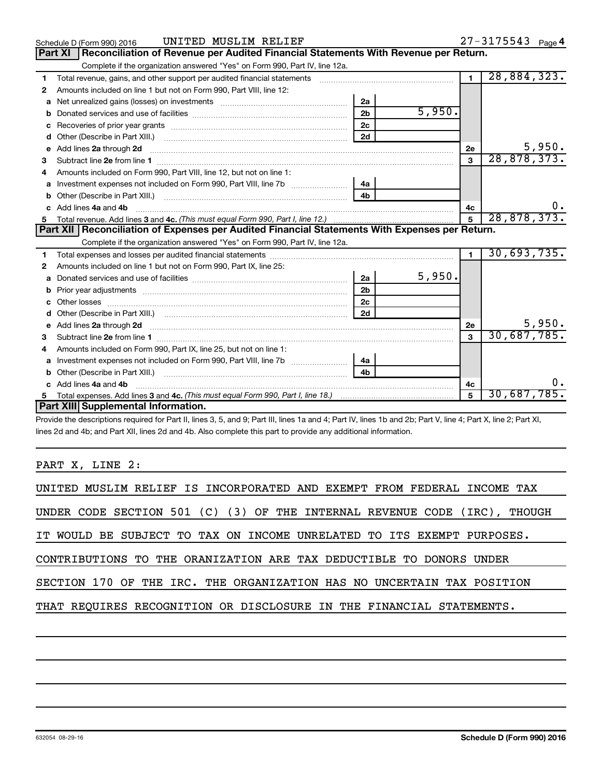|   | UNITED MUSLIM RELIEF<br>Schedule D (Form 990) 2016                                                                                                                                                                                   |                |        |                | 27-3175543 Page 4 |
|---|--------------------------------------------------------------------------------------------------------------------------------------------------------------------------------------------------------------------------------------|----------------|--------|----------------|-------------------|
|   | Part XI   Reconciliation of Revenue per Audited Financial Statements With Revenue per Return.                                                                                                                                        |                |        |                |                   |
|   | Complete if the organization answered "Yes" on Form 990, Part IV, line 12a.                                                                                                                                                          |                |        |                |                   |
| 1 | Total revenue, gains, and other support per audited financial statements [[[[[[[[[[[[[[[[[[[[[[[]]]]]]]]]]]]]                                                                                                                        |                |        | $\blacksquare$ | 28,884,323.       |
| 2 | Amounts included on line 1 but not on Form 990, Part VIII, line 12:                                                                                                                                                                  |                |        |                |                   |
| a | Net unrealized gains (losses) on investments [111] [12] matter contracts and the unrealized gains (losses) on investments [11] matter contracts and the unrealized gains (losses) on investments [11] matter contracts and the       | 2a             |        |                |                   |
| b |                                                                                                                                                                                                                                      | 2 <sub>b</sub> | 5,950. |                |                   |
|   |                                                                                                                                                                                                                                      | 2c             |        |                |                   |
| d | Other (Describe in Part XIII.) [2000] [2010] [2010] [2010] [2010] [2010] [2010] [2010] [2010] [2010] [2010] [2010] [2010] [2010] [2010] [2010] [2010] [2010] [2010] [2010] [2010] [2010] [2010] [2010] [2010] [2010] [2010] [2       | <b>2d</b>      |        |                |                   |
| e | Add lines 2a through 2d <b>continuum continuum contract and continuum contract and continuum contract and continuum contract and continuum contract and continuum contract and continuum contract and continuum contract and con</b> |                |        | 2e             | 5,950.            |
| з |                                                                                                                                                                                                                                      |                |        | 3              | 28,878,373.       |
|   | Amounts included on Form 990, Part VIII, line 12, but not on line 1:                                                                                                                                                                 |                |        |                |                   |
| a |                                                                                                                                                                                                                                      | 4a             |        |                |                   |
|   |                                                                                                                                                                                                                                      | 4 <sub>b</sub> |        |                |                   |
|   | Add lines 4a and 4b                                                                                                                                                                                                                  |                |        | 4c             |                   |
| 5 |                                                                                                                                                                                                                                      |                |        | 5              | 28,878,373.       |
|   |                                                                                                                                                                                                                                      |                |        |                |                   |
|   | Part XII   Reconciliation of Expenses per Audited Financial Statements With Expenses per Return.                                                                                                                                     |                |        |                |                   |
|   | Complete if the organization answered "Yes" on Form 990, Part IV, line 12a.                                                                                                                                                          |                |        |                |                   |
| 1 |                                                                                                                                                                                                                                      |                |        |                | 30,693,735.       |
| 2 | Amounts included on line 1 but not on Form 990, Part IX, line 25:                                                                                                                                                                    |                |        |                |                   |
| a |                                                                                                                                                                                                                                      | 2a             | 5,950. |                |                   |
| b |                                                                                                                                                                                                                                      | 2 <sub>b</sub> |        |                |                   |
| c |                                                                                                                                                                                                                                      | 2c             |        |                |                   |
|   |                                                                                                                                                                                                                                      | 2d             |        |                |                   |
|   |                                                                                                                                                                                                                                      |                |        | 2e             | 5,950.            |
| 3 |                                                                                                                                                                                                                                      |                |        | $\mathbf{a}$   | 30,687,785.       |
| 4 | Amounts included on Form 990, Part IX, line 25, but not on line 1:                                                                                                                                                                   |                |        |                |                   |
| a | Investment expenses not included on Form 990, Part VIII, line 7b [                                                                                                                                                                   | 4a             |        |                |                   |
|   |                                                                                                                                                                                                                                      | 4b             |        |                |                   |
|   | c Add lines 4a and 4b                                                                                                                                                                                                                |                |        | 4c             |                   |
|   | Part XIII Supplemental Information.                                                                                                                                                                                                  |                |        | $\overline{5}$ | 30,687,785.       |

Provide the descriptions required for Part II, lines 3, 5, and 9; Part III, lines 1a and 4; Part IV, lines 1b and 2b; Part V, line 4; Part X, line 2; Part XI, lines 2d and 4b; and Part XII, lines 2d and 4b. Also complete this part to provide any additional information.

### PART X, LINE 2:

|  |  |  |  |  | UNITED MUSLIM RELIEF IS INCORPORATED AND EXEMPT FROM FEDERAL INCOME TAX |  |  |        |
|--|--|--|--|--|-------------------------------------------------------------------------|--|--|--------|
|  |  |  |  |  | UNDER CODE SECTION 501 (C) (3) OF THE INTERNAL REVENUE CODE (IRC),      |  |  | THOUGH |
|  |  |  |  |  | IT WOULD BE SUBJECT TO TAX ON INCOME UNRELATED TO ITS EXEMPT PURPOSES.  |  |  |        |
|  |  |  |  |  | CONTRIBUTIONS TO THE ORANIZATION ARE TAX DEDUCTIBLE TO DONORS UNDER     |  |  |        |
|  |  |  |  |  | SECTION 170 OF THE IRC. THE ORGANIZATION HAS NO UNCERTAIN TAX POSITION  |  |  |        |
|  |  |  |  |  | THAT REQUIRES RECOGNITION OR DISCLOSURE IN THE FINANCIAL STATEMENTS.    |  |  |        |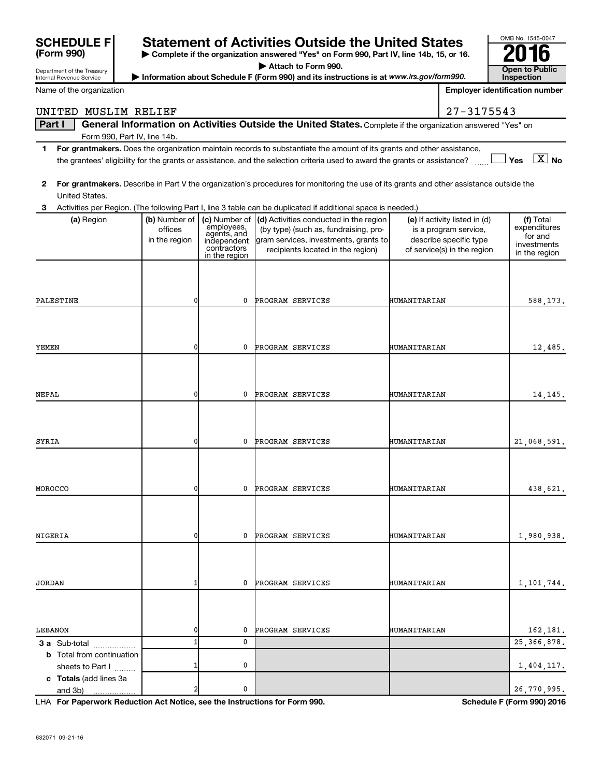| <b>SCHEDULE F</b>                 |               |                            | <b>Statement of Activities Outside the United States</b>                                                                                |              |                                                       | OMB No. 1545-0047                     |
|-----------------------------------|---------------|----------------------------|-----------------------------------------------------------------------------------------------------------------------------------------|--------------|-------------------------------------------------------|---------------------------------------|
| (Form 990)                        |               |                            | Complete if the organization answered "Yes" on Form 990, Part IV, line 14b, 15, or 16.                                                  |              |                                                       |                                       |
| Department of the Treasury        |               |                            | Attach to Form 990.                                                                                                                     |              |                                                       | <b>Open to Public</b>                 |
| Internal Revenue Service          |               |                            | Information about Schedule F (Form 990) and its instructions is at www.irs.gov/form990.                                                 |              |                                                       | <b>Inspection</b>                     |
| Name of the organization          |               |                            |                                                                                                                                         |              |                                                       | <b>Employer identification number</b> |
| UNITED MUSLIM RELIEF              |               |                            |                                                                                                                                         |              | 27-3175543                                            |                                       |
| Part I                            |               |                            | General Information on Activities Outside the United States. Complete if the organization answered "Yes" on                             |              |                                                       |                                       |
| Form 990, Part IV, line 14b.      |               |                            |                                                                                                                                         |              |                                                       |                                       |
| 1.                                |               |                            | For grantmakers. Does the organization maintain records to substantiate the amount of its grants and other assistance,                  |              |                                                       |                                       |
|                                   |               |                            | the grantees' eligibility for the grants or assistance, and the selection criteria used to award the grants or assistance?              |              |                                                       | $\boxed{\text{X}}$ No<br>Yes          |
| $\mathbf{2}$                      |               |                            | For grantmakers. Describe in Part V the organization's procedures for monitoring the use of its grants and other assistance outside the |              |                                                       |                                       |
| United States.                    |               |                            |                                                                                                                                         |              |                                                       |                                       |
| 3                                 |               |                            | Activities per Region. (The following Part I, line 3 table can be duplicated if additional space is needed.)                            |              |                                                       |                                       |
| (a) Region                        | (b) Number of |                            | (c) Number of $\vert$ (d) Activities conducted in the region                                                                            |              | (e) If activity listed in (d)                         | (f) Total                             |
|                                   | offices       | employees,<br>agents, and  | (by type) (such as, fundraising, pro-                                                                                                   |              | is a program service,                                 | expenditures<br>for and               |
|                                   | in the region | independent<br>contractors | gram services, investments, grants to<br>recipients located in the region)                                                              |              | describe specific type<br>of service(s) in the region | investments                           |
|                                   |               | in the region              |                                                                                                                                         |              |                                                       | in the region                         |
|                                   |               |                            |                                                                                                                                         |              |                                                       |                                       |
|                                   |               |                            |                                                                                                                                         |              |                                                       |                                       |
| PALESTINE                         | 0             | 0                          | <b>PROGRAM SERVICES</b>                                                                                                                 | HUMANITARIAN |                                                       | 588,173.                              |
|                                   |               |                            |                                                                                                                                         |              |                                                       |                                       |
|                                   |               |                            |                                                                                                                                         |              |                                                       |                                       |
|                                   |               |                            |                                                                                                                                         |              |                                                       |                                       |
| YEMEN                             | 0             | 0                          | PROGRAM SERVICES                                                                                                                        | HUMANITARIAN |                                                       | 12,485.                               |
|                                   |               |                            |                                                                                                                                         |              |                                                       |                                       |
|                                   |               |                            |                                                                                                                                         |              |                                                       |                                       |
| NEPAL                             | 0             | 0                          | PROGRAM SERVICES                                                                                                                        | HUMANITARIAN |                                                       | 14, 145.                              |
|                                   |               |                            |                                                                                                                                         |              |                                                       |                                       |
|                                   |               |                            |                                                                                                                                         |              |                                                       |                                       |
|                                   |               |                            |                                                                                                                                         |              |                                                       |                                       |
| SYRIA                             | 0             | 0                          | PROGRAM SERVICES                                                                                                                        | HUMANITARIAN |                                                       | 21,068,591.                           |
|                                   |               |                            |                                                                                                                                         |              |                                                       |                                       |
|                                   |               |                            |                                                                                                                                         |              |                                                       |                                       |
| MOROCCO                           | 0             |                            | 0 PROGRAM SERVICES                                                                                                                      | HUMANITARIAN |                                                       | 438,621.                              |
|                                   |               |                            |                                                                                                                                         |              |                                                       |                                       |
|                                   |               |                            |                                                                                                                                         |              |                                                       |                                       |
|                                   |               |                            |                                                                                                                                         |              |                                                       |                                       |
| NIGERIA                           | 0             | $\mathbf 0$                | PROGRAM SERVICES                                                                                                                        | HUMANITARIAN |                                                       | 1,980,938.                            |
|                                   |               |                            |                                                                                                                                         |              |                                                       |                                       |
|                                   |               |                            |                                                                                                                                         |              |                                                       |                                       |
| <b>JORDAN</b>                     |               | $^{\circ}$                 | PROGRAM SERVICES                                                                                                                        | HUMANITARIAN |                                                       | 1,101,744.                            |
|                                   |               |                            |                                                                                                                                         |              |                                                       |                                       |
|                                   |               |                            |                                                                                                                                         |              |                                                       |                                       |
|                                   |               |                            |                                                                                                                                         |              |                                                       |                                       |
| LEBANON                           | 0             | 0                          | PROGRAM SERVICES                                                                                                                        | HUMANITARIAN |                                                       | 162,181.                              |
| 3 a Sub-total                     |               | 0                          |                                                                                                                                         |              |                                                       | 25, 366, 878.                         |
| <b>b</b> Total from continuation  |               |                            |                                                                                                                                         |              |                                                       |                                       |
| sheets to Part I                  |               | 0                          |                                                                                                                                         |              |                                                       | 1,404,117.                            |
| c Totals (add lines 3a<br>and 3b) | 2             | 0                          |                                                                                                                                         |              |                                                       | 26,770,995.                           |
|                                   |               |                            |                                                                                                                                         |              |                                                       |                                       |

**For Paperwork Reduction Act Notice, see the Instructions for Form 990. Schedule F (Form 990) 2016** LHA

OMB No. 1545-0047

**SCHEDULE F**<br>(Form 990)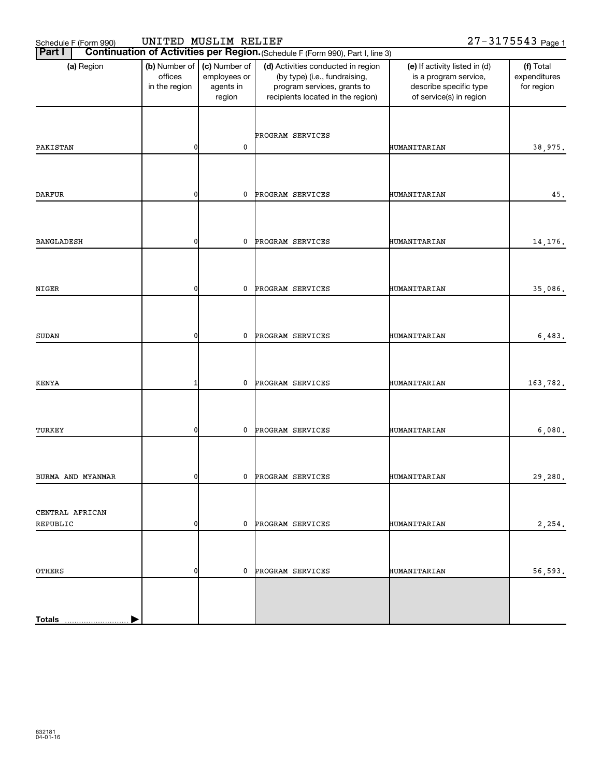| Schedule F (Form 990)       | UNITED MUSLIM RELIEF                      |                                                      |                                                                                                                                         |                                                                                                             | 27-3175543 Page 1                       |
|-----------------------------|-------------------------------------------|------------------------------------------------------|-----------------------------------------------------------------------------------------------------------------------------------------|-------------------------------------------------------------------------------------------------------------|-----------------------------------------|
| <b>Part I</b>               |                                           |                                                      | Continuation of Activities per Region. (Schedule F (Form 990), Part I, line 3)                                                          |                                                                                                             |                                         |
| (a) Region                  | (b) Number of<br>offices<br>in the region | (c) Number of<br>employees or<br>agents in<br>region | (d) Activities conducted in region<br>(by type) (i.e., fundraising,<br>program services, grants to<br>recipients located in the region) | (e) If activity listed in (d)<br>is a program service,<br>describe specific type<br>of service(s) in region | (f) Total<br>expenditures<br>for region |
| PAKISTAN                    | C                                         | 0                                                    | PROGRAM SERVICES                                                                                                                        | HUMANITARIAN                                                                                                | 38,975.                                 |
| <b>DARFUR</b>               | 0                                         | 0                                                    | PROGRAM SERVICES                                                                                                                        | HUMANITARIAN                                                                                                | 45.                                     |
|                             |                                           |                                                      |                                                                                                                                         |                                                                                                             |                                         |
| <b>BANGLADESH</b>           | 0                                         | 0                                                    | PROGRAM SERVICES                                                                                                                        | HUMANITARIAN                                                                                                | 14, 176.                                |
| NIGER                       | C                                         | 0                                                    | PROGRAM SERVICES                                                                                                                        | HUMANITARIAN                                                                                                | 35,086.                                 |
| <b>SUDAN</b>                | ŋ                                         | 0                                                    | PROGRAM SERVICES                                                                                                                        | HUMANITARIAN                                                                                                | 6,483.                                  |
| <b>KENYA</b>                |                                           | 0                                                    | PROGRAM SERVICES                                                                                                                        | HUMANITARIAN                                                                                                | 163,782.                                |
| TURKEY                      | ŋ                                         | 0                                                    | PROGRAM SERVICES                                                                                                                        | HUMANITARIAN                                                                                                | 6,080.                                  |
| BURMA AND MYANMAR           |                                           | $\mathbf{0}$                                         | PROGRAM SERVICES                                                                                                                        | HUMANITARIAN                                                                                                | 29,280.                                 |
| CENTRAL AFRICAN<br>REPUBLIC | 0                                         | 0                                                    | PROGRAM SERVICES                                                                                                                        | HUMANITARIAN                                                                                                | 2,254.                                  |
| <b>OTHERS</b>               | 0                                         | 0                                                    | PROGRAM SERVICES                                                                                                                        | HUMANITARIAN                                                                                                | 56,593.                                 |
|                             |                                           |                                                      |                                                                                                                                         |                                                                                                             |                                         |
| <b>Totals</b>               |                                           |                                                      |                                                                                                                                         |                                                                                                             |                                         |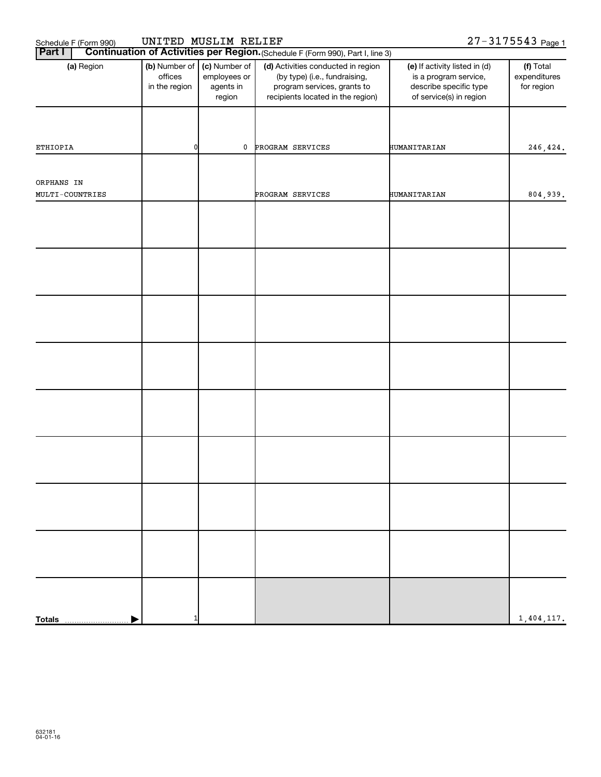| Schedule F (Form 990)         | UNITED MUSLIM RELIEF                      |                                                      |                                                                                                                                         |                                                                                                             | 27-3175543 Page 1                       |
|-------------------------------|-------------------------------------------|------------------------------------------------------|-----------------------------------------------------------------------------------------------------------------------------------------|-------------------------------------------------------------------------------------------------------------|-----------------------------------------|
| <b>Part I</b>                 |                                           |                                                      | Continuation of Activities per Region. (Schedule F (Form 990), Part I, line 3)                                                          |                                                                                                             |                                         |
| (a) Region                    | (b) Number of<br>offices<br>in the region | (c) Number of<br>employees or<br>agents in<br>region | (d) Activities conducted in region<br>(by type) (i.e., fundraising,<br>program services, grants to<br>recipients located in the region) | (e) If activity listed in (d)<br>is a program service,<br>describe specific type<br>of service(s) in region | (f) Total<br>expenditures<br>for region |
| ETHIOPIA                      | 0                                         | 0                                                    | PROGRAM SERVICES                                                                                                                        | HUMANITARIAN                                                                                                | 246,424.                                |
|                               |                                           |                                                      |                                                                                                                                         |                                                                                                             |                                         |
| ORPHANS IN<br>MULTI-COUNTRIES |                                           |                                                      | PROGRAM SERVICES                                                                                                                        | HUMANITARIAN                                                                                                | 804,939.                                |
|                               |                                           |                                                      |                                                                                                                                         |                                                                                                             |                                         |
|                               |                                           |                                                      |                                                                                                                                         |                                                                                                             |                                         |
|                               |                                           |                                                      |                                                                                                                                         |                                                                                                             |                                         |
|                               |                                           |                                                      |                                                                                                                                         |                                                                                                             |                                         |
|                               |                                           |                                                      |                                                                                                                                         |                                                                                                             |                                         |
|                               |                                           |                                                      |                                                                                                                                         |                                                                                                             |                                         |
|                               |                                           |                                                      |                                                                                                                                         |                                                                                                             |                                         |
|                               |                                           |                                                      |                                                                                                                                         |                                                                                                             |                                         |
| <b>Totals</b>                 |                                           |                                                      |                                                                                                                                         |                                                                                                             | 1,404,117.                              |
|                               |                                           |                                                      |                                                                                                                                         |                                                                                                             |                                         |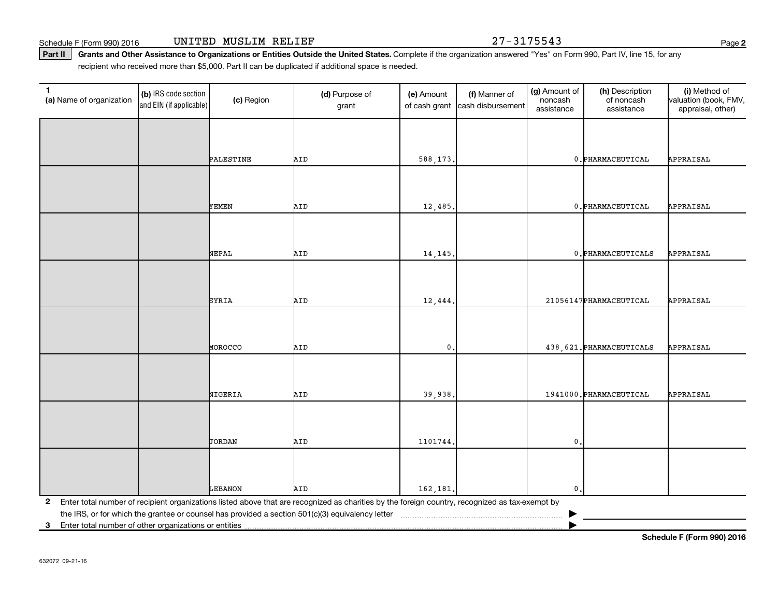Schedule F (Form 990) 2016 **UNITED MUSLIM RELIEF 27-3175543** Page

**2**

Part II | Grants and Other Assistance to Organizations or Entities Outside the United States. Complete if the organization answered "Yes" on Form 990, Part IV, line 15, for any recipient who received more than \$5,000. Part II can be duplicated if additional space is needed.

| $\mathbf{1}$<br>(a) Name of organization | (b) IRS code section<br>and EIN (if applicable)       | (c) Region | (d) Purpose of<br>grant                                                                                                                         | (e) Amount<br>of cash grant | (f) Manner of<br>cash disbursement | (g) Amount of<br>noncash<br>assistance | (h) Description<br>of noncash<br>assistance | (i) Method of<br>valuation (book, FMV,<br>appraisal, other) |  |  |  |
|------------------------------------------|-------------------------------------------------------|------------|-------------------------------------------------------------------------------------------------------------------------------------------------|-----------------------------|------------------------------------|----------------------------------------|---------------------------------------------|-------------------------------------------------------------|--|--|--|
|                                          |                                                       |            |                                                                                                                                                 |                             |                                    |                                        |                                             |                                                             |  |  |  |
|                                          |                                                       | PALESTINE  | AID                                                                                                                                             | 588,173.                    |                                    |                                        | 0. PHARMACEUTICAL                           | APPRAISAL                                                   |  |  |  |
|                                          |                                                       |            |                                                                                                                                                 |                             |                                    |                                        |                                             |                                                             |  |  |  |
|                                          |                                                       | YEMEN      | AID                                                                                                                                             | 12,485.                     |                                    |                                        | 0. PHARMACEUTICAL                           | APPRAISAL                                                   |  |  |  |
|                                          |                                                       |            |                                                                                                                                                 |                             |                                    |                                        |                                             |                                                             |  |  |  |
|                                          |                                                       | NEPAL      | AID                                                                                                                                             | 14, 145.                    |                                    |                                        | 0. PHARMACEUTICALS                          | APPRAISAL                                                   |  |  |  |
|                                          |                                                       |            |                                                                                                                                                 |                             |                                    |                                        |                                             |                                                             |  |  |  |
|                                          |                                                       | SYRIA      | AID                                                                                                                                             | 12,444.                     |                                    |                                        | 21056147 PHARMACEUTICAL                     | APPRAISAL                                                   |  |  |  |
|                                          |                                                       |            |                                                                                                                                                 |                             |                                    |                                        |                                             |                                                             |  |  |  |
|                                          |                                                       | MOROCCO    | AID                                                                                                                                             | $\mathbf{0}$ .              |                                    |                                        | 438, 621. PHARMACEUTICALS                   | APPRAISAL                                                   |  |  |  |
|                                          |                                                       |            |                                                                                                                                                 |                             |                                    |                                        |                                             |                                                             |  |  |  |
|                                          |                                                       | NIGERIA    | AID                                                                                                                                             | 39,938.                     |                                    |                                        | 1941000. PHARMACEUTICAL                     | APPRAISAL                                                   |  |  |  |
|                                          |                                                       |            |                                                                                                                                                 |                             |                                    |                                        |                                             |                                                             |  |  |  |
|                                          |                                                       | JORDAN     | AID                                                                                                                                             | 1101744                     |                                    | $\mathfrak o$ .                        |                                             |                                                             |  |  |  |
|                                          |                                                       |            |                                                                                                                                                 |                             |                                    |                                        |                                             |                                                             |  |  |  |
|                                          |                                                       | LEBANON    | AID                                                                                                                                             | 162,181.                    |                                    | $\mathbf{0}$ .                         |                                             |                                                             |  |  |  |
| $\mathbf{2}$                             |                                                       |            | Enter total number of recipient organizations listed above that are recognized as charities by the foreign country, recognized as tax-exempt by |                             |                                    |                                        |                                             |                                                             |  |  |  |
|                                          |                                                       |            |                                                                                                                                                 |                             |                                    |                                        |                                             |                                                             |  |  |  |
| 3                                        | Enter total number of other organizations or entities |            |                                                                                                                                                 |                             |                                    |                                        |                                             |                                                             |  |  |  |

**Schedule F (Form 990) 2016**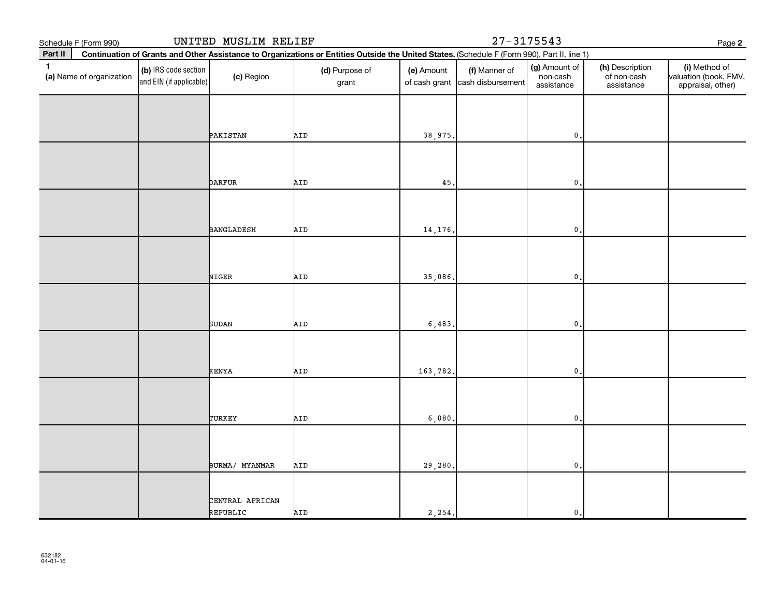| Schedule F (Form 990)                    |                                                 | UNITED MUSLIM RELIEF |                                                                                                                                              |                             |                                    | Page 2                                  |                                              |                                                             |
|------------------------------------------|-------------------------------------------------|----------------------|----------------------------------------------------------------------------------------------------------------------------------------------|-----------------------------|------------------------------------|-----------------------------------------|----------------------------------------------|-------------------------------------------------------------|
| Part II                                  |                                                 |                      | Continuation of Grants and Other Assistance to Organizations or Entities Outside the United States. (Schedule F (Form 990), Part II, line 1) |                             |                                    |                                         |                                              |                                                             |
| $\mathbf{1}$<br>(a) Name of organization | (b) IRS code section<br>and EIN (if applicable) | (c) Region           | (d) Purpose of<br>grant                                                                                                                      | (e) Amount<br>of cash grant | (f) Manner of<br>cash disbursement | (g) Amount of<br>non-cash<br>assistance | (h) Description<br>of non-cash<br>assistance | (i) Method of<br>valuation (book, FMV,<br>appraisal, other) |
|                                          |                                                 | PAKISTAN             | AID                                                                                                                                          | 38,975                      |                                    | $\mathbf{0}$                            |                                              |                                                             |
|                                          |                                                 |                      |                                                                                                                                              |                             |                                    |                                         |                                              |                                                             |
|                                          |                                                 | <b>DARFUR</b>        | AID                                                                                                                                          | 45,                         |                                    | 0.                                      |                                              |                                                             |
|                                          |                                                 | <b>BANGLADESH</b>    | AID                                                                                                                                          | 14,176                      |                                    | $\mathbf{0}$                            |                                              |                                                             |
|                                          |                                                 | NIGER                | AID                                                                                                                                          | 35,086                      |                                    | 0.                                      |                                              |                                                             |
|                                          |                                                 |                      |                                                                                                                                              |                             |                                    |                                         |                                              |                                                             |
|                                          |                                                 | <b>SUDAN</b>         | AID                                                                                                                                          | 6,483.                      |                                    | $\mathbf{0}$                            |                                              |                                                             |
|                                          |                                                 | KENYA                | AID                                                                                                                                          | 163,782                     |                                    | $\mathbf{0}$ .                          |                                              |                                                             |
|                                          |                                                 |                      |                                                                                                                                              |                             |                                    |                                         |                                              |                                                             |
|                                          |                                                 | TURKEY               | AID                                                                                                                                          | 6,080                       |                                    | $\mathbf{0}$                            |                                              |                                                             |
|                                          |                                                 | BURMA/ MYANMAR       | AID                                                                                                                                          | 29,280.                     |                                    | 0.                                      |                                              |                                                             |
|                                          |                                                 | CENTRAL AFRICAN      |                                                                                                                                              |                             |                                    |                                         |                                              |                                                             |
|                                          |                                                 | REPUBLIC             | AID                                                                                                                                          | 2, 254.                     |                                    | $\mathbf{0}$ .                          |                                              |                                                             |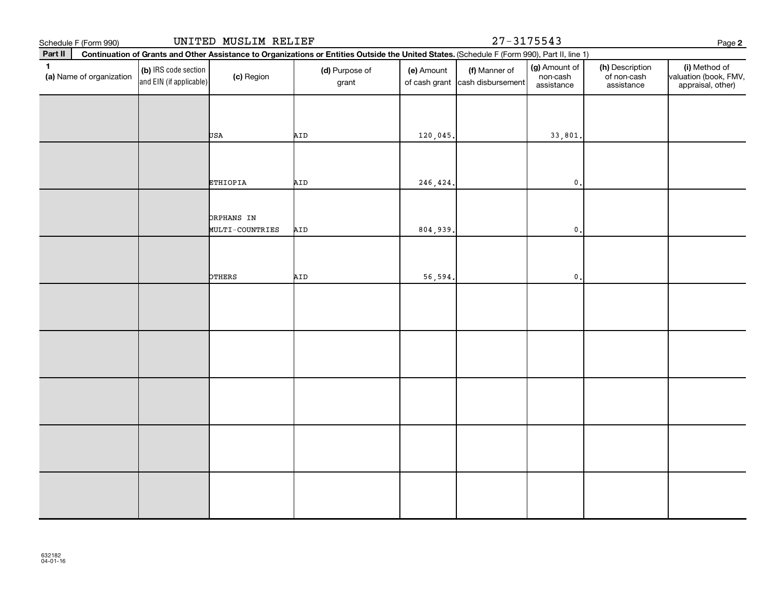| Schedule F (Form 990)                    |                                                 | UNITED MUSLIM RELIEF |                                                                                                                                              |            | $27 - 3175543$                                   |                                         |                                              | Page 2                                                      |
|------------------------------------------|-------------------------------------------------|----------------------|----------------------------------------------------------------------------------------------------------------------------------------------|------------|--------------------------------------------------|-----------------------------------------|----------------------------------------------|-------------------------------------------------------------|
| Part II                                  |                                                 |                      | Continuation of Grants and Other Assistance to Organizations or Entities Outside the United States. (Schedule F (Form 990), Part II, line 1) |            |                                                  |                                         |                                              |                                                             |
| $\mathbf{1}$<br>(a) Name of organization | (b) IRS code section<br>and EIN (if applicable) | (c) Region           | (d) Purpose of<br>grant                                                                                                                      | (e) Amount | (f) Manner of<br>of cash grant cash disbursement | (g) Amount of<br>non-cash<br>assistance | (h) Description<br>of non-cash<br>assistance | (i) Method of<br>valuation (book, FMV,<br>appraisal, other) |
|                                          |                                                 |                      |                                                                                                                                              |            |                                                  |                                         |                                              |                                                             |
|                                          |                                                 | USA                  | AID                                                                                                                                          | 120,045.   |                                                  | 33,801                                  |                                              |                                                             |
|                                          |                                                 | <b>ETHIOPIA</b>      | AID                                                                                                                                          | 246,424.   |                                                  | $\mathbf 0$ ,                           |                                              |                                                             |
|                                          |                                                 | ORPHANS IN           |                                                                                                                                              |            |                                                  |                                         |                                              |                                                             |
|                                          |                                                 | MULTI-COUNTRIES      | AID                                                                                                                                          | 804,939.   |                                                  | $\mathbf 0$ ,                           |                                              |                                                             |
|                                          |                                                 | OTHERS               | AID                                                                                                                                          | 56,594.    |                                                  | $\pmb{0}$                               |                                              |                                                             |
|                                          |                                                 |                      |                                                                                                                                              |            |                                                  |                                         |                                              |                                                             |
|                                          |                                                 |                      |                                                                                                                                              |            |                                                  |                                         |                                              |                                                             |
|                                          |                                                 |                      |                                                                                                                                              |            |                                                  |                                         |                                              |                                                             |
|                                          |                                                 |                      |                                                                                                                                              |            |                                                  |                                         |                                              |                                                             |
|                                          |                                                 |                      |                                                                                                                                              |            |                                                  |                                         |                                              |                                                             |
|                                          |                                                 |                      |                                                                                                                                              |            |                                                  |                                         |                                              |                                                             |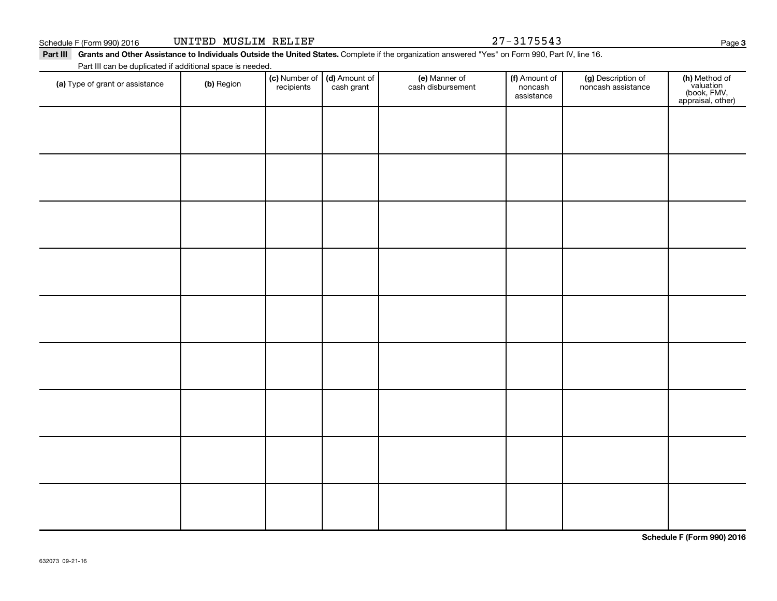Schedule F (Form 990) 2016 **UNITED MUSLIM RELIEF 27-3175543** Page

Part III Grants and Other Assistance to Individuals Outside the United States. Complete if the organization answered "Yes" on Form 990, Part IV, line 16. Part III can be duplicated if additional space is needed.

| Part in carried depilcated in additional space is needed.<br>(a) Type of grant or assistance | (b) Region | recipients | (c) Number of (d) Amount of<br>cash grant | (e) Manner of<br>cash disbursement | (f) Amount of<br>noncash<br>assistance | (g) Description of<br>noncash assistance | (h) Method of<br>valuation<br>(book, FMV,<br>appraisal, other) |
|----------------------------------------------------------------------------------------------|------------|------------|-------------------------------------------|------------------------------------|----------------------------------------|------------------------------------------|----------------------------------------------------------------|
|                                                                                              |            |            |                                           |                                    |                                        |                                          |                                                                |
|                                                                                              |            |            |                                           |                                    |                                        |                                          |                                                                |
|                                                                                              |            |            |                                           |                                    |                                        |                                          |                                                                |
|                                                                                              |            |            |                                           |                                    |                                        |                                          |                                                                |
|                                                                                              |            |            |                                           |                                    |                                        |                                          |                                                                |
|                                                                                              |            |            |                                           |                                    |                                        |                                          |                                                                |
|                                                                                              |            |            |                                           |                                    |                                        |                                          |                                                                |
|                                                                                              |            |            |                                           |                                    |                                        |                                          |                                                                |
|                                                                                              |            |            |                                           |                                    |                                        |                                          |                                                                |
|                                                                                              |            |            |                                           |                                    |                                        |                                          |                                                                |

**Schedule F (Form 990) 2016**

**3**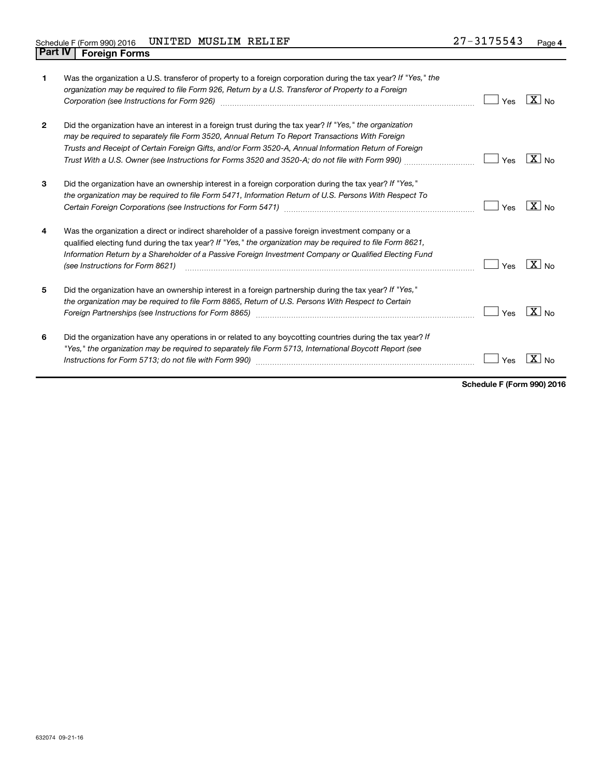| $\mathbf{1}$   | Was the organization a U.S. transferor of property to a foreign corporation during the tax year? If "Yes," the<br>organization may be required to file Form 926, Return by a U.S. Transferor of Property to a Foreign<br>Corporation (see Instructions for Form 926)                                                                                                                                                                           | Yes | $ X _{\sf No}$        |
|----------------|------------------------------------------------------------------------------------------------------------------------------------------------------------------------------------------------------------------------------------------------------------------------------------------------------------------------------------------------------------------------------------------------------------------------------------------------|-----|-----------------------|
| $\overline{2}$ | Did the organization have an interest in a foreign trust during the tax year? If "Yes," the organization<br>may be required to separately file Form 3520, Annual Return To Report Transactions With Foreign<br>Trusts and Receipt of Certain Foreign Gifts, and/or Form 3520-A, Annual Information Return of Foreign<br>Trust With a U.S. Owner (see Instructions for Forms 3520 and 3520-A; do not file with Form 990) <i>managery condit</i> | Yes | $\mid X \mid$ No      |
| 3              | Did the organization have an ownership interest in a foreign corporation during the tax year? If "Yes,"<br>the organization may be required to file Form 5471, Information Return of U.S. Persons With Respect To                                                                                                                                                                                                                              | Yes | $X _{N0}$             |
| 4              | Was the organization a direct or indirect shareholder of a passive foreign investment company or a<br>qualified electing fund during the tax year? If "Yes," the organization may be required to file Form 8621,<br>Information Return by a Shareholder of a Passive Foreign Investment Company or Qualified Electing Fund<br>(see Instructions for Form 8621)                                                                                 | Yes | $\boxed{\text{X}}$ No |
| 5              | Did the organization have an ownership interest in a foreign partnership during the tax year? If "Yes,"<br>the organization may be required to file Form 8865, Return of U.S. Persons With Respect to Certain<br>Foreign Partnerships (see Instructions for Form 8865) [1996] [1996] [1996] [1996] [1996] [1996] [1996] [1996] [                                                                                                               | Yes | $ X _{\sf No}$        |
| 6              | Did the organization have any operations in or related to any boycotting countries during the tax year? If<br>"Yes," the organization may be required to separately file Form 5713, International Boycott Report (see                                                                                                                                                                                                                          | Yes |                       |

**Schedule F (Form 990) 2016**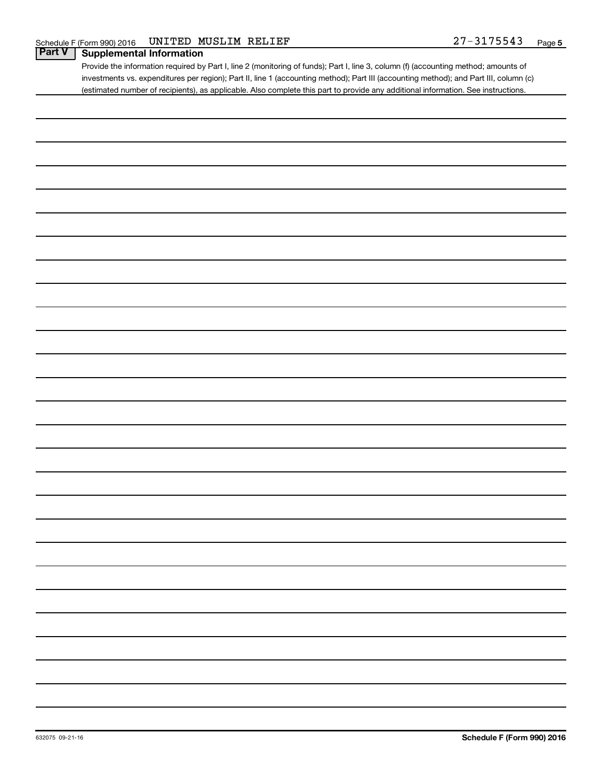Provide the information required by Part I, line 2 (monitoring of funds); Part I, line 3, column (f) (accounting method; amounts of investments vs. expenditures per region); Part II, line 1 (accounting method); Part III (accounting method); and Part III, column (c) (estimated number of recipients), as applicable. Also complete this part to provide any additional information. See instructions.

| -                        |  |  |  |
|--------------------------|--|--|--|
|                          |  |  |  |
|                          |  |  |  |
| $\overline{\phantom{0}}$ |  |  |  |
|                          |  |  |  |
|                          |  |  |  |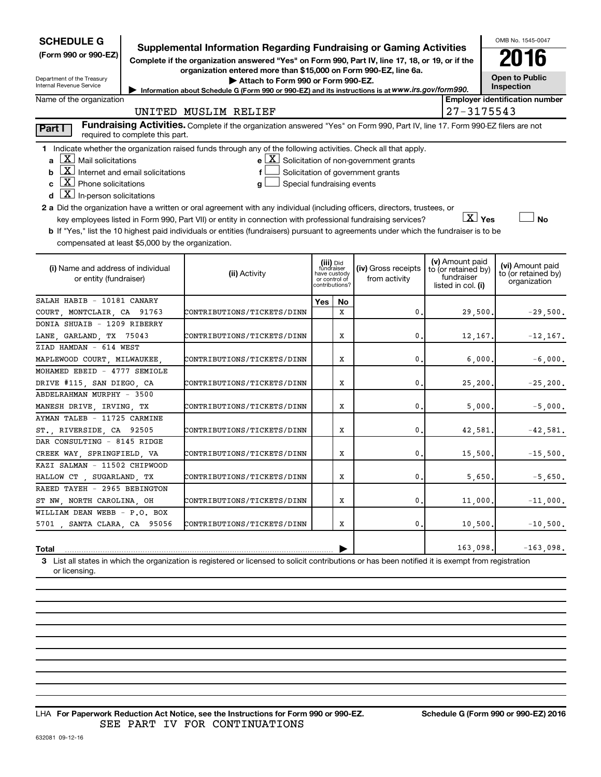| <b>SCHEDULE G</b>                                                                                                                                                          |  |                                                                                                                                                                               |                                         |    |                                                               |  |                                  | OMB No. 1545-0047                       |  |  |
|----------------------------------------------------------------------------------------------------------------------------------------------------------------------------|--|-------------------------------------------------------------------------------------------------------------------------------------------------------------------------------|-----------------------------------------|----|---------------------------------------------------------------|--|----------------------------------|-----------------------------------------|--|--|
| (Form 990 or 990-EZ)                                                                                                                                                       |  | <b>Supplemental Information Regarding Fundraising or Gaming Activities</b><br>Complete if the organization answered "Yes" on Form 990, Part IV, line 17, 18, or 19, or if the |                                         |    |                                                               |  |                                  | 2016                                    |  |  |
|                                                                                                                                                                            |  | organization entered more than \$15,000 on Form 990-EZ, line 6a.                                                                                                              |                                         |    |                                                               |  |                                  |                                         |  |  |
| Department of the Treasury                                                                                                                                                 |  | Attach to Form 990 or Form 990-EZ.                                                                                                                                            |                                         |    |                                                               |  |                                  | <b>Open to Public</b>                   |  |  |
| Internal Revenue Service                                                                                                                                                   |  | Information about Schedule G (Form 990 or 990-EZ) and its instructions is at www.irs.gov/form990.                                                                             |                                         |    |                                                               |  |                                  | Inspection                              |  |  |
| <b>Employer identification number</b><br>Name of the organization                                                                                                          |  |                                                                                                                                                                               |                                         |    |                                                               |  |                                  |                                         |  |  |
| 27-3175543<br>UNITED MUSLIM RELIEF                                                                                                                                         |  |                                                                                                                                                                               |                                         |    |                                                               |  |                                  |                                         |  |  |
| Fundraising Activities. Complete if the organization answered "Yes" on Form 990, Part IV, line 17. Form 990-EZ filers are not<br>Part I<br>required to complete this part. |  |                                                                                                                                                                               |                                         |    |                                                               |  |                                  |                                         |  |  |
|                                                                                                                                                                            |  | 1 Indicate whether the organization raised funds through any of the following activities. Check all that apply.                                                               |                                         |    |                                                               |  |                                  |                                         |  |  |
| $\mathbf{a}$ $\mathbf{X}$ Mail solicitations                                                                                                                               |  |                                                                                                                                                                               |                                         |    | $\mathbf{e} \mathbf{X}$ Solicitation of non-government grants |  |                                  |                                         |  |  |
| $\boxed{\mathbf{X}}$ Internet and email solicitations<br>b                                                                                                                 |  |                                                                                                                                                                               |                                         |    | Solicitation of government grants                             |  |                                  |                                         |  |  |
| $\lfloor x \rfloor$ Phone solicitations                                                                                                                                    |  | Special fundraising events<br>a                                                                                                                                               |                                         |    |                                                               |  |                                  |                                         |  |  |
| $\boxed{\mathbf{X}}$ In-person solicitations<br>d                                                                                                                          |  |                                                                                                                                                                               |                                         |    |                                                               |  |                                  |                                         |  |  |
|                                                                                                                                                                            |  | 2 a Did the organization have a written or oral agreement with any individual (including officers, directors, trustees, or                                                    |                                         |    |                                                               |  |                                  |                                         |  |  |
|                                                                                                                                                                            |  | key employees listed in Form 990, Part VII) or entity in connection with professional fundraising services?                                                                   |                                         |    |                                                               |  | $X$ Yes                          | <b>No</b>                               |  |  |
|                                                                                                                                                                            |  | b If "Yes," list the 10 highest paid individuals or entities (fundraisers) pursuant to agreements under which the fundraiser is to be                                         |                                         |    |                                                               |  |                                  |                                         |  |  |
| compensated at least \$5,000 by the organization.                                                                                                                          |  |                                                                                                                                                                               |                                         |    |                                                               |  |                                  |                                         |  |  |
|                                                                                                                                                                            |  |                                                                                                                                                                               |                                         |    |                                                               |  | (v) Amount paid                  |                                         |  |  |
| (i) Name and address of individual                                                                                                                                         |  | (ii) Activity                                                                                                                                                                 | (iii) Did<br>fundraiser<br>have custody |    | (iv) Gross receipts                                           |  | to (or retained by)              | (vi) Amount paid<br>to (or retained by) |  |  |
| or entity (fundraiser)                                                                                                                                                     |  |                                                                                                                                                                               | or control of<br>contributions?         |    | from activity                                                 |  | fundraiser<br>listed in col. (i) | organization                            |  |  |
| SALAH HABIB - 10181 CANARY                                                                                                                                                 |  |                                                                                                                                                                               | Yes                                     | No |                                                               |  |                                  |                                         |  |  |
| COURT, MONTCLAIR, CA 91763                                                                                                                                                 |  | CONTRIBUTIONS/TICKETS/DINN                                                                                                                                                    |                                         | X  | 0.                                                            |  | 29,500.                          | $-29,500.$                              |  |  |
| DONIA SHUAIB - 1209 RIBERRY                                                                                                                                                |  |                                                                                                                                                                               |                                         |    |                                                               |  |                                  |                                         |  |  |
| LANE, GARLAND, TX 75043                                                                                                                                                    |  | CONTRIBUTIONS/TICKETS/DINN                                                                                                                                                    |                                         | X  | 0.                                                            |  | 12,167.                          | $-12,167.$                              |  |  |
| ZIAD HAMDAN - 614 WEST                                                                                                                                                     |  |                                                                                                                                                                               |                                         |    |                                                               |  |                                  |                                         |  |  |
| MAPLEWOOD COURT, MILWAUKEE,                                                                                                                                                |  | CONTRIBUTIONS/TICKETS/DINN                                                                                                                                                    |                                         | х  | 0.                                                            |  | 6,000,                           | $-6,000.$                               |  |  |
| MOHAMED EBEID - 4777 SEMIOLE                                                                                                                                               |  |                                                                                                                                                                               |                                         |    |                                                               |  |                                  |                                         |  |  |
| DRIVE #115, SAN DIEGO, CA                                                                                                                                                  |  | CONTRIBUTIONS/TICKETS/DINN                                                                                                                                                    |                                         | X  | 0.                                                            |  | 25, 200.                         | $-25, 200.$                             |  |  |
| ABDELRAHMAN MURPHY - 3500                                                                                                                                                  |  |                                                                                                                                                                               |                                         |    |                                                               |  |                                  |                                         |  |  |
| MANESH DRIVE, IRVING, TX                                                                                                                                                   |  | CONTRIBUTIONS/TICKETS/DINN                                                                                                                                                    |                                         | X  | 0.                                                            |  | 5,000.                           | $-5,000.$                               |  |  |
| AYMAN TALEB - 11725 CARMINE                                                                                                                                                |  |                                                                                                                                                                               |                                         |    |                                                               |  |                                  |                                         |  |  |
| ST., RIVERSIDE, CA 92505                                                                                                                                                   |  | CONTRIBUTIONS/TICKETS/DINN                                                                                                                                                    |                                         | X  | 0.                                                            |  | 42,581.                          | $-42,581.$                              |  |  |
| DAR CONSULTING - 8145 RIDGE                                                                                                                                                |  |                                                                                                                                                                               |                                         |    |                                                               |  |                                  |                                         |  |  |
| CREEK WAY, SPRINGFIELD, VA                                                                                                                                                 |  | CONTRIBUTIONS/TICKETS/DINN                                                                                                                                                    |                                         | X  | 0.                                                            |  | 15,500.                          | $-15,500.$                              |  |  |
| KAZI SALMAN - 11502 CHIPWOOD                                                                                                                                               |  |                                                                                                                                                                               |                                         |    |                                                               |  |                                  |                                         |  |  |
| HALLOW CT , SUGARLAND, TX                                                                                                                                                  |  | CONTRIBUTIONS/TICKETS/DINN                                                                                                                                                    |                                         | X  | 0.                                                            |  | 5,650.                           | $-5,650.$                               |  |  |
| RAEED TAYEH - 2965 BEBINGTON                                                                                                                                               |  |                                                                                                                                                                               |                                         |    |                                                               |  |                                  |                                         |  |  |
| ST NW, NORTH CAROLINA, OH                                                                                                                                                  |  | CONTRIBUTIONS/TICKETS/DINN                                                                                                                                                    |                                         | X  | 0.                                                            |  | 11,000.                          | $-11,000.$                              |  |  |
| WILLIAM DEAN WEBB - P.O. BOX                                                                                                                                               |  |                                                                                                                                                                               |                                         |    |                                                               |  |                                  |                                         |  |  |
| 5701, SANTA CLARA, CA 95056                                                                                                                                                |  | CONTRIBUTIONS/TICKETS/DINN                                                                                                                                                    |                                         | X  | 0.                                                            |  | 10,500.                          | $-10,500.$                              |  |  |
|                                                                                                                                                                            |  |                                                                                                                                                                               |                                         |    |                                                               |  |                                  |                                         |  |  |
| 163,098.<br>$-163,098.$<br>Total                                                                                                                                           |  |                                                                                                                                                                               |                                         |    |                                                               |  |                                  |                                         |  |  |
|                                                                                                                                                                            |  | 3 List all states in which the organization is registered or licensed to solicit contributions or has been notified it is exempt from registration                            |                                         |    |                                                               |  |                                  |                                         |  |  |

or licensing.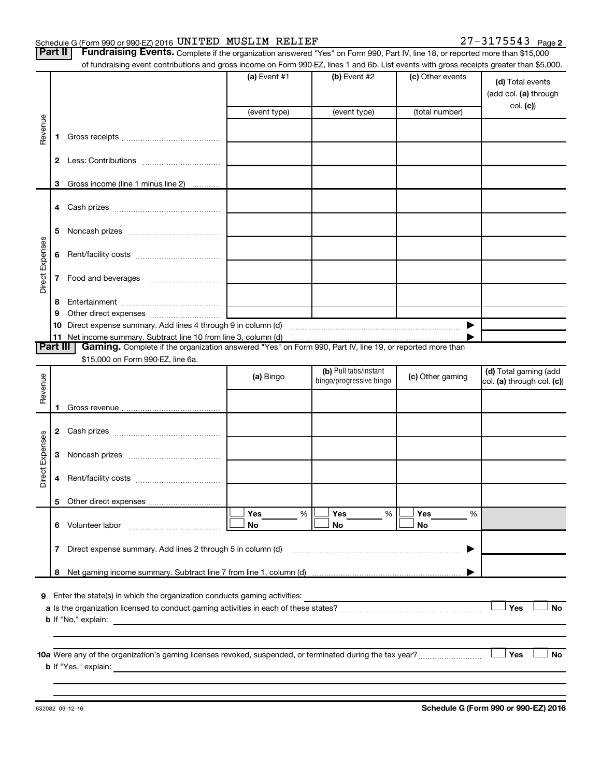#### Schedule G (Form 990 or 990-EZ) 2016 Page UNITED MUSLIM RELIEF 27-3175543

|  | $\frac{1}{2}$ is called a $\frac{1}{2}$ of the set of secretarity conto $\frac{1}{2}$ . |  |  |
|--|-----------------------------------------------------------------------------------------|--|--|
|  | art III - Fundraising Events, Comple                                                    |  |  |

Part II | Fundraising Events. Complete if the organization answered "Yes" on Form 990, Part IV, line 18, or reported more than \$15,000 of fundraising event contributions and gross income on Form 990-EZ, lines 1 and 6b. List events with gross receipts greater than \$5,000.

|                 |    | 01 Turildiaising event continuutions and gross income on i form sso-EZ, imes T and ob. Eist events with gross receipts greater than \$0,000. |                                           |                                                  |                  |                                                       |
|-----------------|----|----------------------------------------------------------------------------------------------------------------------------------------------|-------------------------------------------|--------------------------------------------------|------------------|-------------------------------------------------------|
|                 |    |                                                                                                                                              | (a) Event $#1$                            | $(b)$ Event #2                                   | (c) Other events | (d) Total events<br>(add col. (a) through<br>col. (c) |
|                 |    |                                                                                                                                              | (event type)                              | (event type)                                     | (total number)   |                                                       |
| Revenue         |    |                                                                                                                                              |                                           |                                                  |                  |                                                       |
|                 | 1. |                                                                                                                                              |                                           |                                                  |                  |                                                       |
|                 |    |                                                                                                                                              |                                           |                                                  |                  |                                                       |
|                 |    |                                                                                                                                              |                                           |                                                  |                  |                                                       |
|                 |    | 3 Gross income (line 1 minus line 2)                                                                                                         |                                           |                                                  |                  |                                                       |
|                 |    |                                                                                                                                              |                                           |                                                  |                  |                                                       |
|                 | 5  |                                                                                                                                              |                                           |                                                  |                  |                                                       |
| Direct Expenses | 6  |                                                                                                                                              |                                           |                                                  |                  |                                                       |
|                 | 7  | Food and beverages                                                                                                                           |                                           |                                                  |                  |                                                       |
|                 | 8  |                                                                                                                                              |                                           |                                                  |                  |                                                       |
|                 | 9  |                                                                                                                                              | the control of the control of the control |                                                  |                  |                                                       |
|                 |    | 10 Direct expense summary. Add lines 4 through 9 in column (d)                                                                               |                                           |                                                  | ▶                |                                                       |
|                 |    |                                                                                                                                              |                                           |                                                  |                  |                                                       |
| <b>Part III</b> |    | Gaming. Complete if the organization answered "Yes" on Form 990, Part IV, line 19, or reported more than                                     |                                           |                                                  |                  |                                                       |
|                 |    | \$15,000 on Form 990-EZ, line 6a.                                                                                                            |                                           |                                                  |                  |                                                       |
| Revenue         |    |                                                                                                                                              | (a) Bingo                                 | (b) Pull tabs/instant<br>bingo/progressive bingo | (c) Other gaming | (d) Total gaming (add<br>col. (a) through col. (c))   |
|                 |    |                                                                                                                                              |                                           |                                                  |                  |                                                       |
|                 |    |                                                                                                                                              |                                           |                                                  |                  |                                                       |
|                 |    |                                                                                                                                              |                                           |                                                  |                  |                                                       |
|                 | 3  |                                                                                                                                              |                                           |                                                  |                  |                                                       |
| Direct Expenses | 4  |                                                                                                                                              |                                           |                                                  |                  |                                                       |
|                 |    |                                                                                                                                              |                                           |                                                  |                  |                                                       |
|                 | 6. | Volunteer labor                                                                                                                              | Yes<br>%<br>No                            | Yes<br>%<br>No                                   | Yes<br>%<br>No   |                                                       |
|                 | 7  | Direct expense summary. Add lines 2 through 5 in column (d)                                                                                  |                                           |                                                  |                  |                                                       |
|                 | 8  |                                                                                                                                              |                                           |                                                  |                  |                                                       |
|                 |    |                                                                                                                                              |                                           |                                                  |                  |                                                       |
| 9               |    | Enter the state(s) in which the organization conducts gaming activities:                                                                     |                                           |                                                  |                  | Yes<br>No                                             |
|                 |    | <b>b</b> If "No," explain:                                                                                                                   |                                           |                                                  |                  |                                                       |
|                 |    |                                                                                                                                              |                                           |                                                  |                  |                                                       |
|                 |    |                                                                                                                                              |                                           |                                                  |                  |                                                       |
|                 |    |                                                                                                                                              |                                           |                                                  |                  | Yes<br>No                                             |
|                 |    | <b>b</b> If "Yes," explain:                                                                                                                  |                                           |                                                  |                  |                                                       |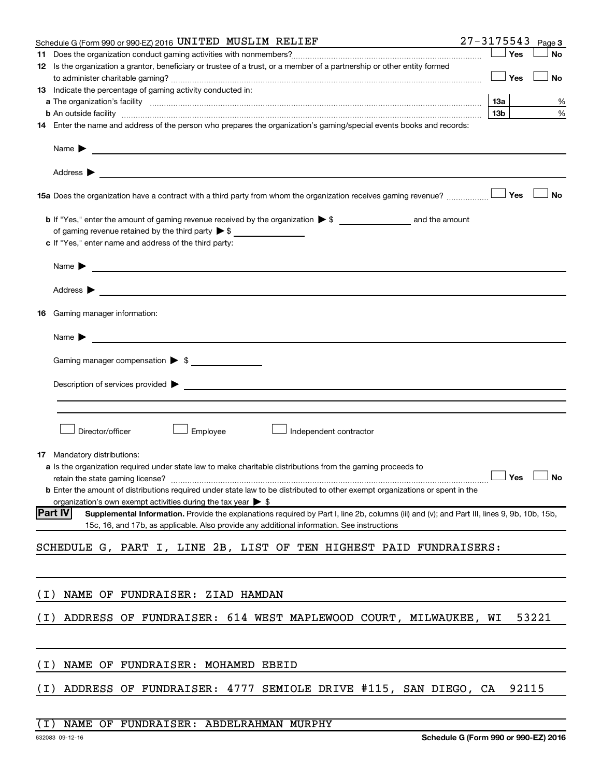|       | 27-3175543<br>Schedule G (Form 990 or 990-EZ) 2016 UNITED MUSLIM RELIEF                                                                                                                                                                       |                 |       | Page 3    |
|-------|-----------------------------------------------------------------------------------------------------------------------------------------------------------------------------------------------------------------------------------------------|-----------------|-------|-----------|
|       |                                                                                                                                                                                                                                               |                 | Yes   | No        |
|       | 12 Is the organization a grantor, beneficiary or trustee of a trust, or a member of a partnership or other entity formed                                                                                                                      |                 |       |           |
|       |                                                                                                                                                                                                                                               |                 | Yes   | <b>No</b> |
|       | 13 Indicate the percentage of gaming activity conducted in:                                                                                                                                                                                   |                 |       |           |
|       |                                                                                                                                                                                                                                               | 1За             |       | %         |
|       | <b>b</b> An outside facility <i>www.communicality.communicality.communicality www.communicality.communicality.communicality.com</i>                                                                                                           | 13 <sub>b</sub> |       | %         |
|       | 14 Enter the name and address of the person who prepares the organization's gaming/special events books and records:                                                                                                                          |                 |       |           |
|       | Name $\blacktriangleright$ $\_\_\_\_\_\_\_\_\$                                                                                                                                                                                                |                 |       |           |
|       |                                                                                                                                                                                                                                               |                 |       |           |
|       | 15a Does the organization have a contract with a third party from whom the organization receives gaming revenue?                                                                                                                              |                 | Yes   | No        |
|       |                                                                                                                                                                                                                                               |                 |       |           |
|       | of gaming revenue retained by the third party $\triangleright$ \$                                                                                                                                                                             |                 |       |           |
|       | c If "Yes," enter name and address of the third party:                                                                                                                                                                                        |                 |       |           |
|       | Name $\blacktriangleright$                                                                                                                                                                                                                    |                 |       |           |
|       | Address $\blacktriangleright$                                                                                                                                                                                                                 |                 |       |           |
|       | <b>16</b> Gaming manager information:                                                                                                                                                                                                         |                 |       |           |
|       | Name $\blacktriangleright$                                                                                                                                                                                                                    |                 |       |           |
|       | Gaming manager compensation $\triangleright$ \$                                                                                                                                                                                               |                 |       |           |
|       |                                                                                                                                                                                                                                               |                 |       |           |
|       | Description of services provided states and the contract of the contract of the contract of the contract of the contract of the contract of the contract of the contract of the contract of the contract of the contract of th                |                 |       |           |
|       |                                                                                                                                                                                                                                               |                 |       |           |
|       |                                                                                                                                                                                                                                               |                 |       |           |
|       | Employee<br>Director/officer<br>Independent contractor                                                                                                                                                                                        |                 |       |           |
|       |                                                                                                                                                                                                                                               |                 |       |           |
|       | <b>17</b> Mandatory distributions:                                                                                                                                                                                                            |                 |       |           |
|       | <b>a</b> Is the organization required under state law to make charitable distributions from the gaming proceeds to                                                                                                                            |                 |       |           |
|       | retain the state gaming license? $\Box$ No                                                                                                                                                                                                    |                 |       |           |
|       | <b>b</b> Enter the amount of distributions required under state law to be distributed to other exempt organizations or spent in the                                                                                                           |                 |       |           |
|       | organization's own exempt activities during the tax year $\triangleright$ \$<br><b>Part IV</b><br>Supplemental Information. Provide the explanations required by Part I, line 2b, columns (iii) and (v); and Part III, lines 9, 9b, 10b, 15b, |                 |       |           |
|       | 15c, 16, and 17b, as applicable. Also provide any additional information. See instructions                                                                                                                                                    |                 |       |           |
|       |                                                                                                                                                                                                                                               |                 |       |           |
|       | SCHEDULE G, PART I, LINE 2B, LIST OF TEN HIGHEST PAID FUNDRAISERS:                                                                                                                                                                            |                 |       |           |
|       |                                                                                                                                                                                                                                               |                 |       |           |
|       |                                                                                                                                                                                                                                               |                 |       |           |
| ( I ) | NAME OF FUNDRAISER: ZIAD HAMDAN                                                                                                                                                                                                               |                 |       |           |
| ( I ) | ADDRESS OF FUNDRAISER: 614 WEST MAPLEWOOD COURT, MILWAUKEE, WI                                                                                                                                                                                |                 |       | 53221     |
|       |                                                                                                                                                                                                                                               |                 |       |           |
| ( I ) | NAME OF FUNDRAISER: MOHAMED EBEID                                                                                                                                                                                                             |                 |       |           |
| ( I ) | ADDRESS OF FUNDRAISER: 4777 SEMIOLE DRIVE #115, SAN DIEGO, CA                                                                                                                                                                                 |                 | 92115 |           |
|       |                                                                                                                                                                                                                                               |                 |       |           |

### (I) NAME OF FUNDRAISER: ABDELRAHMAN MURPHY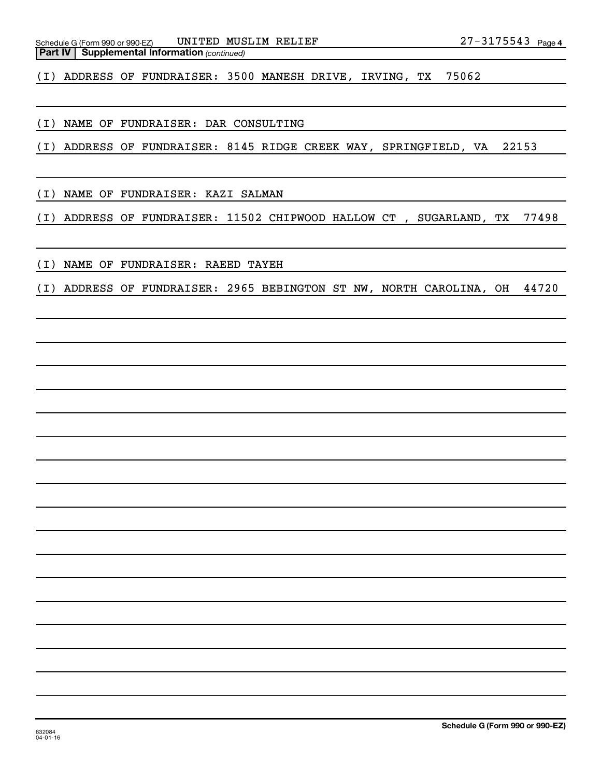(I) ADDRESS OF FUNDRAISER: 3500 MANESH DRIVE, IRVING, TX 75062

(I) NAME OF FUNDRAISER: DAR CONSULTING

(I) ADDRESS OF FUNDRAISER: 8145 RIDGE CREEK WAY, SPRINGFIELD, VA 22153

(I) NAME OF FUNDRAISER: KAZI SALMAN

(I) ADDRESS OF FUNDRAISER: 11502 CHIPWOOD HALLOW CT , SUGARLAND, TX 77498

(I) NAME OF FUNDRAISER: RAEED TAYEH

(I) ADDRESS OF FUNDRAISER: 2965 BEBINGTON ST NW, NORTH CAROLINA, OH 44720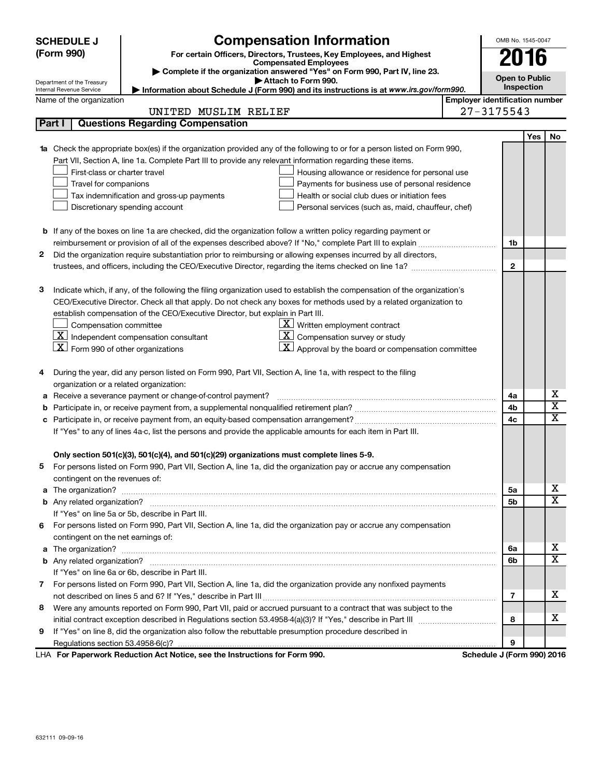|        | <b>Compensation Information</b><br><b>SCHEDULE J</b>                                                                                              | OMB No. 1545-0047     |            |                            |
|--------|---------------------------------------------------------------------------------------------------------------------------------------------------|-----------------------|------------|----------------------------|
|        | (Form 990)<br>For certain Officers, Directors, Trustees, Key Employees, and Highest                                                               |                       |            |                            |
|        | <b>Compensated Employees</b>                                                                                                                      | 2016                  |            |                            |
|        | Complete if the organization answered "Yes" on Form 990, Part IV, line 23.<br>Attach to Form 990.                                                 | <b>Open to Public</b> |            |                            |
|        | Department of the Treasury<br>Information about Schedule J (Form 990) and its instructions is at www.irs.gov/form990.<br>Internal Revenue Service |                       | Inspection |                            |
|        | <b>Employer identification number</b><br>Name of the organization                                                                                 |                       |            |                            |
|        | UNITED MUSLIM RELIEF                                                                                                                              | $27 - 3175543$        |            |                            |
| Part I | <b>Questions Regarding Compensation</b>                                                                                                           |                       |            |                            |
|        |                                                                                                                                                   |                       | Yes        | No                         |
| 1a     | Check the appropriate box(es) if the organization provided any of the following to or for a person listed on Form 990,                            |                       |            |                            |
|        | Part VII, Section A, line 1a. Complete Part III to provide any relevant information regarding these items.                                        |                       |            |                            |
|        | First-class or charter travel<br>Housing allowance or residence for personal use                                                                  |                       |            |                            |
|        | Travel for companions<br>Payments for business use of personal residence                                                                          |                       |            |                            |
|        | Health or social club dues or initiation fees<br>Tax indemnification and gross-up payments                                                        |                       |            |                            |
|        | Discretionary spending account<br>Personal services (such as, maid, chauffeur, chef)                                                              |                       |            |                            |
|        |                                                                                                                                                   |                       |            |                            |
|        | <b>b</b> If any of the boxes on line 1a are checked, did the organization follow a written policy regarding payment or                            |                       |            |                            |
|        |                                                                                                                                                   | 1b                    |            |                            |
| 2      | Did the organization require substantiation prior to reimbursing or allowing expenses incurred by all directors,                                  |                       |            |                            |
|        |                                                                                                                                                   | $\mathbf{2}$          |            |                            |
| з      | Indicate which, if any, of the following the filing organization used to establish the compensation of the organization's                         |                       |            |                            |
|        | CEO/Executive Director. Check all that apply. Do not check any boxes for methods used by a related organization to                                |                       |            |                            |
|        | establish compensation of the CEO/Executive Director, but explain in Part III.                                                                    |                       |            |                            |
|        | $\mathbf{X}$<br>Written employment contract<br>Compensation committee                                                                             |                       |            |                            |
|        | $\mathbf{X}$ Independent compensation consultant<br>$\mathbf{X}$<br>Compensation survey or study                                                  |                       |            |                            |
|        | $X$ Form 990 of other organizations<br>$\mathbf{X}$ Approval by the board or compensation committee                                               |                       |            |                            |
|        |                                                                                                                                                   |                       |            |                            |
| 4      | During the year, did any person listed on Form 990, Part VII, Section A, line 1a, with respect to the filing                                      |                       |            |                            |
|        | organization or a related organization:                                                                                                           |                       |            |                            |
| а      | Receive a severance payment or change-of-control payment?                                                                                         | 4a                    |            | Х                          |
| b      |                                                                                                                                                   | 4b                    |            | $\overline{\textbf{x}}$    |
| с      |                                                                                                                                                   | 4c                    |            | $\overline{\text{x}}$      |
|        | If "Yes" to any of lines 4a-c, list the persons and provide the applicable amounts for each item in Part III.                                     |                       |            |                            |
|        |                                                                                                                                                   |                       |            |                            |
|        | Only section 501(c)(3), 501(c)(4), and 501(c)(29) organizations must complete lines 5-9.                                                          |                       |            |                            |
|        | For persons listed on Form 990, Part VII, Section A, line 1a, did the organization pay or accrue any compensation                                 |                       |            |                            |
|        | contingent on the revenues of:                                                                                                                    |                       |            |                            |
|        |                                                                                                                                                   | 5a                    |            | х                          |
|        |                                                                                                                                                   | 5b                    |            | $\overline{\text{X}}$      |
|        | If "Yes" on line 5a or 5b, describe in Part III.                                                                                                  |                       |            |                            |
| 6      | For persons listed on Form 990, Part VII, Section A, line 1a, did the organization pay or accrue any compensation                                 |                       |            |                            |
|        | contingent on the net earnings of:                                                                                                                |                       |            |                            |
| a      |                                                                                                                                                   | 6a                    |            | х<br>$\overline{\text{x}}$ |
|        |                                                                                                                                                   | 6b                    |            |                            |
|        | If "Yes" on line 6a or 6b, describe in Part III.                                                                                                  |                       |            |                            |
| $7 -$  | For persons listed on Form 990, Part VII, Section A, line 1a, did the organization provide any nonfixed payments                                  |                       |            | х                          |
|        |                                                                                                                                                   | 7                     |            |                            |
| 8      | Were any amounts reported on Form 990, Part VII, paid or accrued pursuant to a contract that was subject to the                                   |                       |            | х                          |
|        |                                                                                                                                                   | 8                     |            |                            |
| 9      | If "Yes" on line 8, did the organization also follow the rebuttable presumption procedure described in                                            |                       |            |                            |
|        | convert Deduction Act Nation ago the Instructions for Form 000<br>Cahadula, UEaum 000) 0040                                                       | 9                     |            |                            |

**For Paperwork Reduction Act Notice, see the Instructions for Form 990. Schedule J (Form 990) 2016** LHA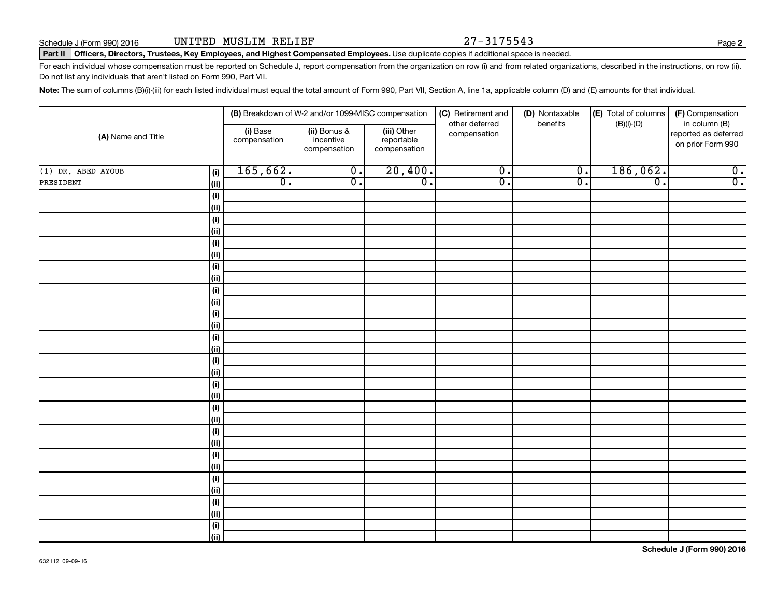#### Part II | Officers, Directors, Trustees, Key Employees, and Highest Compensated Employees. Use duplicate copies if additional space is needed.

For each individual whose compensation must be reported on Schedule J, report compensation from the organization on row (i) and from related organizations, described in the instructions, on row (ii). Do not list any individuals that aren't listed on Form 990, Part VII.

Note: The sum of columns (B)(i)-(iii) for each listed individual must equal the total amount of Form 990, Part VII, Section A, line 1a, applicable column (D) and (E) amounts for that individual.

|                    |             |                          | (B) Breakdown of W-2 and/or 1099-MISC compensation |                                           | (C) Retirement and             | (D) Nontaxable   | (E) Total of columns | (F) Compensation                                           |
|--------------------|-------------|--------------------------|----------------------------------------------------|-------------------------------------------|--------------------------------|------------------|----------------------|------------------------------------------------------------|
| (A) Name and Title |             | (i) Base<br>compensation | (ii) Bonus &<br>incentive<br>compensation          | (iii) Other<br>reportable<br>compensation | other deferred<br>compensation | benefits         | $(B)(i)-(D)$         | in column (B)<br>reported as deferred<br>on prior Form 990 |
| (1) DR. ABED AYOUB | (i)         | 165,662.                 | $\overline{0}$ .                                   | 20,400.                                   | $\overline{0}$ .               | $\overline{0}$ . | 186,062.             | $\overline{0}$ .                                           |
| PRESIDENT          | (ii)        | $\overline{0}$ .         | $\overline{0}$ .                                   | $\overline{0}$ .                          | $\overline{\mathfrak{o}}$ .    | $\overline{0}$ . | $\overline{0}$ .     | $\overline{0}$ .                                           |
|                    | $(\sf{i})$  |                          |                                                    |                                           |                                |                  |                      |                                                            |
|                    | (ii)        |                          |                                                    |                                           |                                |                  |                      |                                                            |
|                    | $(\sf{i})$  |                          |                                                    |                                           |                                |                  |                      |                                                            |
|                    | (ii)        |                          |                                                    |                                           |                                |                  |                      |                                                            |
|                    | $(\sf{i})$  |                          |                                                    |                                           |                                |                  |                      |                                                            |
|                    | (ii)        |                          |                                                    |                                           |                                |                  |                      |                                                            |
|                    | $(\sf{i})$  |                          |                                                    |                                           |                                |                  |                      |                                                            |
|                    | (ii)        |                          |                                                    |                                           |                                |                  |                      |                                                            |
|                    | $(\sf{i})$  |                          |                                                    |                                           |                                |                  |                      |                                                            |
|                    | (ii)        |                          |                                                    |                                           |                                |                  |                      |                                                            |
|                    | $(\sf{i})$  |                          |                                                    |                                           |                                |                  |                      |                                                            |
|                    | (ii)        |                          |                                                    |                                           |                                |                  |                      |                                                            |
|                    | (i)         |                          |                                                    |                                           |                                |                  |                      |                                                            |
|                    | (ii)        |                          |                                                    |                                           |                                |                  |                      |                                                            |
|                    | (i)         |                          |                                                    |                                           |                                |                  |                      |                                                            |
|                    | (ii)        |                          |                                                    |                                           |                                |                  |                      |                                                            |
|                    | (i)<br>(ii) |                          |                                                    |                                           |                                |                  |                      |                                                            |
|                    | $(\sf{i})$  |                          |                                                    |                                           |                                |                  |                      |                                                            |
|                    | (ii)        |                          |                                                    |                                           |                                |                  |                      |                                                            |
|                    | $(\sf{i})$  |                          |                                                    |                                           |                                |                  |                      |                                                            |
|                    | (ii)        |                          |                                                    |                                           |                                |                  |                      |                                                            |
|                    | $(\sf{i})$  |                          |                                                    |                                           |                                |                  |                      |                                                            |
|                    | (ii)        |                          |                                                    |                                           |                                |                  |                      |                                                            |
|                    | $(\sf{i})$  |                          |                                                    |                                           |                                |                  |                      |                                                            |
|                    | (ii)        |                          |                                                    |                                           |                                |                  |                      |                                                            |
|                    | $(\sf{i})$  |                          |                                                    |                                           |                                |                  |                      |                                                            |
|                    | (ii)        |                          |                                                    |                                           |                                |                  |                      |                                                            |
|                    | $(\sf{i})$  |                          |                                                    |                                           |                                |                  |                      |                                                            |
|                    | (ii)        |                          |                                                    |                                           |                                |                  |                      |                                                            |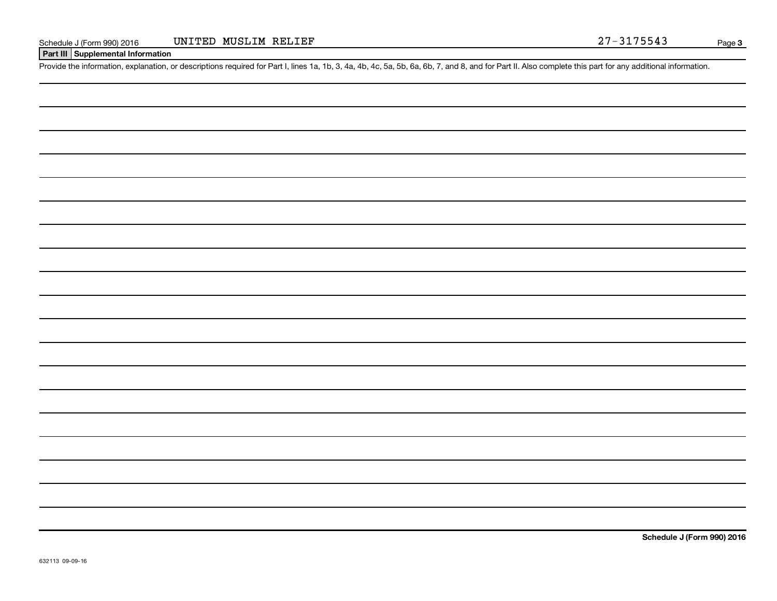#### **Part III Supplemental Information**

Provide the information, explanation, or descriptions required for Part I, lines 1a, 1b, 3, 4a, 4b, 4c, 5a, 5b, 6a, 6b, 7, and 8, and for Part II. Also complete this part for any additional information.

**Schedule J (Form 990) 2016**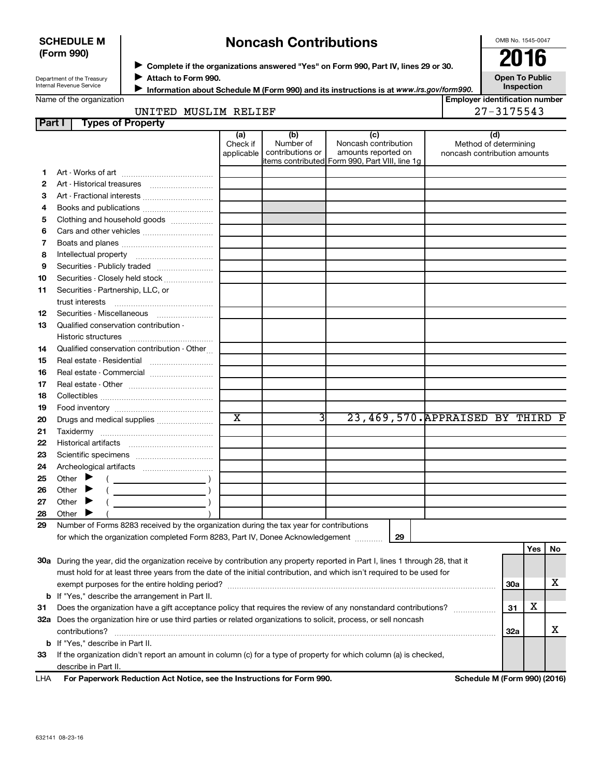### **SCHEDULE M (Form 990)**

## **Noncash Contributions**

OMB No. 1545-0047

| Department of the Treasury |
|----------------------------|
| Internal Revenue Service   |

◆ Complete if the organizations answered "Yes" on Form 990, Part IV, lines 29 or 30.<br>● Complete if the organizations answered "Yes" on Form 990, Part IV, lines 29 or 30. **Attach to Form 990.** J

**Open To Public Inspection**

Name of the organization

**Information about Schedule M (Form 990) and its instructions is at www.irs.gov/form990.** 

**Employer identification number**

| MUSLIM<br>UNITED | RELIEF | 75543 |
|------------------|--------|-------|
|------------------|--------|-------|

| Part I | <b>Types of Property</b>                                                                                                       |                        |                               |                                                |                                                       |     |     |    |
|--------|--------------------------------------------------------------------------------------------------------------------------------|------------------------|-------------------------------|------------------------------------------------|-------------------------------------------------------|-----|-----|----|
|        |                                                                                                                                | (a)                    | (b)                           | (c)                                            | (d)                                                   |     |     |    |
|        |                                                                                                                                | Check if<br>applicable | Number of<br>contributions or | Noncash contribution<br>amounts reported on    | Method of determining<br>noncash contribution amounts |     |     |    |
|        |                                                                                                                                |                        |                               | items contributed Form 990, Part VIII, line 1g |                                                       |     |     |    |
| 1.     |                                                                                                                                |                        |                               |                                                |                                                       |     |     |    |
| 2      |                                                                                                                                |                        |                               |                                                |                                                       |     |     |    |
| з      |                                                                                                                                |                        |                               |                                                |                                                       |     |     |    |
| 4      |                                                                                                                                |                        |                               |                                                |                                                       |     |     |    |
| 5      | Clothing and household goods                                                                                                   |                        |                               |                                                |                                                       |     |     |    |
| 6      |                                                                                                                                |                        |                               |                                                |                                                       |     |     |    |
| 7      |                                                                                                                                |                        |                               |                                                |                                                       |     |     |    |
| 8      |                                                                                                                                |                        |                               |                                                |                                                       |     |     |    |
| 9      |                                                                                                                                |                        |                               |                                                |                                                       |     |     |    |
| 10     | Securities - Closely held stock                                                                                                |                        |                               |                                                |                                                       |     |     |    |
| 11     | Securities - Partnership, LLC, or                                                                                              |                        |                               |                                                |                                                       |     |     |    |
|        | trust interests                                                                                                                |                        |                               |                                                |                                                       |     |     |    |
| 12     |                                                                                                                                |                        |                               |                                                |                                                       |     |     |    |
| 13     | Qualified conservation contribution -                                                                                          |                        |                               |                                                |                                                       |     |     |    |
|        |                                                                                                                                |                        |                               |                                                |                                                       |     |     |    |
| 14     | Qualified conservation contribution - Other                                                                                    |                        |                               |                                                |                                                       |     |     |    |
| 15     | Real estate - Residential                                                                                                      |                        |                               |                                                |                                                       |     |     |    |
| 16     |                                                                                                                                |                        |                               |                                                |                                                       |     |     |    |
| 17     |                                                                                                                                |                        |                               |                                                |                                                       |     |     |    |
| 18     |                                                                                                                                |                        |                               |                                                |                                                       |     |     |    |
| 19     |                                                                                                                                |                        |                               |                                                |                                                       |     |     |    |
| 20     | Drugs and medical supplies                                                                                                     | $\overline{\text{x}}$  | 31                            | 23,469,570. APPRAISED BY THIRD P               |                                                       |     |     |    |
| 21     |                                                                                                                                |                        |                               |                                                |                                                       |     |     |    |
| 22     |                                                                                                                                |                        |                               |                                                |                                                       |     |     |    |
| 23     |                                                                                                                                |                        |                               |                                                |                                                       |     |     |    |
| 24     |                                                                                                                                |                        |                               |                                                |                                                       |     |     |    |
| 25     | Other $\blacktriangleright$                                                                                                    |                        |                               |                                                |                                                       |     |     |    |
| 26     | Other $\blacktriangleright$                                                                                                    |                        |                               |                                                |                                                       |     |     |    |
| 27     | Other $\blacktriangleright$                                                                                                    |                        |                               |                                                |                                                       |     |     |    |
| 28     | Other $\blacktriangleright$                                                                                                    |                        |                               |                                                |                                                       |     |     |    |
| 29     | Number of Forms 8283 received by the organization during the tax year for contributions                                        |                        |                               |                                                |                                                       |     |     |    |
|        | for which the organization completed Form 8283, Part IV, Donee Acknowledgement                                                 |                        |                               | 29                                             |                                                       |     |     |    |
|        |                                                                                                                                |                        |                               |                                                |                                                       |     | Yes | No |
|        | 30a During the year, did the organization receive by contribution any property reported in Part I, lines 1 through 28, that it |                        |                               |                                                |                                                       |     |     |    |
|        | must hold for at least three years from the date of the initial contribution, and which isn't required to be used for          |                        |                               |                                                |                                                       |     |     |    |
|        | exempt purposes for the entire holding period?                                                                                 |                        |                               |                                                |                                                       | 30a |     | х  |
|        | <b>b</b> If "Yes," describe the arrangement in Part II.                                                                        |                        |                               |                                                |                                                       |     |     |    |
| 31     | Does the organization have a gift acceptance policy that requires the review of any nonstandard contributions?                 |                        |                               |                                                |                                                       | 31  | х   |    |
|        | 32a Does the organization hire or use third parties or related organizations to solicit, process, or sell noncash              |                        |                               |                                                |                                                       |     |     |    |
|        | contributions?                                                                                                                 |                        |                               |                                                |                                                       | 32a |     | x  |
|        | <b>b</b> If "Yes," describe in Part II.                                                                                        |                        |                               |                                                |                                                       |     |     |    |
| 33     | If the organization didn't report an amount in column (c) for a type of property for which column (a) is checked,              |                        |                               |                                                |                                                       |     |     |    |
|        | describe in Part II.                                                                                                           |                        |                               |                                                |                                                       |     |     |    |

| LHA | For Paperwork Reduction Act Notice, see the Instructions for Form 990. |
|-----|------------------------------------------------------------------------|
|     |                                                                        |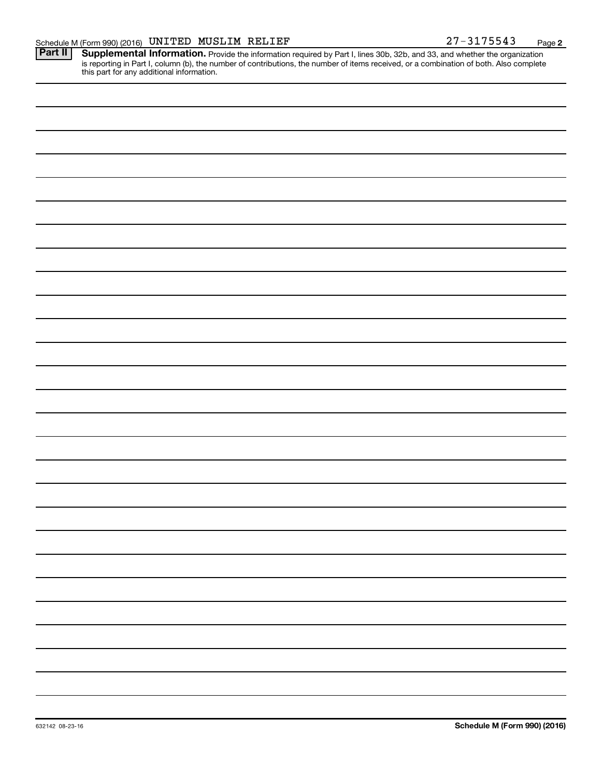**2**

Provide the information required by Part I, lines 30b, 32b, and 33, and whether the organization is reporting in Part I, column (b), the number of contributions, the number of items received, or a combination of both. Also complete this part for any additional information. **Part II Supplemental Information.**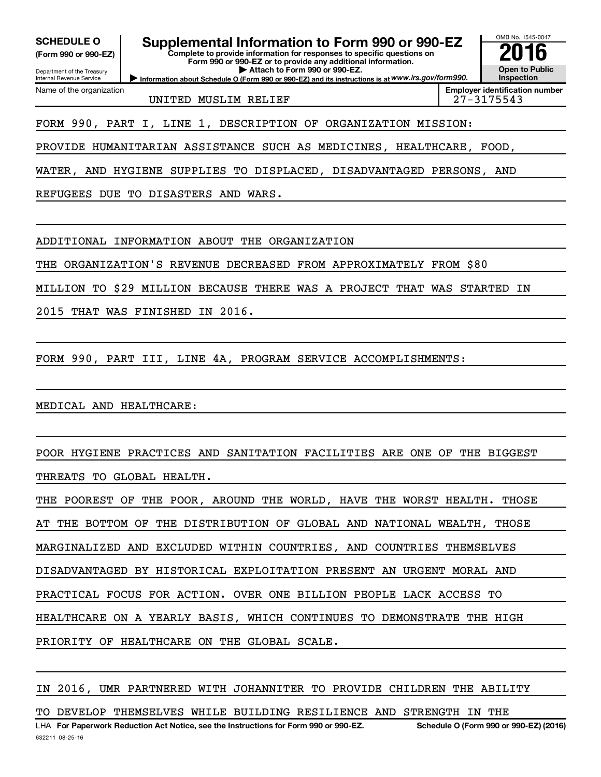**(Form 990 or 990-EZ)**

Department of the Treasury Internal Revenue Service

Name of the organization

**SCHEDULE O Supplemental Information to Form 990 or 990-EZ 2016**

**Complete to provide information for responses to specific questions on Form 990 or 990-EZ or to provide any additional information. | Attach to Form 990 or 990-EZ.**

**Information about Schedule O (Form 990 or 990-EZ) and its instructions is at WWW.irs.gov/form990.** 

UNITED MUSLIM RELIEF 27-3175543

FORM 990, PART I, LINE 1, DESCRIPTION OF ORGANIZATION MISSION:

PROVIDE HUMANITARIAN ASSISTANCE SUCH AS MEDICINES, HEALTHCARE, FOOD,

WATER, AND HYGIENE SUPPLIES TO DISPLACED, DISADVANTAGED PERSONS, AND

REFUGEES DUE TO DISASTERS AND WARS.

ADDITIONAL INFORMATION ABOUT THE ORGANIZATION

THE ORGANIZATION'S REVENUE DECREASED FROM APPROXIMATELY FROM \$80

MILLION TO \$29 MILLION BECAUSE THERE WAS A PROJECT THAT WAS STARTED IN

2015 THAT WAS FINISHED IN 2016.

FORM 990, PART III, LINE 4A, PROGRAM SERVICE ACCOMPLISHMENTS:

MEDICAL AND HEALTHCARE:

POOR HYGIENE PRACTICES AND SANITATION FACILITIES ARE ONE OF THE BIGGEST THREATS TO GLOBAL HEALTH.

THE POOREST OF THE POOR, AROUND THE WORLD, HAVE THE WORST HEALTH. THOSE AT THE BOTTOM OF THE DISTRIBUTION OF GLOBAL AND NATIONAL WEALTH, THOSE MARGINALIZED AND EXCLUDED WITHIN COUNTRIES, AND COUNTRIES THEMSELVES DISADVANTAGED BY HISTORICAL EXPLOITATION PRESENT AN URGENT MORAL AND PRACTICAL FOCUS FOR ACTION. OVER ONE BILLION PEOPLE LACK ACCESS TO HEALTHCARE ON A YEARLY BASIS, WHICH CONTINUES TO DEMONSTRATE THE HIGH PRIORITY OF HEALTHCARE ON THE GLOBAL SCALE.

IN 2016, UMR PARTNERED WITH JOHANNITER TO PROVIDE CHILDREN THE ABILITY

TO DEVELOP THEMSELVES WHILE BUILDING RESILIENCE AND STRENGTH IN THE

OMB No. 1545-0047

**Open to Public Inspection Employer identification number**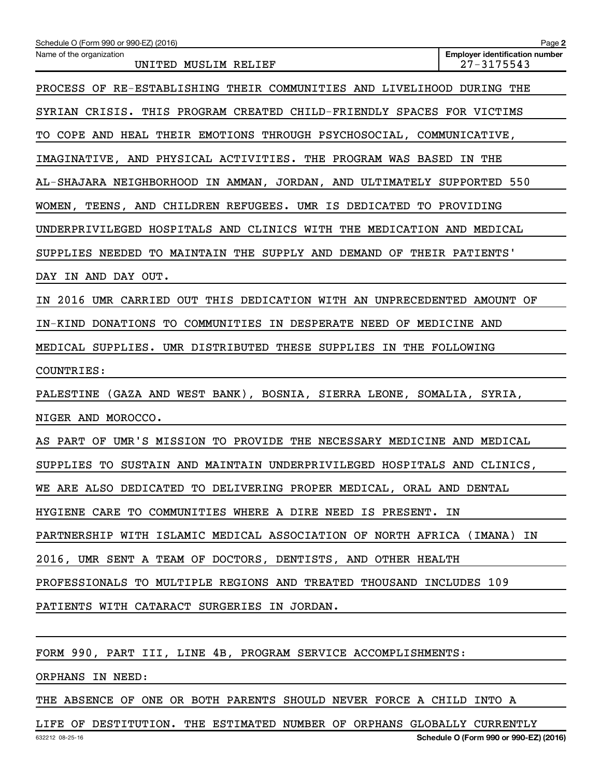| Schedule O (Form 990 or 990-EZ) (2016)                                  | Page 2                                                  |
|-------------------------------------------------------------------------|---------------------------------------------------------|
| Name of the organization<br>UNITED MUSLIM RELIEF                        | <b>Employer identification number</b><br>$27 - 3175543$ |
| PROCESS OF RE-ESTABLISHING THEIR COMMUNITIES AND LIVELIHOOD DURING THE  |                                                         |
| SYRIAN CRISIS. THIS PROGRAM CREATED CHILD-FRIENDLY SPACES FOR VICTIMS   |                                                         |
| TO COPE AND HEAL THEIR EMOTIONS THROUGH PSYCHOSOCIAL, COMMUNICATIVE,    |                                                         |
| IMAGINATIVE, AND PHYSICAL ACTIVITIES. THE PROGRAM WAS BASED IN THE      |                                                         |
| AL-SHAJARA NEIGHBORHOOD IN AMMAN, JORDAN, AND ULTIMATELY SUPPORTED 550  |                                                         |
| WOMEN, TEENS, AND CHILDREN REFUGEES. UMR IS DEDICATED TO PROVIDING      |                                                         |
| UNDERPRIVILEGED HOSPITALS AND CLINICS WITH THE MEDICATION AND MEDICAL   |                                                         |
| SUPPLIES NEEDED TO MAINTAIN THE SUPPLY AND DEMAND OF THEIR PATIENTS'    |                                                         |
| DAY IN AND DAY OUT.                                                     |                                                         |
| IN 2016 UMR CARRIED OUT THIS DEDICATION WITH AN UNPRECEDENTED AMOUNT OF |                                                         |
| IN-KIND DONATIONS TO COMMUNITIES IN DESPERATE NEED OF MEDICINE AND      |                                                         |
| MEDICAL SUPPLIES. UMR DISTRIBUTED THESE SUPPLIES IN THE FOLLOWING       |                                                         |
| COUNTRIES:                                                              |                                                         |
| PALESTINE (GAZA AND WEST BANK), BOSNIA, SIERRA LEONE, SOMALIA, SYRIA,   |                                                         |
| NIGER AND MOROCCO.                                                      |                                                         |
| AS PART OF UMR'S MISSION TO PROVIDE THE NECESSARY MEDICINE AND MEDICAL  |                                                         |
| SUPPLIES TO SUSTAIN AND MAINTAIN UNDERPRIVILEGED HOSPITALS AND CLINICS, |                                                         |
| WE ARE ALSO DEDICATED TO DELIVERING PROPER MEDICAL, ORAL AND DENTAL     |                                                         |
| HYGIENE CARE TO COMMUNITIES WHERE A DIRE NEED IS PRESENT. IN            |                                                         |
| PARTNERSHIP WITH ISLAMIC MEDICAL ASSOCIATION OF NORTH AFRICA (IMANA) IN |                                                         |
| 2016, UMR SENT A TEAM OF DOCTORS, DENTISTS, AND OTHER HEALTH            |                                                         |
| PROFESSIONALS TO MULTIPLE REGIONS AND TREATED THOUSAND INCLUDES 109     |                                                         |
| PATIENTS WITH CATARACT SURGERIES IN JORDAN.                             |                                                         |
|                                                                         |                                                         |

FORM 990, PART III, LINE 4B, PROGRAM SERVICE ACCOMPLISHMENTS:

ORPHANS IN NEED:

THE ABSENCE OF ONE OR BOTH PARENTS SHOULD NEVER FORCE A CHILD INTO A

632212 08-25-16 **Schedule O (Form 990 or 990-EZ) (2016)** LIFE OF DESTITUTION. THE ESTIMATED NUMBER OF ORPHANS GLOBALLY CURRENTLY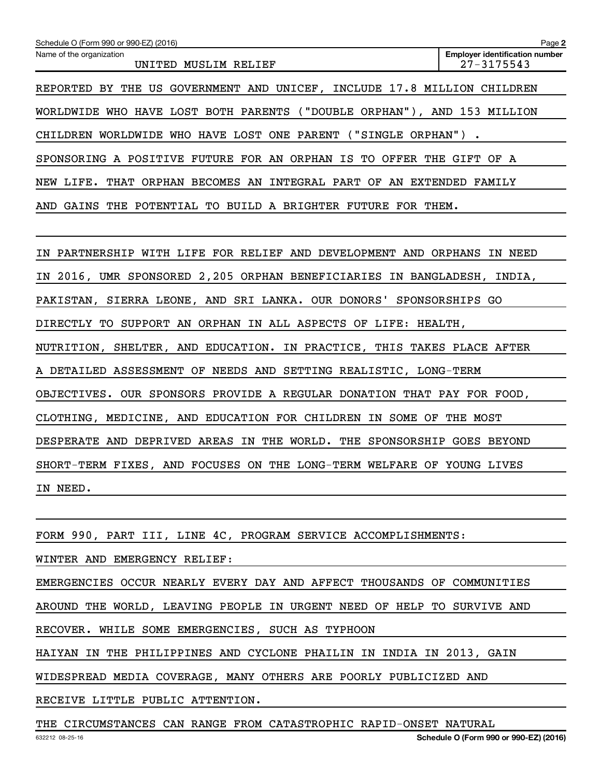| Schedule O (Form 990 or 990-EZ) (2016)                                  | Page 2                                              |
|-------------------------------------------------------------------------|-----------------------------------------------------|
| Name of the organization<br>UNITED MUSLIM RELIEF                        | <b>Employer identification number</b><br>27-3175543 |
| REPORTED BY THE US GOVERNMENT AND UNICEF, INCLUDE 17.8 MILLION CHILDREN |                                                     |
| WORLDWIDE WHO HAVE LOST BOTH PARENTS ("DOUBLE ORPHAN"), AND 153 MILLION |                                                     |
| CHILDREN WORLDWIDE WHO HAVE LOST ONE PARENT ("SINGLE ORPHAN").          |                                                     |
| SPONSORING A POSITIVE FUTURE FOR AN ORPHAN IS TO OFFER THE GIFT OF A    |                                                     |
| NEW LIFE. THAT ORPHAN BECOMES AN INTEGRAL PART OF AN EXTENDED FAMILY    |                                                     |
| AND GAINS THE POTENTIAL TO BUILD A BRIGHTER FUTURE FOR THEM.            |                                                     |
|                                                                         |                                                     |
| IN PARTNERSHIP WITH LIFE FOR RELIEF AND DEVELOPMENT AND ORPHANS IN NEED |                                                     |
| IN 2016, UMR SPONSORED 2,205 ORPHAN BENEFICIARIES IN BANGLADESH, INDIA, |                                                     |
| PAKISTAN, SIERRA LEONE, AND SRI LANKA. OUR DONORS' SPONSORSHIPS GO      |                                                     |
| DIRECTLY TO SUPPORT AN ORPHAN IN ALL ASPECTS OF LIFE: HEALTH,           |                                                     |
| NUTRITION, SHELTER, AND EDUCATION. IN PRACTICE, THIS TAKES PLACE AFTER  |                                                     |
| A DETAILED ASSESSMENT OF NEEDS AND SETTING REALISTIC, LONG-TERM         |                                                     |
| OBJECTIVES. OUR SPONSORS PROVIDE A REGULAR DONATION THAT PAY FOR FOOD,  |                                                     |
| CLOTHING, MEDICINE, AND EDUCATION FOR CHILDREN IN SOME OF THE MOST      |                                                     |
| DESPERATE AND DEPRIVED AREAS IN THE WORLD. THE SPONSORSHIP GOES BEYOND  |                                                     |
| SHORT-TERM FIXES, AND FOCUSES ON THE LONG-TERM WELFARE OF YOUNG LIVES   |                                                     |
| IN NEED.                                                                |                                                     |
| FORM 990, PART III, LINE 4C, PROGRAM SERVICE ACCOMPLISHMENTS:           |                                                     |
| WINTER AND EMERGENCY RELIEF:                                            |                                                     |
| EMERGENCIES OCCUR NEARLY EVERY DAY AND AFFECT THOUSANDS OF COMMUNITIES  |                                                     |
| AROUND THE WORLD, LEAVING PEOPLE IN URGENT NEED OF HELP TO SURVIVE AND  |                                                     |
| RECOVER. WHILE SOME EMERGENCIES, SUCH AS TYPHOON                        |                                                     |
| $\frac{1}{2}$                                                           |                                                     |

HAIYAN IN THE PHILIPPINES AND CYCLONE PHAILIN IN INDIA IN 2013, GAIN

WIDESPREAD MEDIA COVERAGE, MANY OTHERS ARE POORLY PUBLICIZED AND

RECEIVE LITTLE PUBLIC ATTENTION.

THE CIRCUMSTANCES CAN RANGE FROM CATASTROPHIC RAPID-ONSET NATURAL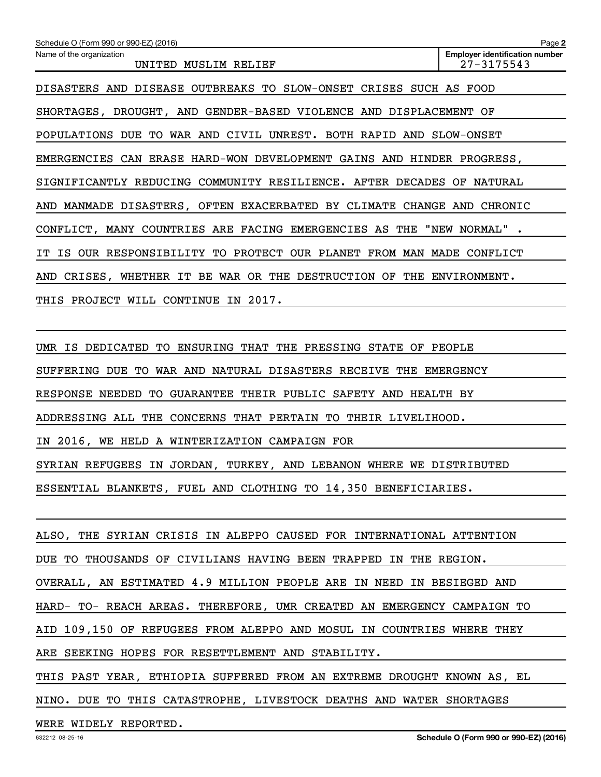| Schedule O (Form 990 or 990-EZ) (2016)                                   | Page 2                                              |
|--------------------------------------------------------------------------|-----------------------------------------------------|
| Name of the organization<br>UNITED MUSLIM RELIEF                         | <b>Employer identification number</b><br>27-3175543 |
| DISASTERS AND DISEASE OUTBREAKS TO SLOW-ONSET CRISES SUCH AS FOOD        |                                                     |
| SHORTAGES, DROUGHT, AND GENDER-BASED VIOLENCE AND DISPLACEMENT OF        |                                                     |
| POPULATIONS DUE TO WAR AND CIVIL UNREST. BOTH RAPID AND SLOW-ONSET       |                                                     |
| EMERGENCIES CAN ERASE HARD-WON DEVELOPMENT GAINS AND HINDER PROGRESS,    |                                                     |
| SIGNIFICANTLY REDUCING COMMUNITY RESILIENCE. AFTER DECADES OF            | NATURAL                                             |
| AND MANMADE DISASTERS, OFTEN EXACERBATED BY CLIMATE CHANGE AND CHRONIC   |                                                     |
| CONFLICT, MANY COUNTRIES ARE FACING EMERGENCIES AS THE "NEW NORMAL"      |                                                     |
| IT IS OUR RESPONSIBILITY TO PROTECT<br>OUR PLANET FROM MAN MADE CONFLICT |                                                     |
| AND CRISES, WHETHER IT BE WAR OR THE DESTRUCTION OF THE                  | ENVIRONMENT.                                        |
| THIS PROJECT WILL CONTINUE IN 2017.                                      |                                                     |
|                                                                          |                                                     |

UMR IS DEDICATED TO ENSURING THAT THE PRESSING STATE OF PEOPLE

SUFFERING DUE TO WAR AND NATURAL DISASTERS RECEIVE THE EMERGENCY

RESPONSE NEEDED TO GUARANTEE THEIR PUBLIC SAFETY AND HEALTH BY

ADDRESSING ALL THE CONCERNS THAT PERTAIN TO THEIR LIVELIHOOD.

IN 2016, WE HELD A WINTERIZATION CAMPAIGN FOR

SYRIAN REFUGEES IN JORDAN, TURKEY, AND LEBANON WHERE WE DISTRIBUTED

ESSENTIAL BLANKETS, FUEL AND CLOTHING TO 14,350 BENEFICIARIES.

ALSO, THE SYRIAN CRISIS IN ALEPPO CAUSED FOR INTERNATIONAL ATTENTION DUE TO THOUSANDS OF CIVILIANS HAVING BEEN TRAPPED IN THE REGION. OVERALL, AN ESTIMATED 4.9 MILLION PEOPLE ARE IN NEED IN BESIEGED AND HARD- TO- REACH AREAS. THEREFORE, UMR CREATED AN EMERGENCY CAMPAIGN TO AID 109,150 OF REFUGEES FROM ALEPPO AND MOSUL IN COUNTRIES WHERE THEY ARE SEEKING HOPES FOR RESETTLEMENT AND STABILITY. THIS PAST YEAR, ETHIOPIA SUFFERED FROM AN EXTREME DROUGHT KNOWN AS, EL NINO. DUE TO THIS CATASTROPHE, LIVESTOCK DEATHS AND WATER SHORTAGES

WERE WIDELY REPORTED.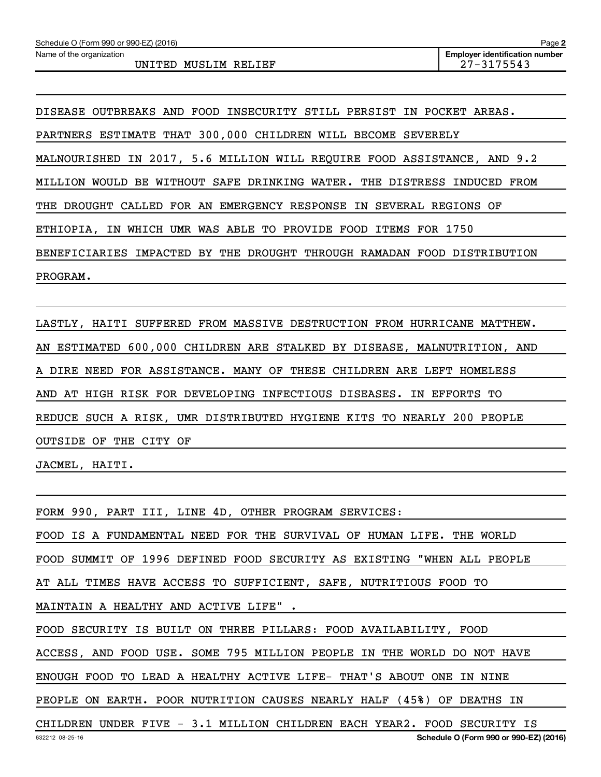Name of the organization

DISEASE OUTBREAKS AND FOOD INSECURITY STILL PERSIST IN POCKET AREAS. PARTNERS ESTIMATE THAT 300,000 CHILDREN WILL BECOME SEVERELY MALNOURISHED IN 2017, 5.6 MILLION WILL REQUIRE FOOD ASSISTANCE, AND 9.2 MILLION WOULD BE WITHOUT SAFE DRINKING WATER. THE DISTRESS INDUCED FROM THE DROUGHT CALLED FOR AN EMERGENCY RESPONSE IN SEVERAL REGIONS OF ETHIOPIA, IN WHICH UMR WAS ABLE TO PROVIDE FOOD ITEMS FOR 1750 BENEFICIARIES IMPACTED BY THE DROUGHT THROUGH RAMADAN FOOD DISTRIBUTION PROGRAM.

LASTLY, HAITI SUFFERED FROM MASSIVE DESTRUCTION FROM HURRICANE MATTHEW. AN ESTIMATED 600,000 CHILDREN ARE STALKED BY DISEASE, MALNUTRITION, AND A DIRE NEED FOR ASSISTANCE. MANY OF THESE CHILDREN ARE LEFT HOMELESS AND AT HIGH RISK FOR DEVELOPING INFECTIOUS DISEASES. IN EFFORTS TO REDUCE SUCH A RISK, UMR DISTRIBUTED HYGIENE KITS TO NEARLY 200 PEOPLE OUTSIDE OF THE CITY OF

JACMEL, HAITI.

FORM 990, PART III, LINE 4D, OTHER PROGRAM SERVICES: FOOD IS A FUNDAMENTAL NEED FOR THE SURVIVAL OF HUMAN LIFE. THE WORLD FOOD SUMMIT OF 1996 DEFINED FOOD SECURITY AS EXISTING "WHEN ALL PEOPLE AT ALL TIMES HAVE ACCESS TO SUFFICIENT, SAFE, NUTRITIOUS FOOD TO MAINTAIN A HEALTHY AND ACTIVE LIFE" . FOOD SECURITY IS BUILT ON THREE PILLARS: FOOD AVAILABILITY, FOOD ACCESS, AND FOOD USE. SOME 795 MILLION PEOPLE IN THE WORLD DO NOT HAVE ENOUGH FOOD TO LEAD A HEALTHY ACTIVE LIFE- THAT'S ABOUT ONE IN NINE PEOPLE ON EARTH. POOR NUTRITION CAUSES NEARLY HALF (45%) OF DEATHS IN CHILDREN UNDER FIVE - 3.1 MILLION CHILDREN EACH YEAR2. FOOD SECURITY IS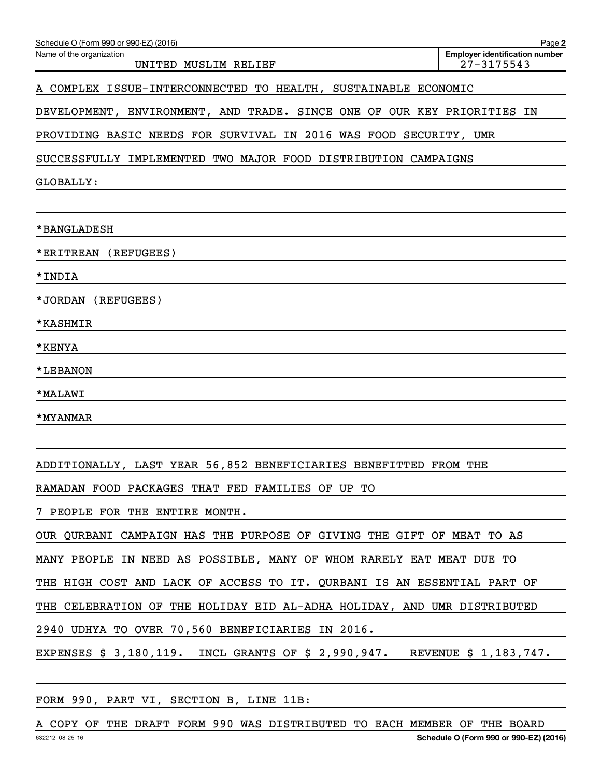| Schedule O (Form 990 or 990-EZ) (2016)                                    | Page 2                                                  |
|---------------------------------------------------------------------------|---------------------------------------------------------|
| Name of the organization<br>UNITED MUSLIM RELIEF                          | <b>Employer identification number</b><br>$27 - 3175543$ |
| A COMPLEX ISSUE-INTERCONNECTED TO HEALTH,<br>SUSTAINABLE ECONOMIC         |                                                         |
| DEVELOPMENT, ENVIRONMENT, AND TRADE. SINCE ONE OF OUR KEY PRIORITIES IN   |                                                         |
| PROVIDING BASIC NEEDS FOR SURVIVAL IN 2016 WAS FOOD SECURITY, UMR         |                                                         |
| SUCCESSFULLY IMPLEMENTED TWO MAJOR FOOD DISTRIBUTION CAMPAIGNS            |                                                         |
| GLOBALLY:                                                                 |                                                         |
| *BANGLADESH                                                               |                                                         |
| *ERITREAN<br>(REFUGEES)                                                   |                                                         |
| *INDIA                                                                    |                                                         |
| *JORDAN<br>(REFUGEES)                                                     |                                                         |
| *KASHMIR                                                                  |                                                         |
| *KENYA                                                                    |                                                         |
| *LEBANON                                                                  |                                                         |
| *MALAWI                                                                   |                                                         |
| *MYANMAR                                                                  |                                                         |
|                                                                           |                                                         |
| ADDITIONALLY, LAST YEAR 56,852 BENEFICIARIES BENEFITTED FROM THE          |                                                         |
| RAMADAN FOOD PACKAGES THAT FED FAMILIES OF UP TO                          |                                                         |
| 7 PEOPLE FOR THE ENTIRE MONTH.                                            |                                                         |
| OUR QURBANI CAMPAIGN HAS THE PURPOSE OF GIVING THE GIFT OF MEAT TO AS     |                                                         |
| MANY PEOPLE IN NEED AS POSSIBLE, MANY OF WHOM RARELY EAT MEAT DUE TO      |                                                         |
| THE HIGH COST AND LACK OF ACCESS TO IT. QURBANI IS AN ESSENTIAL PART OF   |                                                         |
| THE CELEBRATION OF THE HOLIDAY EID AL-ADHA HOLIDAY, AND UMR DISTRIBUTED   |                                                         |
| 2940 UDHYA TO OVER 70,560 BENEFICIARIES IN 2016.                          |                                                         |
| EXPENSES \$ 3,180,119. INCL GRANTS OF \$ 2,990,947. REVENUE \$ 1,183,747. |                                                         |
|                                                                           |                                                         |

FORM 990, PART VI, SECTION B, LINE 11B:

632212 08-25-16 **Schedule O (Form 990 or 990-EZ) (2016)** A COPY OF THE DRAFT FORM 990 WAS DISTRIBUTED TO EACH MEMBER OF THE BOARD